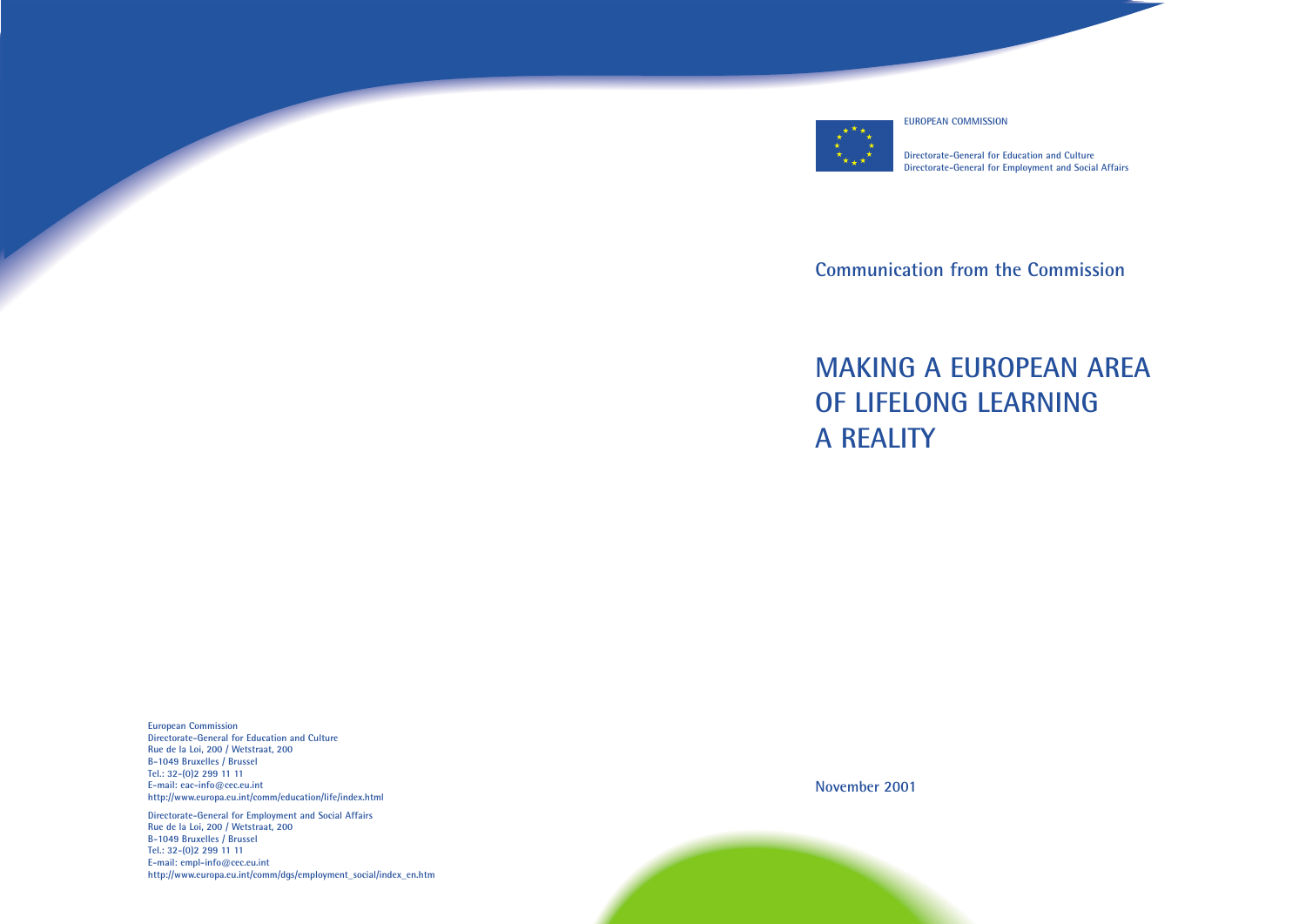

**EUROPEAN COMMISSION**

**Directorate-General for Education and Culture Directorate-General for Employment and Social Affairs**

# **Communication from the Commission**

# **MAKING A EUROPEAN AREA OF LIFELONG LEARNING A REALITY**

**November 2001**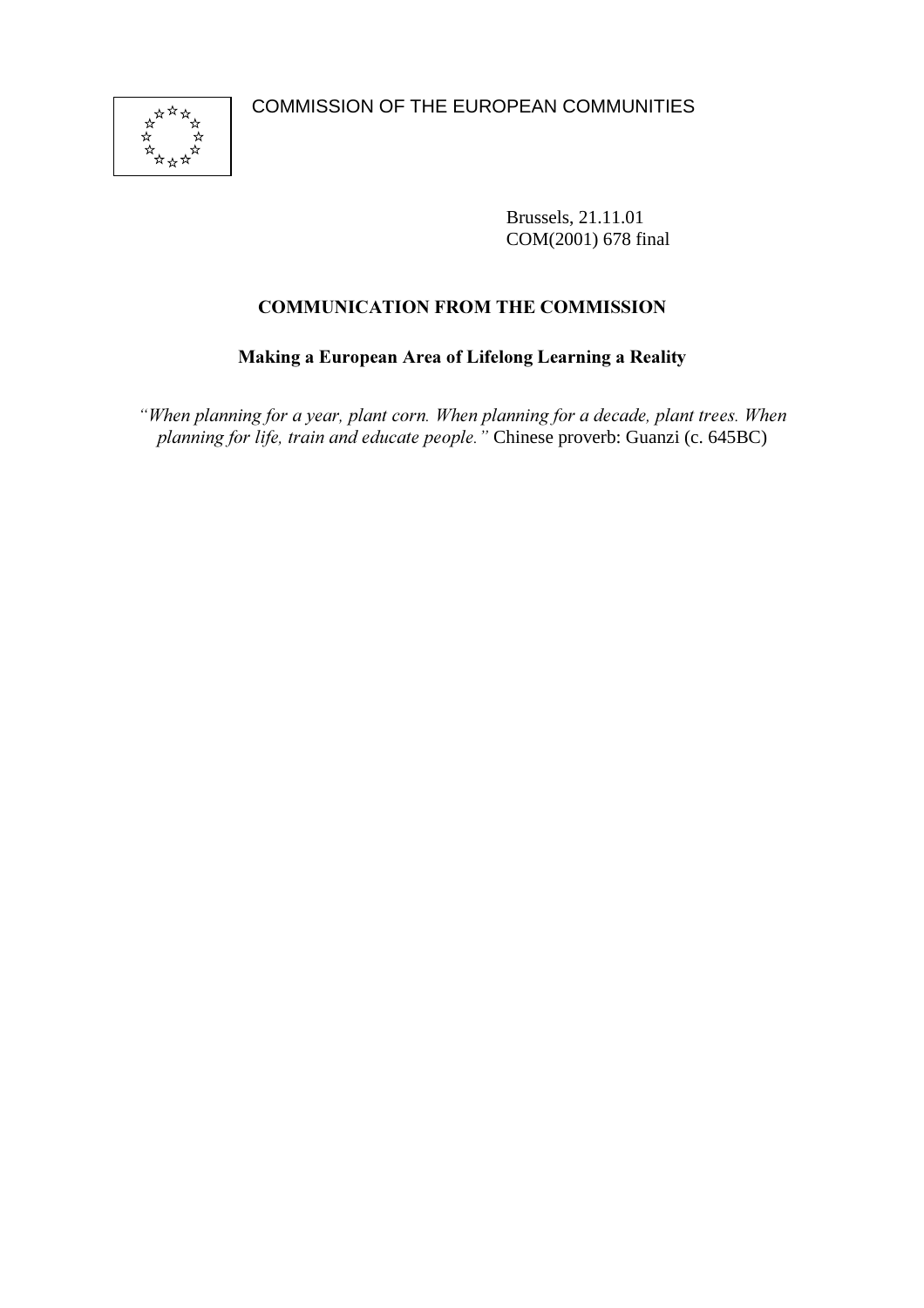

Brussels, 21.11.01 COM(2001) 678 final

## COMMUNICATION FROM THE COMMISSION

Making a European Area of Lifelong Learning a Reality

*a:When planning for a year, plant corn. When planning for a decade, plant trees. When planning for life, train and educate people.* "Chinese proverb: Guanzi (c. 645BC)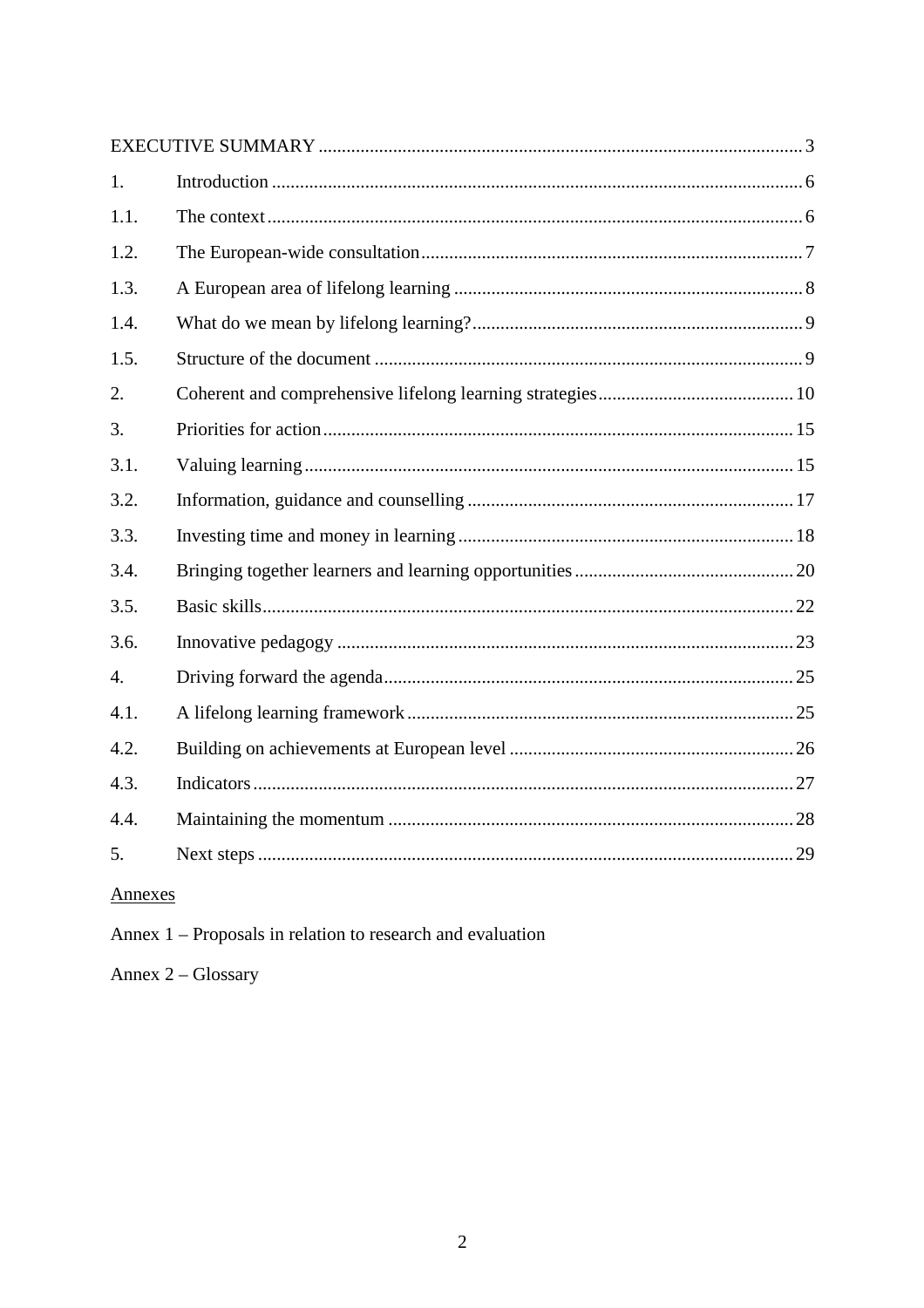| 1.               |  |  |
|------------------|--|--|
| 1.1.             |  |  |
| 1.2.             |  |  |
| 1.3.             |  |  |
| 1.4.             |  |  |
| 1.5.             |  |  |
| 2.               |  |  |
| 3.               |  |  |
| 3.1.             |  |  |
| 3.2.             |  |  |
| 3.3.             |  |  |
| 3.4.             |  |  |
| 3.5.             |  |  |
| 3.6.             |  |  |
| $\overline{4}$ . |  |  |
| 4.1.             |  |  |
| 4.2.             |  |  |
| 4.3.             |  |  |
| 4.4.             |  |  |
| 5.               |  |  |
| Annexes          |  |  |

- Annex 1 Proposals in relation to research and evaluation
- Annex  $2 Glossary$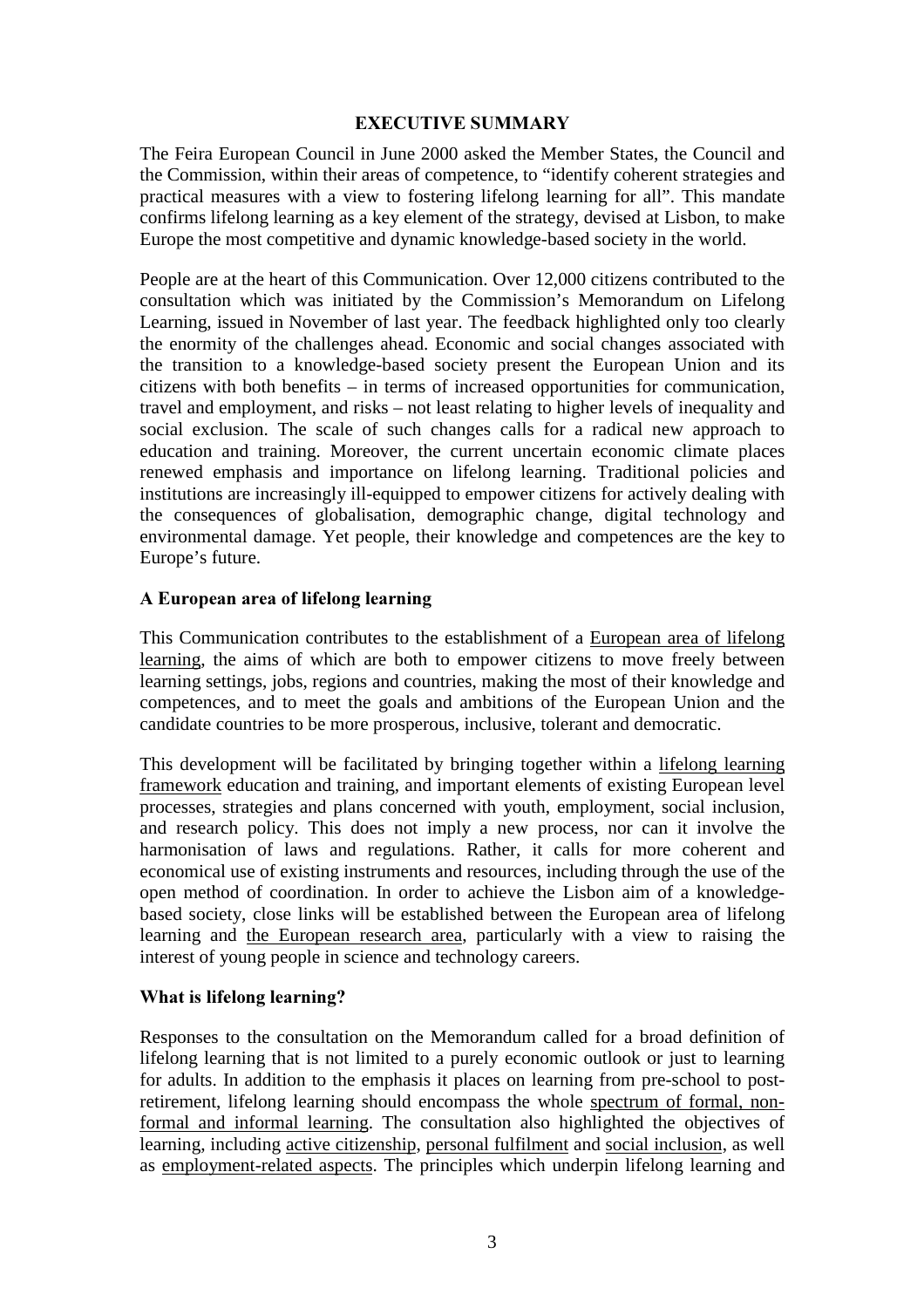## **EXECUTIVE SUMMARY**

The Feira European Council in June 2000 asked the Member States, the Council and the Commission, within their areas of competence, to "identify coherent strategies and practical measures with a view to fostering lifelong learning for all". This mandate confirms lifelong learning as a key element of the strategy, devised at Lisbon, to make Europe the most competitive and dynamic knowledge-based society in the world.

People are at the heart of this Communication. Over 12,000 citizens contributed to the consultation which was initiated by the Commission's Memorandum on Lifelong Learning, issued in November of last year. The feedback highlighted only too clearly the enormity of the challenges ahead. Economic and social changes associated with the transition to a knowledge-based society present the European Union and its citizens with both benefits – in terms of increased opportunities for communication, travel and employment, and risks – not least relating to higher levels of inequality and social exclusion. The scale of such changes calls for a radical new approach to education and training. Moreover, the current uncertain economic climate places renewed emphasis and importance on lifelong learning. Traditional policies and institutions are increasingly ill-equipped to empower citizens for actively dealing with the consequences of globalisation, demographic change, digital technology and environmental damage. Yet people, their knowledge and competences are the key to Europe's future.

## A European area of lifelong learning

This Communication contributes to the establishment of a European area of lifelong learning, the aims of which are both to empower citizens to move freely between learning settings, jobs, regions and countries, making the most of their knowledge and competences, and to meet the goals and ambitions of the European Union and the candidate countries to be more prosperous, inclusive, tolerant and democratic.

This development will be facilitated by bringing together within a lifelong learning framework education and training, and important elements of existing European level processes, strategies and plans concerned with youth, employment, social inclusion, and research policy. This does not imply a new process, nor can it involve the harmonisation of laws and regulations. Rather, it calls for more coherent and economical use of existing instruments and resources, including through the use of the open method of coordination. In order to achieve the Lisbon aim of a knowledgebased society, close links will be established between the European area of lifelong learning and the European research area, particularly with a view to raising the interest of young people in science and technology careers.

#### What is lifelong learning?

Responses to the consultation on the Memorandum called for a broad definition of lifelong learning that is not limited to a purely economic outlook or just to learning for adults. In addition to the emphasis it places on learning from pre-school to postretirement, lifelong learning should encompass the whole spectrum of formal, nonformal and informal learning. The consultation also highlighted the objectives of learning, including active citizenship, personal fulfilment and social inclusion, as well as employment-related aspects. The principles which underpin lifelong learning and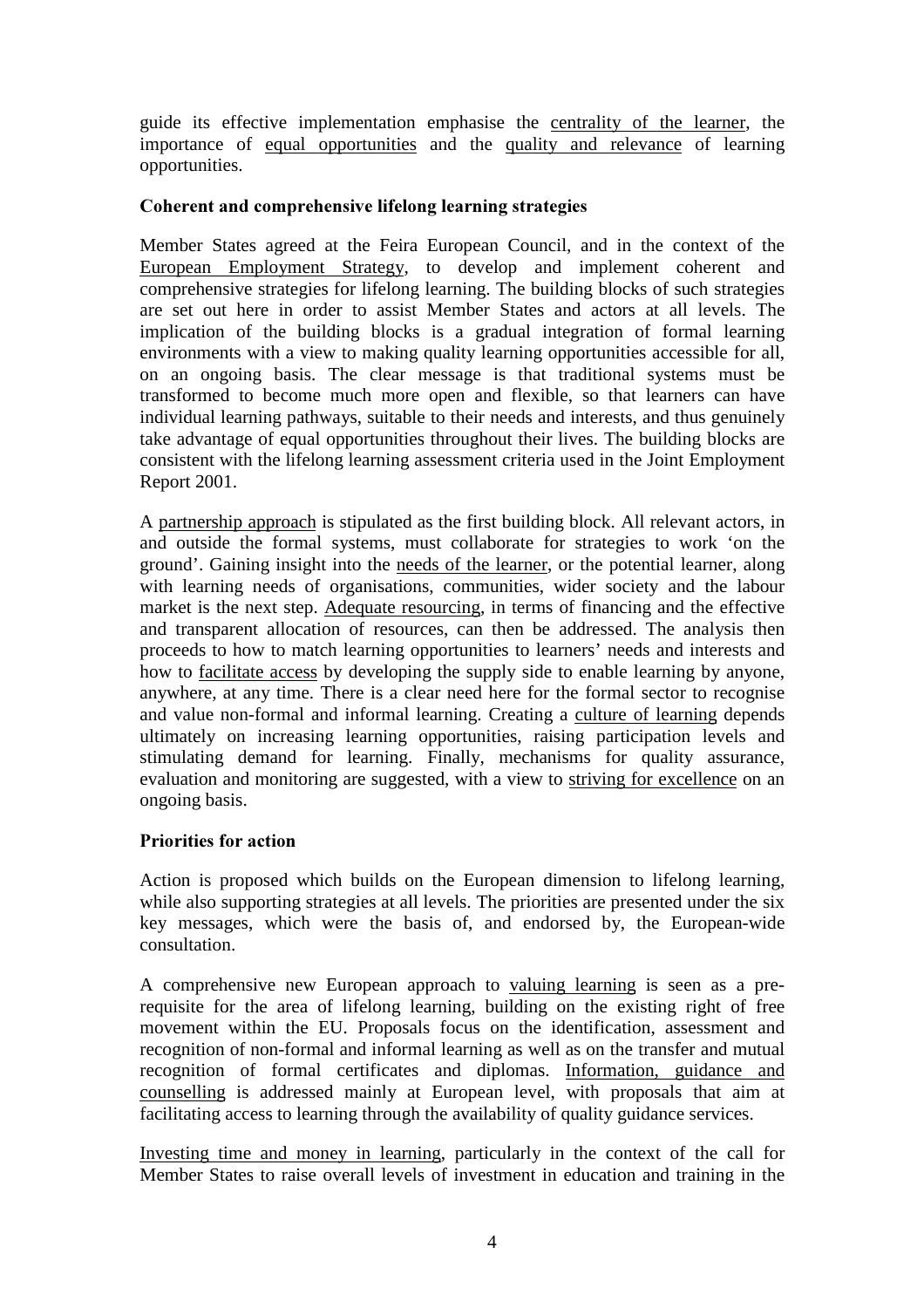guide its effective implementation emphasise the centrality of the learner, the importance of equal opportunities and the quality and relevance of learning opportunities.

## Coherent and comprehensive lifelong learning strategies

Member States agreed at the Feira European Council, and in the context of the European Employment Strategy, to develop and implement coherent and comprehensive strategies for lifelong learning. The building blocks of such strategies are set out here in order to assist Member States and actors at all levels. The implication of the building blocks is a gradual integration of formal learning environments with a view to making quality learning opportunities accessible for all, on an ongoing basis. The clear message is that traditional systems must be transformed to become much more open and flexible, so that learners can have individual learning pathways, suitable to their needs and interests, and thus genuinely take advantage of equal opportunities throughout their lives. The building blocks are consistent with the lifelong learning assessment criteria used in the Joint Employment Report 2001.

A partnership approach is stipulated as the first building block. All relevant actors, in and outside the formal systems, must collaborate for strategies to work 'on the ground'. Gaining insight into the needs of the learner, or the potential learner, along with learning needs of organisations, communities, wider society and the labour market is the next step. Adequate resourcing, in terms of financing and the effective and transparent allocation of resources, can then be addressed. The analysis then proceeds to how to match learning opportunities to learners' needs and interests and how to facilitate access by developing the supply side to enable learning by anyone, anywhere, at any time. There is a clear need here for the formal sector to recognise and value non-formal and informal learning. Creating a culture of learning depends ultimately on increasing learning opportunities, raising participation levels and stimulating demand for learning. Finally, mechanisms for quality assurance, evaluation and monitoring are suggested, with a view to striving for excellence on an ongoing basis.

## Priorities for action

Action is proposed which builds on the European dimension to lifelong learning, while also supporting strategies at all levels. The priorities are presented under the six key messages, which were the basis of, and endorsed by, the European-wide consultation.

A comprehensive new European approach to valuing learning is seen as a prerequisite for the area of lifelong learning, building on the existing right of free movement within the EU. Proposals focus on the identification, assessment and recognition of non-formal and informal learning as well as on the transfer and mutual recognition of formal certificates and diplomas. Information, guidance and counselling is addressed mainly at European level, with proposals that aim at facilitating access to learning through the availability of quality guidance services.

Investing time and money in learning, particularly in the context of the call for Member States to raise overall levels of investment in education and training in the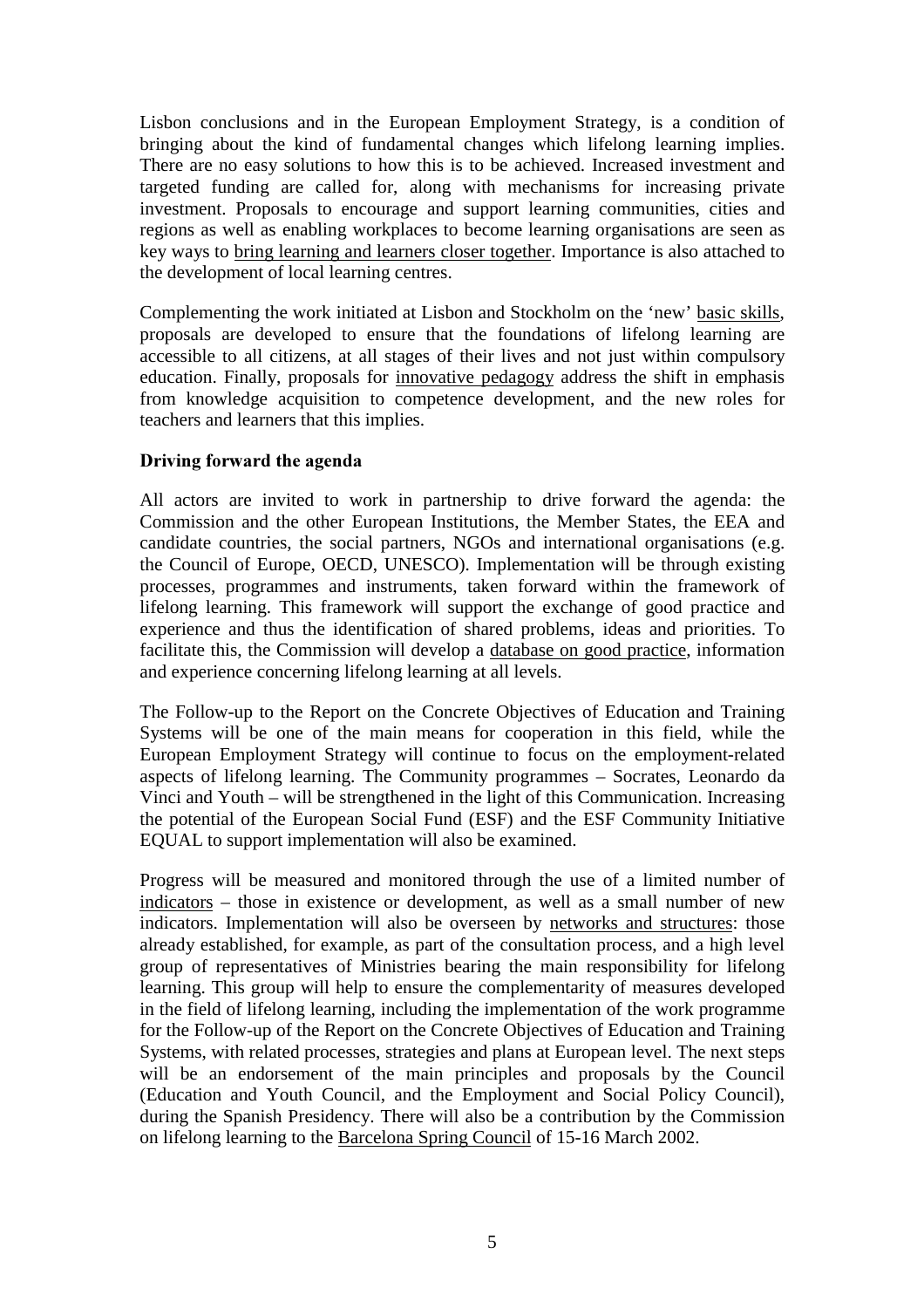Lisbon conclusions and in the European Employment Strategy, is a condition of bringing about the kind of fundamental changes which lifelong learning implies. There are no easy solutions to how this is to be achieved. Increased investment and targeted funding are called for, along with mechanisms for increasing private investment. Proposals to encourage and support learning communities, cities and regions as well as enabling workplaces to become learning organisations are seen as key ways to bring learning and learners closer together. Importance is also attached to the development of local learning centres.

Complementing the work initiated at Lisbon and Stockholm on the 'new' basic skills, proposals are developed to ensure that the foundations of lifelong learning are accessible to all citizens, at all stages of their lives and not just within compulsory education. Finally, proposals for innovative pedagogy address the shift in emphasis from knowledge acquisition to competence development, and the new roles for teachers and learners that this implies.

## Driving forward the agenda

All actors are invited to work in partnership to drive forward the agenda: the Commission and the other European Institutions, the Member States, the EEA and candidate countries, the social partners, NGOs and international organisations (e.g. the Council of Europe, OECD, UNESCO). Implementation will be through existing processes, programmes and instruments, taken forward within the framework of lifelong learning. This framework will support the exchange of good practice and experience and thus the identification of shared problems, ideas and priorities. To facilitate this, the Commission will develop a database on good practice, information and experience concerning lifelong learning at all levels.

The Follow-up to the Report on the Concrete Objectives of Education and Training Systems will be one of the main means for cooperation in this field, while the European Employment Strategy will continue to focus on the employment-related aspects of lifelong learning. The Community programmes – Socrates, Leonardo da Vinci and Youth – will be strengthened in the light of this Communication. Increasing the potential of the European Social Fund (ESF) and the ESF Community Initiative EQUAL to support implementation will also be examined.

Progress will be measured and monitored through the use of a limited number of indicators – those in existence or development, as well as a small number of new indicators. Implementation will also be overseen by networks and structures: those already established, for example, as part of the consultation process, and a high level group of representatives of Ministries bearing the main responsibility for lifelong learning. This group will help to ensure the complementarity of measures developed in the field of lifelong learning, including the implementation of the work programme for the Follow-up of the Report on the Concrete Objectives of Education and Training Systems, with related processes, strategies and plans at European level. The next steps will be an endorsement of the main principles and proposals by the Council (Education and Youth Council, and the Employment and Social Policy Council), during the Spanish Presidency. There will also be a contribution by the Commission on lifelong learning to the Barcelona Spring Council of 15-16 March 2002.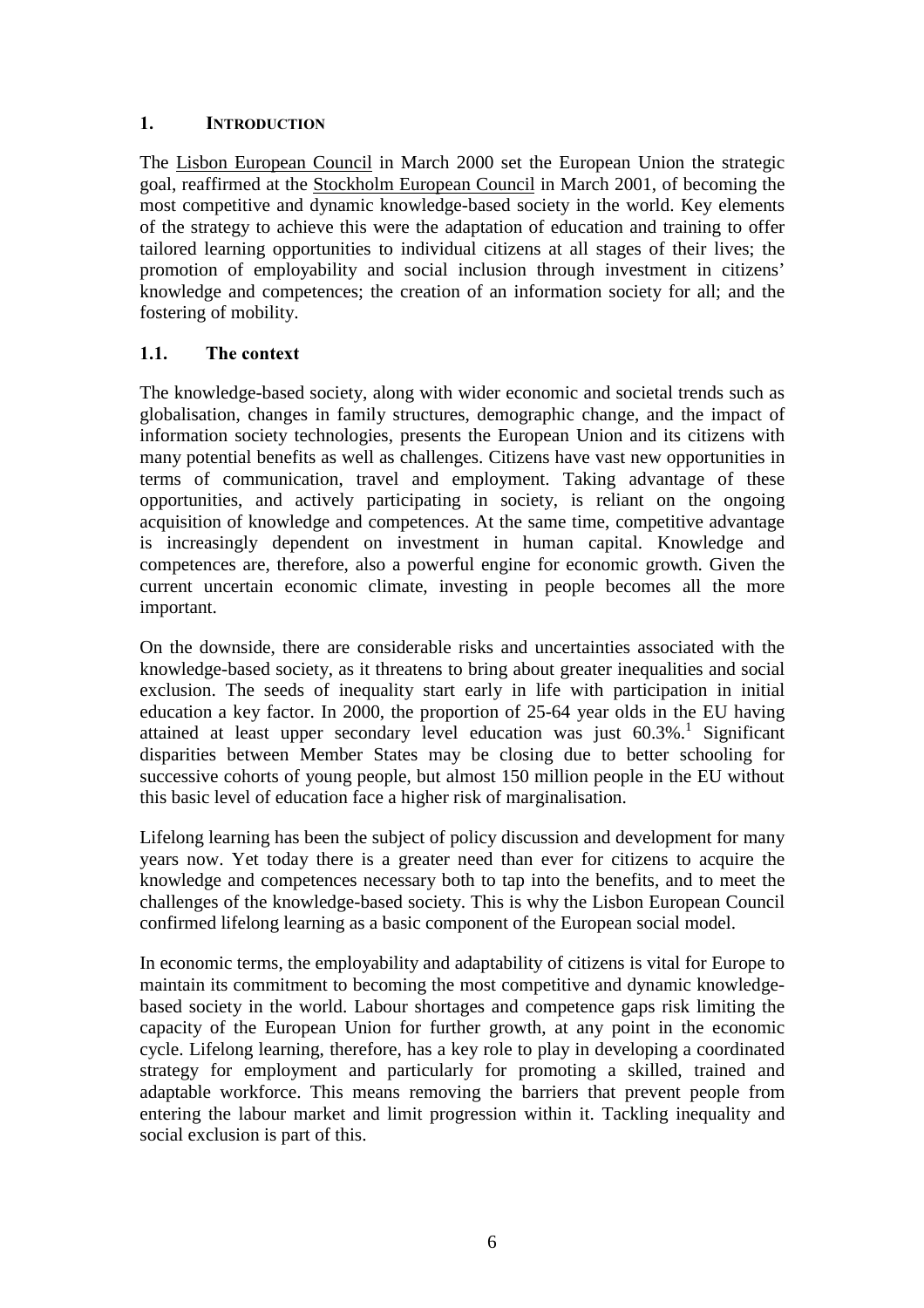## 1. INTRODUCTION

The Lisbon European Council in March 2000 set the European Union the strategic goal, reaffirmed at the Stockholm European Council in March 2001, of becoming the most competitive and dynamic knowledge-based society in the world. Key elements of the strategy to achieve this were the adaptation of education and training to offer tailored learning opportunities to individual citizens at all stages of their lives; the promotion of employability and social inclusion through investment in citizens' knowledge and competences; the creation of an information society for all; and the fostering of mobility.

## 1.1. The context

The knowledge-based society, along with wider economic and societal trends such as globalisation, changes in family structures, demographic change, and the impact of information society technologies, presents the European Union and its citizens with many potential benefits as well as challenges. Citizens have vast new opportunities in terms of communication, travel and employment. Taking advantage of these opportunities, and actively participating in society, is reliant on the ongoing acquisition of knowledge and competences. At the same time, competitive advantage is increasingly dependent on investment in human capital. Knowledge and competences are, therefore, also a powerful engine for economic growth. Given the current uncertain economic climate, investing in people becomes all the more important.

On the downside, there are considerable risks and uncertainties associated with the knowledge-based society, as it threatens to bring about greater inequalities and social exclusion. The seeds of inequality start early in life with participation in initial education a key factor. In 2000, the proportion of 25-64 year olds in the EU having attained at least upper secondary level education was just 60.3%.<sup>1</sup> Significant disparities between Member States may be closing due to better schooling for successive cohorts of young people, but almost 150 million people in the EU without this basic level of education face a higher risk of marginalisation.

Lifelong learning has been the subject of policy discussion and development for many years now. Yet today there is a greater need than ever for citizens to acquire the knowledge and competences necessary both to tap into the benefits, and to meet the challenges of the knowledge-based society. This is why the Lisbon European Council confirmed lifelong learning as a basic component of the European social model.

In economic terms, the employability and adaptability of citizens is vital for Europe to maintain its commitment to becoming the most competitive and dynamic knowledgebased society in the world. Labour shortages and competence gaps risk limiting the capacity of the European Union for further growth, at any point in the economic cycle. Lifelong learning, therefore, has a key role to play in developing a coordinated strategy for employment and particularly for promoting a skilled, trained and adaptable workforce. This means removing the barriers that prevent people from entering the labour market and limit progression within it. Tackling inequality and social exclusion is part of this.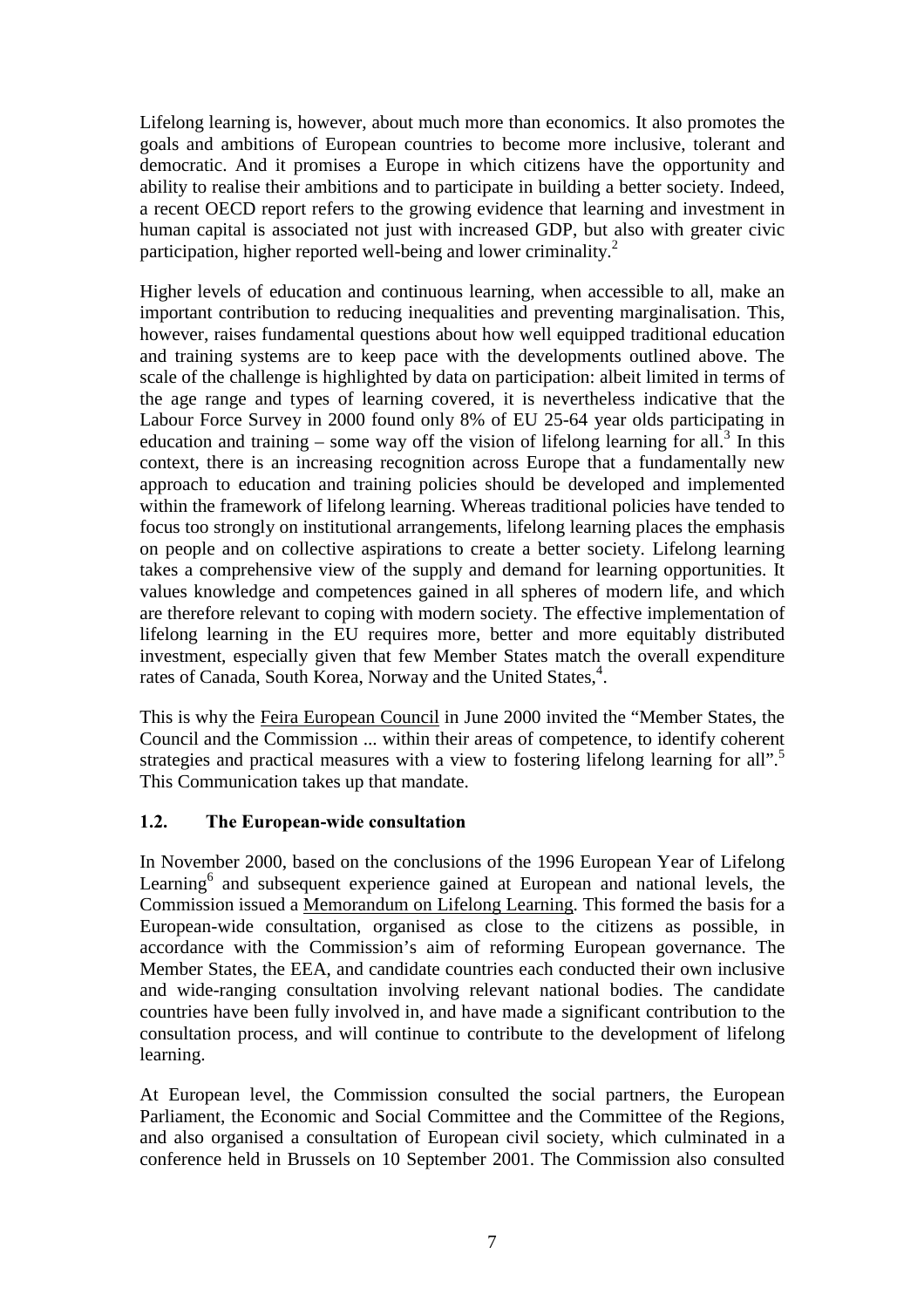Lifelong learning is, however, about much more than economics. It also promotes the goals and ambitions of European countries to become more inclusive, tolerant and democratic. And it promises a Europe in which citizens have the opportunity and ability to realise their ambitions and to participate in building a better society. Indeed, a recent OECD report refers to the growing evidence that learning and investment in human capital is associated not just with increased GDP, but also with greater civic participation, higher reported well-being and lower criminality.<sup>2</sup>

Higher levels of education and continuous learning, when accessible to all, make an important contribution to reducing inequalities and preventing marginalisation. This, however, raises fundamental questions about how well equipped traditional education and training systems are to keep pace with the developments outlined above. The scale of the challenge is highlighted by data on participation: albeit limited in terms of the age range and types of learning covered, it is nevertheless indicative that the Labour Force Survey in 2000 found only 8% of EU 25-64 year olds participating in education and training  $-$  some way off the vision of lifelong learning for all.<sup>3</sup> In this context, there is an increasing recognition across Europe that a fundamentally new approach to education and training policies should be developed and implemented within the framework of lifelong learning. Whereas traditional policies have tended to focus too strongly on institutional arrangements, lifelong learning places the emphasis on people and on collective aspirations to create a better society. Lifelong learning takes a comprehensive view of the supply and demand for learning opportunities. It values knowledge and competences gained in all spheres of modern life, and which are therefore relevant to coping with modern society. The effective implementation of lifelong learning in the EU requires more, better and more equitably distributed investment, especially given that few Member States match the overall expenditure rates of Canada, South Korea, Norway and the United States,<sup>4</sup>.

This is why the Feira European Council in June 2000 invited the "Member States, the Council and the Commission ... within their areas of competence, to identify coherent strategies and practical measures with a view to fostering lifelong learning for all".<sup>5</sup> This Communication takes up that mandate.

## 1.2. The European-wide consultation

In November 2000, based on the conclusions of the 1996 European Year of Lifelong Learning<sup>6</sup> and subsequent experience gained at European and national levels, the Commission issued a Memorandum on Lifelong Learning. This formed the basis for a European-wide consultation, organised as close to the citizens as possible, in accordance with the Commission's aim of reforming European governance. The Member States, the EEA, and candidate countries each conducted their own inclusive and wide-ranging consultation involving relevant national bodies. The candidate countries have been fully involved in, and have made a significant contribution to the consultation process, and will continue to contribute to the development of lifelong learning.

At European level, the Commission consulted the social partners, the European Parliament, the Economic and Social Committee and the Committee of the Regions, and also organised a consultation of European civil society, which culminated in a conference held in Brussels on 10 September 2001. The Commission also consulted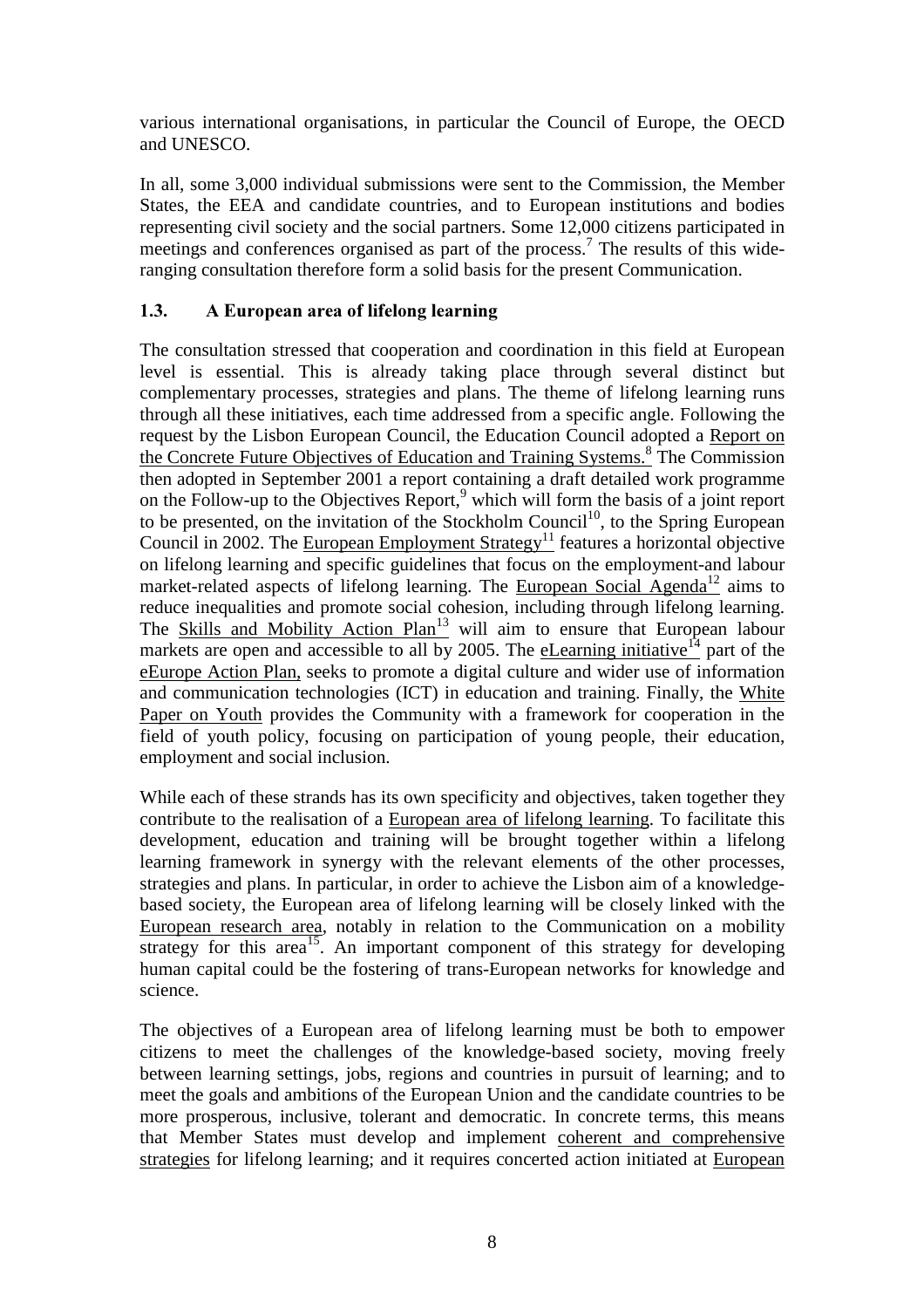various international organisations, in particular the Council of Europe, the OECD and UNESCO.

In all, some 3,000 individual submissions were sent to the Commission, the Member States, the EEA and candidate countries, and to European institutions and bodies representing civil society and the social partners. Some 12,000 citizens participated in meetings and conferences organised as part of the process.<sup>7</sup> The results of this wideranging consultation therefore form a solid basis for the present Communication.

## 1.3. A European area of lifelong learning

The consultation stressed that cooperation and coordination in this field at European level is essential. This is already taking place through several distinct but complementary processes, strategies and plans. The theme of lifelong learning runs through all these initiatives, each time addressed from a specific angle. Following the request by the Lisbon European Council, the Education Council adopted a Report on the Concrete Future Objectives of Education and Training Systems.<sup>8</sup> The Commission then adopted in September 2001 a report containing a draft detailed work programme on the Follow-up to the Objectives Report, which will form the basis of a joint report to be presented, on the invitation of the Stockholm Council<sup>10</sup>, to the Spring European Council in 2002. The European Employment Strategy<sup>11</sup> features a horizontal objective on lifelong learning and specific guidelines that focus on the employment-and labour market-related aspects of lifelong learning. The European Social Agenda<sup>12</sup> aims to reduce inequalities and promote social cohesion, including through lifelong learning. The Skills and Mobility Action Plan<sup>13</sup> will aim to ensure that European labour markets are open and accessible to all by 2005. The eLearning initiative<sup>14</sup> part of the eEurope Action Plan, seeks to promote a digital culture and wider use of information and communication technologies (ICT) in education and training. Finally, the White Paper on Youth provides the Community with a framework for cooperation in the field of youth policy, focusing on participation of young people, their education, employment and social inclusion.

While each of these strands has its own specificity and objectives, taken together they contribute to the realisation of a European area of lifelong learning. To facilitate this development, education and training will be brought together within a lifelong learning framework in synergy with the relevant elements of the other processes, strategies and plans. In particular, in order to achieve the Lisbon aim of a knowledgebased society, the European area of lifelong learning will be closely linked with the European research area, notably in relation to the Communication on a mobility strategy for this area<sup>15</sup>. An important component of this strategy for developing human capital could be the fostering of trans-European networks for knowledge and science.

The objectives of a European area of lifelong learning must be both to empower citizens to meet the challenges of the knowledge-based society, moving freely between learning settings, jobs, regions and countries in pursuit of learning; and to meet the goals and ambitions of the European Union and the candidate countries to be more prosperous, inclusive, tolerant and democratic. In concrete terms, this means that Member States must develop and implement coherent and comprehensive strategies for lifelong learning; and it requires concerted action initiated at European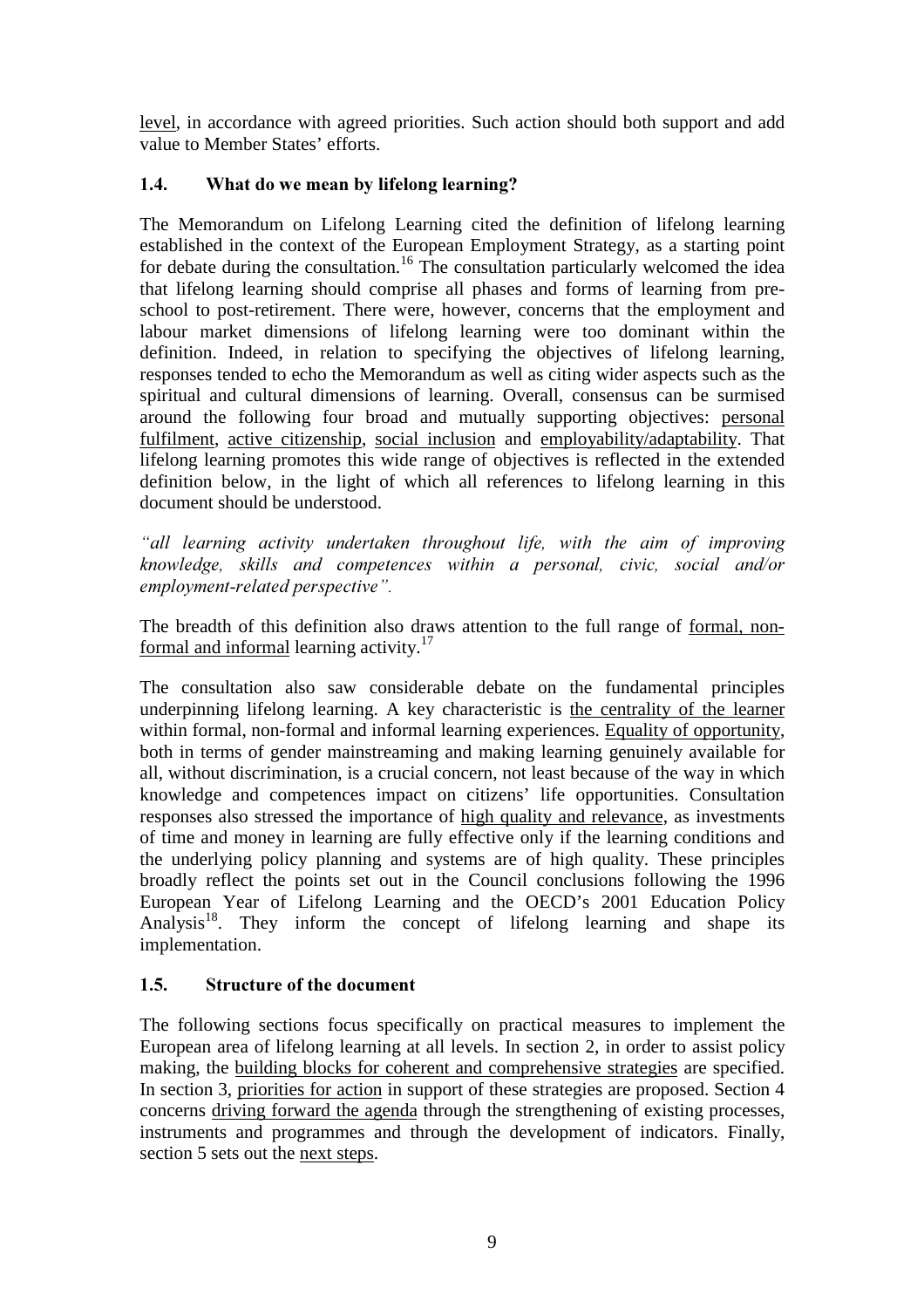level, in accordance with agreed priorities. Such action should both support and add value to Member States' efforts.

## 1.4. What do we mean by lifelong learning?

The Memorandum on Lifelong Learning cited the definition of lifelong learning established in the context of the European Employment Strategy, as a starting point for debate during the consultation.<sup>16</sup> The consultation particularly welcomed the idea that lifelong learning should comprise all phases and forms of learning from preschool to post-retirement. There were, however, concerns that the employment and labour market dimensions of lifelong learning were too dominant within the definition. Indeed, in relation to specifying the objectives of lifelong learning, responses tended to echo the Memorandum as well as citing wider aspects such as the spiritual and cultural dimensions of learning. Overall, consensus can be surmised around the following four broad and mutually supporting objectives: personal fulfilment, active citizenship, social inclusion and employability/adaptability. That lifelong learning promotes this wide range of objectives is reflected in the extended definition below, in the light of which all references to lifelong learning in this document should be understood.

all learning activity undertaken throughout life, with the aim of improving *knowledge, skills and competences within a personal, civic, social and/or employment-related perspective".* 

The breadth of this definition also draws attention to the full range of formal, nonformal and informal learning activity.<sup>17</sup>

The consultation also saw considerable debate on the fundamental principles underpinning lifelong learning. A key characteristic is the centrality of the learner within formal, non-formal and informal learning experiences. Equality of opportunity, both in terms of gender mainstreaming and making learning genuinely available for all, without discrimination, is a crucial concern, not least because of the way in which knowledge and competences impact on citizens' life opportunities. Consultation responses also stressed the importance of high quality and relevance, as investments of time and money in learning are fully effective only if the learning conditions and the underlying policy planning and systems are of high quality. These principles broadly reflect the points set out in the Council conclusions following the 1996 European Year of Lifelong Learning and the OECD's 2001 Education Policy Analysis<sup>18</sup>. They inform the concept of lifelong learning and shape its implementation.

## 1.5. Structure of the document

The following sections focus specifically on practical measures to implement the European area of lifelong learning at all levels. In section 2, in order to assist policy making, the building blocks for coherent and comprehensive strategies are specified. In section 3, priorities for action in support of these strategies are proposed. Section 4 concerns driving forward the agenda through the strengthening of existing processes, instruments and programmes and through the development of indicators. Finally, section 5 sets out the next steps.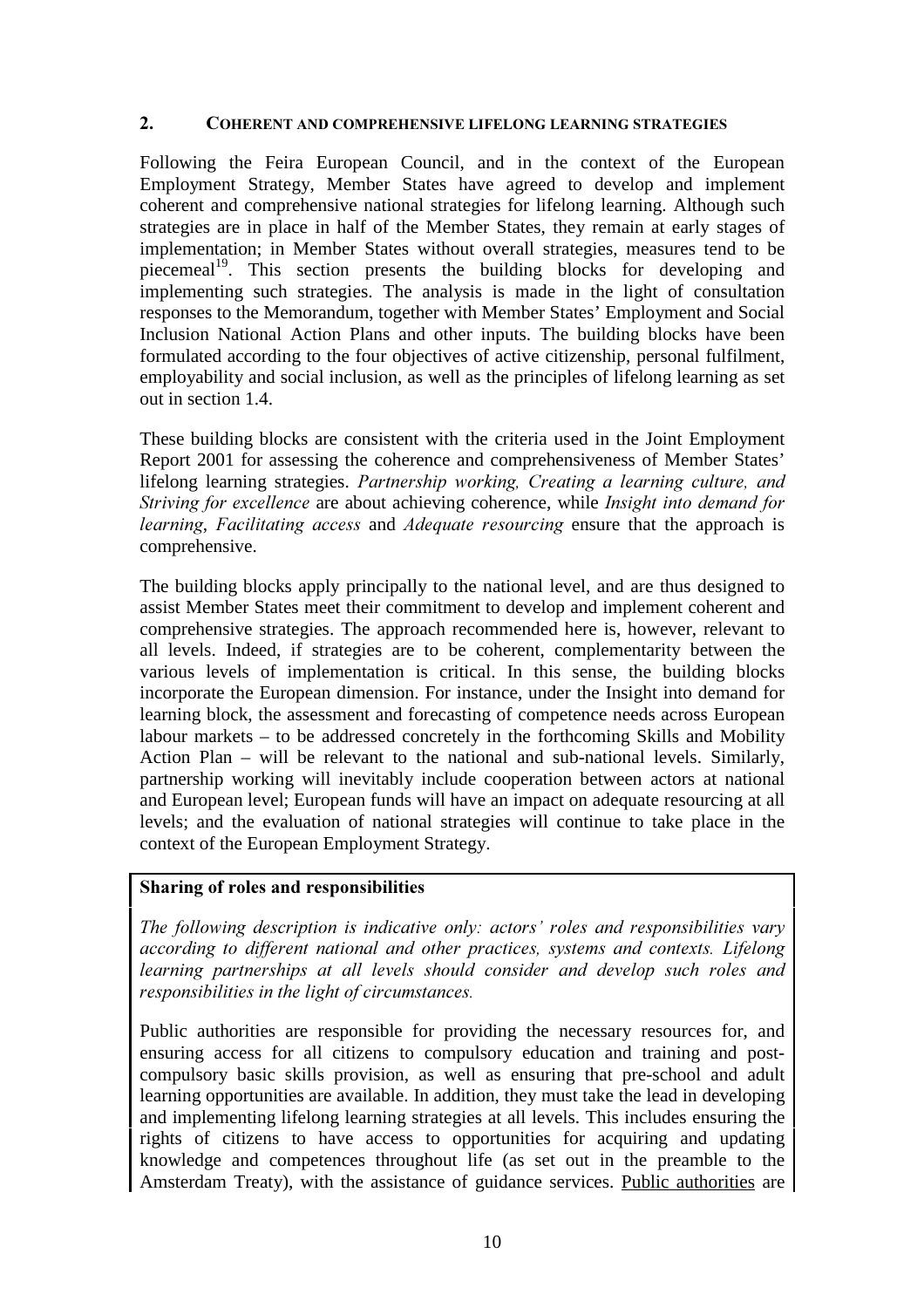## 2. COHERENT AND COMPREHENSIVE LIFELONG LEARNING STRATEGIES

Following the Feira European Council, and in the context of the European Employment Strategy, Member States have agreed to develop and implement coherent and comprehensive national strategies for lifelong learning. Although such strategies are in place in half of the Member States, they remain at early stages of implementation; in Member States without overall strategies, measures tend to be piecemeal<sup>19</sup>. This section presents the building blocks for developing and implementing such strategies. The analysis is made in the light of consultation responses to the Memorandum, together with Member States' Employment and Social Inclusion National Action Plans and other inputs. The building blocks have been formulated according to the four objectives of active citizenship, personal fulfilment, employability and social inclusion, as well as the principles of lifelong learning as set out in section 1.4.

These building blocks are consistent with the criteria used in the Joint Employment Report 2001 for assessing the coherence and comprehensiveness of Member States' lifelong learning strategies. *Partnership working, Creating a learning culture, and Striving for excellence* are about achieving coherence, while *Insight into demand for learning, Facilitating access and <i>Adequate resourcing* ensure that the approach is comprehensive.

The building blocks apply principally to the national level, and are thus designed to assist Member States meet their commitment to develop and implement coherent and comprehensive strategies. The approach recommended here is, however, relevant to all levels. Indeed, if strategies are to be coherent, complementarity between the various levels of implementation is critical. In this sense, the building blocks incorporate the European dimension. For instance, under the Insight into demand for learning block, the assessment and forecasting of competence needs across European labour markets – to be addressed concretely in the forthcoming Skills and Mobility Action Plan – will be relevant to the national and sub-national levels. Similarly, partnership working will inevitably include cooperation between actors at national and European level; European funds will have an impact on adequate resourcing at all levels; and the evaluation of national strategies will continue to take place in the context of the European Employment Strategy.

#### Sharing of roles and responsibilities

*The following description is indicative only: actors' roles and responsibilities vary decording to different national and other practices, systems and contexts. Lifelong Learning partnerships at all levels should consider and develop such roles and responsibilities in the light of circumstances.* 

Public authorities are responsible for providing the necessary resources for, and ensuring access for all citizens to compulsory education and training and postcompulsory basic skills provision, as well as ensuring that pre-school and adult learning opportunities are available. In addition, they must take the lead in developing and implementing lifelong learning strategies at all levels. This includes ensuring the rights of citizens to have access to opportunities for acquiring and updating knowledge and competences throughout life (as set out in the preamble to the Amsterdam Treaty), with the assistance of guidance services. Public authorities are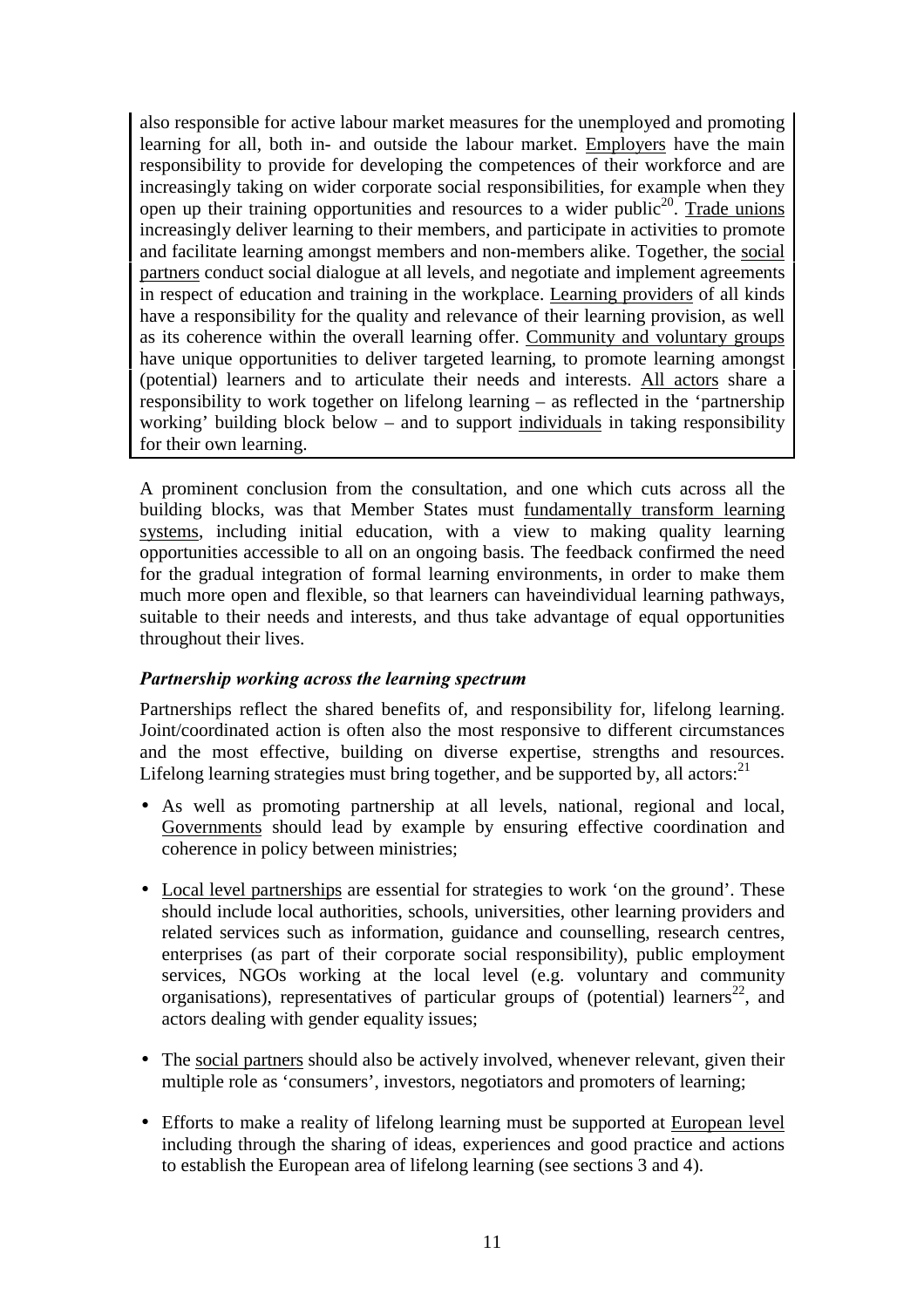also responsible for active labour market measures for the unemployed and promoting learning for all, both in- and outside the labour market. Employers have the main responsibility to provide for developing the competences of their workforce and are increasingly taking on wider corporate social responsibilities, for example when they open up their training opportunities and resources to a wider public<sup>20</sup>. Trade unions increasingly deliver learning to their members, and participate in activities to promote and facilitate learning amongst members and non-members alike. Together, the social partners conduct social dialogue at all levels, and negotiate and implement agreements in respect of education and training in the workplace. Learning providers of all kinds have a responsibility for the quality and relevance of their learning provision, as well as its coherence within the overall learning offer. Community and voluntary groups have unique opportunities to deliver targeted learning, to promote learning amongst (potential) learners and to articulate their needs and interests. All actors share a responsibility to work together on lifelong learning – as reflected in the 'partnership working' building block below – and to support individuals in taking responsibility for their own learning.

A prominent conclusion from the consultation, and one which cuts across all the building blocks, was that Member States must fundamentally transform learning systems, including initial education, with a view to making quality learning opportunities accessible to all on an ongoing basis. The feedback confirmed the need for the gradual integration of formal learning environments, in order to make them much more open and flexible, so that learners can haveindividual learning pathways, suitable to their needs and interests, and thus take advantage of equal opportunities throughout their lives.

## *Partnership working across the learning spectrum*

Partnerships reflect the shared benefits of, and responsibility for, lifelong learning. Joint/coordinated action is often also the most responsive to different circumstances and the most effective, building on diverse expertise, strengths and resources. Lifelong learning strategies must bring together, and be supported by, all actors:  $2^{1}$ 

- As well as promoting partnership at all levels, national, regional and local, Governments should lead by example by ensuring effective coordination and coherence in policy between ministries;
- Local level partnerships are essential for strategies to work 'on the ground'. These should include local authorities, schools, universities, other learning providers and related services such as information, guidance and counselling, research centres, enterprises (as part of their corporate social responsibility), public employment services, NGOs working at the local level (e.g. voluntary and community organisations), representatives of particular groups of (potential) learners<sup>22</sup>, and actors dealing with gender equality issues;
- The social partners should also be actively involved, whenever relevant, given their multiple role as 'consumers', investors, negotiators and promoters of learning;
- Efforts to make a reality of lifelong learning must be supported at European level including through the sharing of ideas, experiences and good practice and actions to establish the European area of lifelong learning (see sections 3 and 4).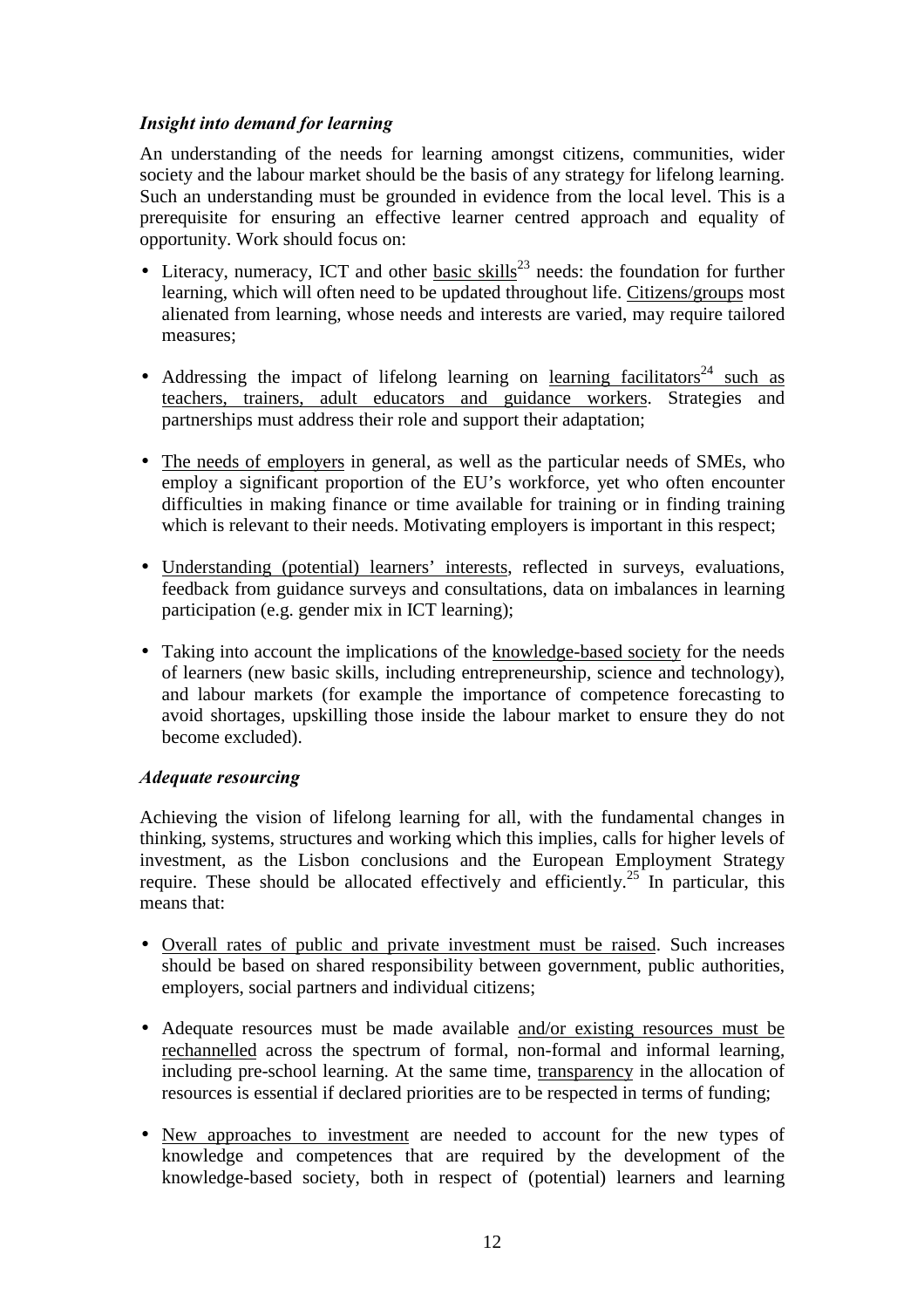## *Insight into demand for learning*

An understanding of the needs for learning amongst citizens, communities, wider society and the labour market should be the basis of any strategy for lifelong learning. Such an understanding must be grounded in evidence from the local level. This is a prerequisite for ensuring an effective learner centred approach and equality of opportunity. Work should focus on:

- Literacy, numeracy, ICT and other  $\underline{basic}$  skills<sup>23</sup> needs: the foundation for further learning, which will often need to be updated throughout life. Citizens/groups most alienated from learning, whose needs and interests are varied, may require tailored measures;
- Addressing the impact of lifelong learning on learning facilitators<sup>24</sup> such as teachers, trainers, adult educators and guidance workers. Strategies and partnerships must address their role and support their adaptation;
- The needs of employers in general, as well as the particular needs of SMEs, who employ a significant proportion of the EU's workforce, yet who often encounter difficulties in making finance or time available for training or in finding training which is relevant to their needs. Motivating employers is important in this respect;
- Understanding (potential) learners' interests, reflected in surveys, evaluations, feedback from guidance surveys and consultations, data on imbalances in learning participation (e.g. gender mix in ICT learning);
- Taking into account the implications of the knowledge-based society for the needs of learners (new basic skills, including entrepreneurship, science and technology), and labour markets (for example the importance of competence forecasting to avoid shortages, upskilling those inside the labour market to ensure they do not become excluded).

## *Adequate resourcing*

Achieving the vision of lifelong learning for all, with the fundamental changes in thinking, systems, structures and working which this implies, calls for higher levels of investment, as the Lisbon conclusions and the European Employment Strategy require. These should be allocated effectively and efficiently.<sup>25</sup> In particular, this means that:

- Overall rates of public and private investment must be raised. Such increases should be based on shared responsibility between government, public authorities, employers, social partners and individual citizens;
- Adequate resources must be made available and/or existing resources must be rechannelled across the spectrum of formal, non-formal and informal learning, including pre-school learning. At the same time, transparency in the allocation of resources is essential if declared priorities are to be respected in terms of funding;
- New approaches to investment are needed to account for the new types of knowledge and competences that are required by the development of the knowledge-based society, both in respect of (potential) learners and learning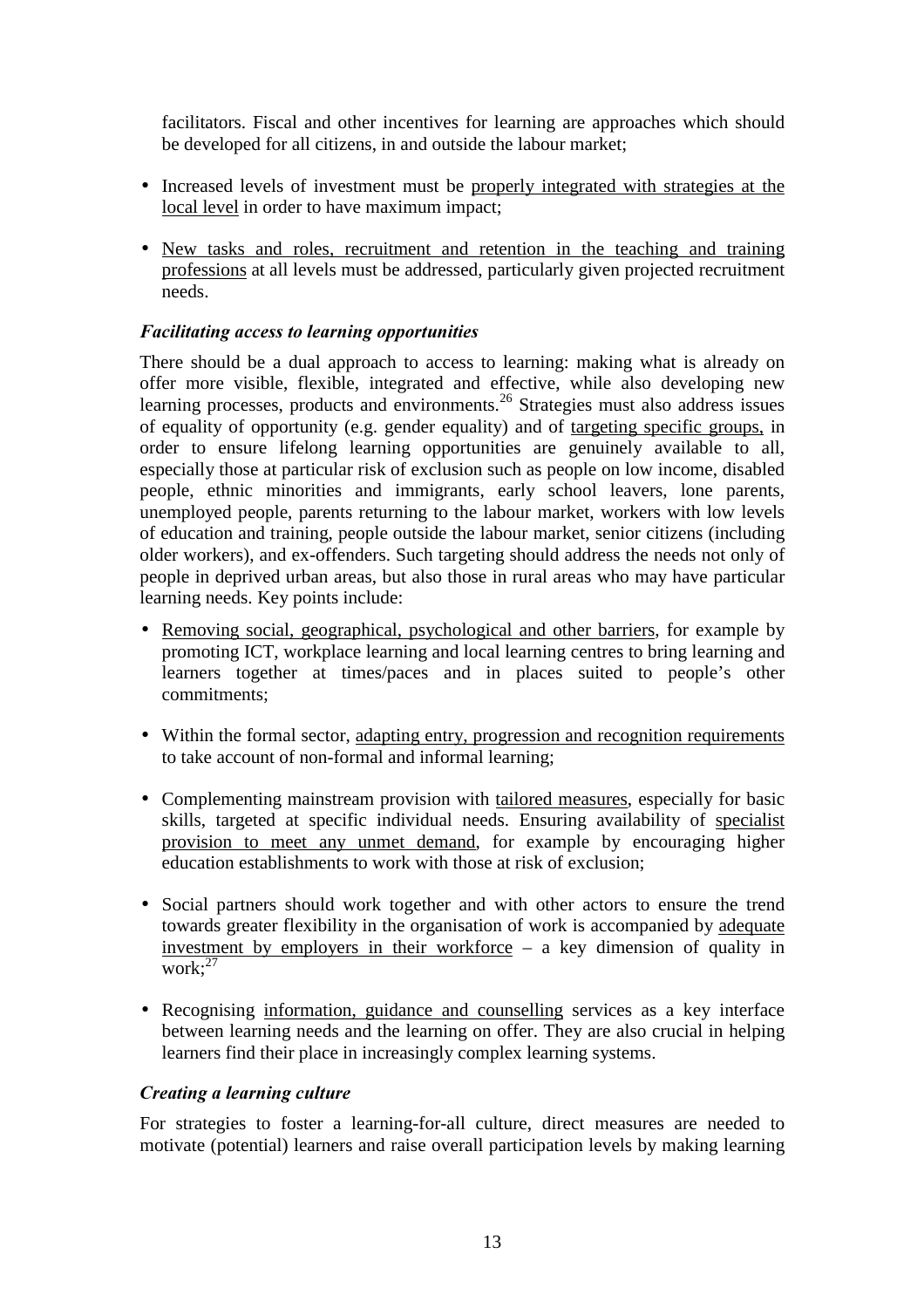facilitators. Fiscal and other incentives for learning are approaches which should be developed for all citizens, in and outside the labour market;

- Increased levels of investment must be properly integrated with strategies at the local level in order to have maximum impact;
- New tasks and roles, recruitment and retention in the teaching and training professions at all levels must be addressed, particularly given projected recruitment needs.

## *Facilitating access to learning opportunities*

There should be a dual approach to access to learning: making what is already on offer more visible, flexible, integrated and effective, while also developing new learning processes, products and environments.<sup>26</sup> Strategies must also address issues of equality of opportunity (e.g. gender equality) and of targeting specific groups, in order to ensure lifelong learning opportunities are genuinely available to all, especially those at particular risk of exclusion such as people on low income, disabled people, ethnic minorities and immigrants, early school leavers, lone parents, unemployed people, parents returning to the labour market, workers with low levels of education and training, people outside the labour market, senior citizens (including older workers), and ex-offenders. Such targeting should address the needs not only of people in deprived urban areas, but also those in rural areas who may have particular learning needs. Key points include:

- Removing social, geographical, psychological and other barriers, for example by promoting ICT, workplace learning and local learning centres to bring learning and learners together at times/paces and in places suited to people's other commitments;
- Within the formal sector, adapting entry, progression and recognition requirements to take account of non-formal and informal learning;
- Complementing mainstream provision with tailored measures, especially for basic skills, targeted at specific individual needs. Ensuring availability of specialist provision to meet any unmet demand, for example by encouraging higher education establishments to work with those at risk of exclusion;
- Social partners should work together and with other actors to ensure the trend towards greater flexibility in the organisation of work is accompanied by adequate investment by employers in their workforce – a key dimension of quality in work; $^{27}$
- Recognising information, guidance and counselling services as a key interface between learning needs and the learning on offer. They are also crucial in helping learners find their place in increasingly complex learning systems.

#### *Creating a learning culture*

For strategies to foster a learning-for-all culture, direct measures are needed to motivate (potential) learners and raise overall participation levels by making learning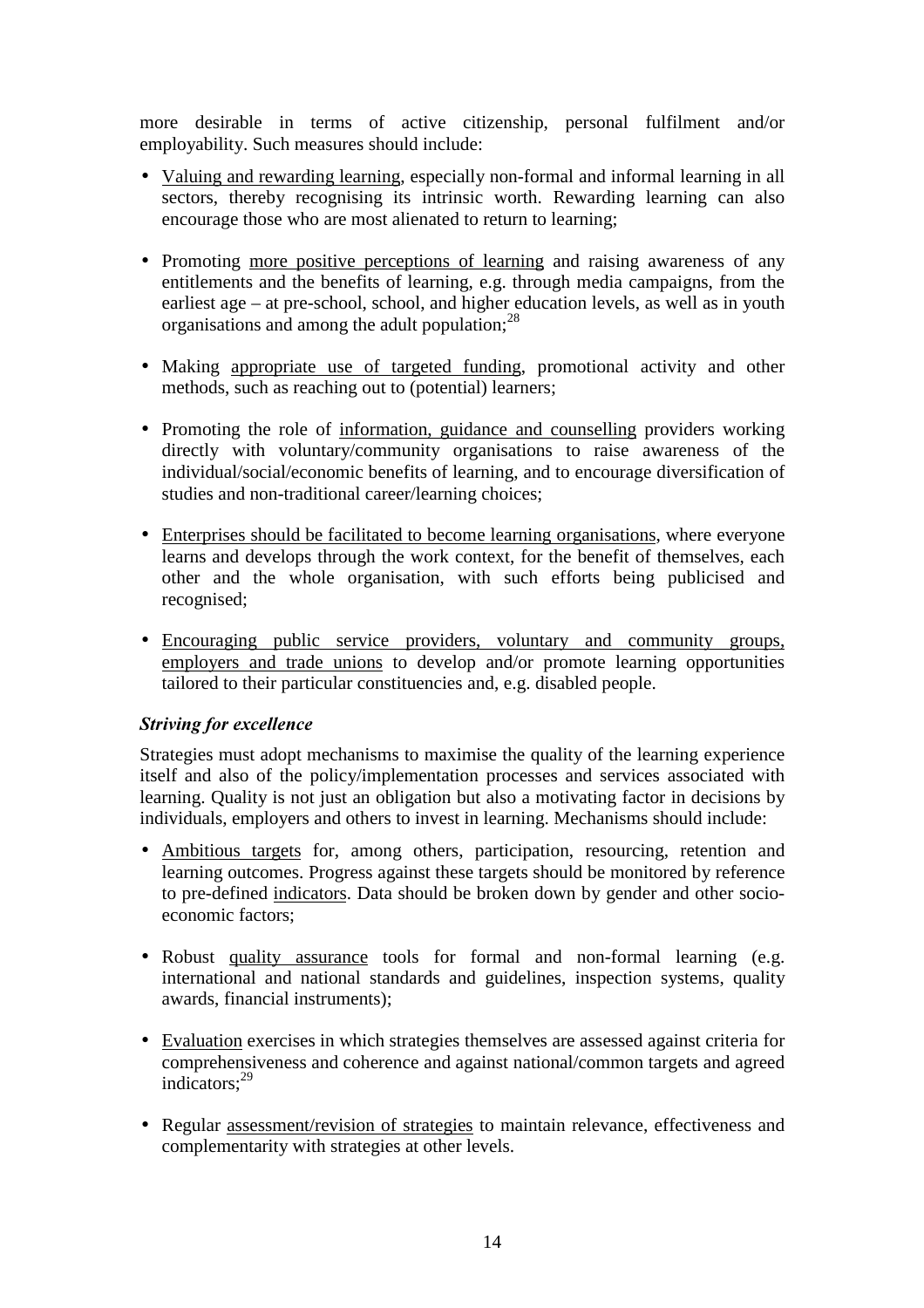more desirable in terms of active citizenship, personal fulfilment and/or employability. Such measures should include:

- Valuing and rewarding learning, especially non-formal and informal learning in all sectors, thereby recognising its intrinsic worth. Rewarding learning can also encourage those who are most alienated to return to learning;
- Promoting more positive perceptions of learning and raising awareness of any entitlements and the benefits of learning, e.g. through media campaigns, from the earliest age – at pre-school, school, and higher education levels, as well as in youth organisations and among the adult population; $^{28}$
- Making appropriate use of targeted funding, promotional activity and other methods, such as reaching out to (potential) learners;
- Promoting the role of information, guidance and counselling providers working directly with voluntary/community organisations to raise awareness of the individual/social/economic benefits of learning, and to encourage diversification of studies and non-traditional career/learning choices;
- Enterprises should be facilitated to become learning organisations, where everyone learns and develops through the work context, for the benefit of themselves, each other and the whole organisation, with such efforts being publicised and recognised;
- Encouraging public service providers, voluntary and community groups, employers and trade unions to develop and/or promote learning opportunities tailored to their particular constituencies and, e.g. disabled people.

## *Striving for excellence*

Strategies must adopt mechanisms to maximise the quality of the learning experience itself and also of the policy/implementation processes and services associated with learning. Quality is not just an obligation but also a motivating factor in decisions by individuals, employers and others to invest in learning. Mechanisms should include:

- Ambitious targets for, among others, participation, resourcing, retention and learning outcomes. Progress against these targets should be monitored by reference to pre-defined indicators. Data should be broken down by gender and other socioeconomic factors;
- Robust quality assurance tools for formal and non-formal learning (e.g. international and national standards and guidelines, inspection systems, quality awards, financial instruments);
- Evaluation exercises in which strategies themselves are assessed against criteria for comprehensiveness and coherence and against national/common targets and agreed indicators:<sup>29</sup>
- Regular assessment/revision of strategies to maintain relevance, effectiveness and complementarity with strategies at other levels.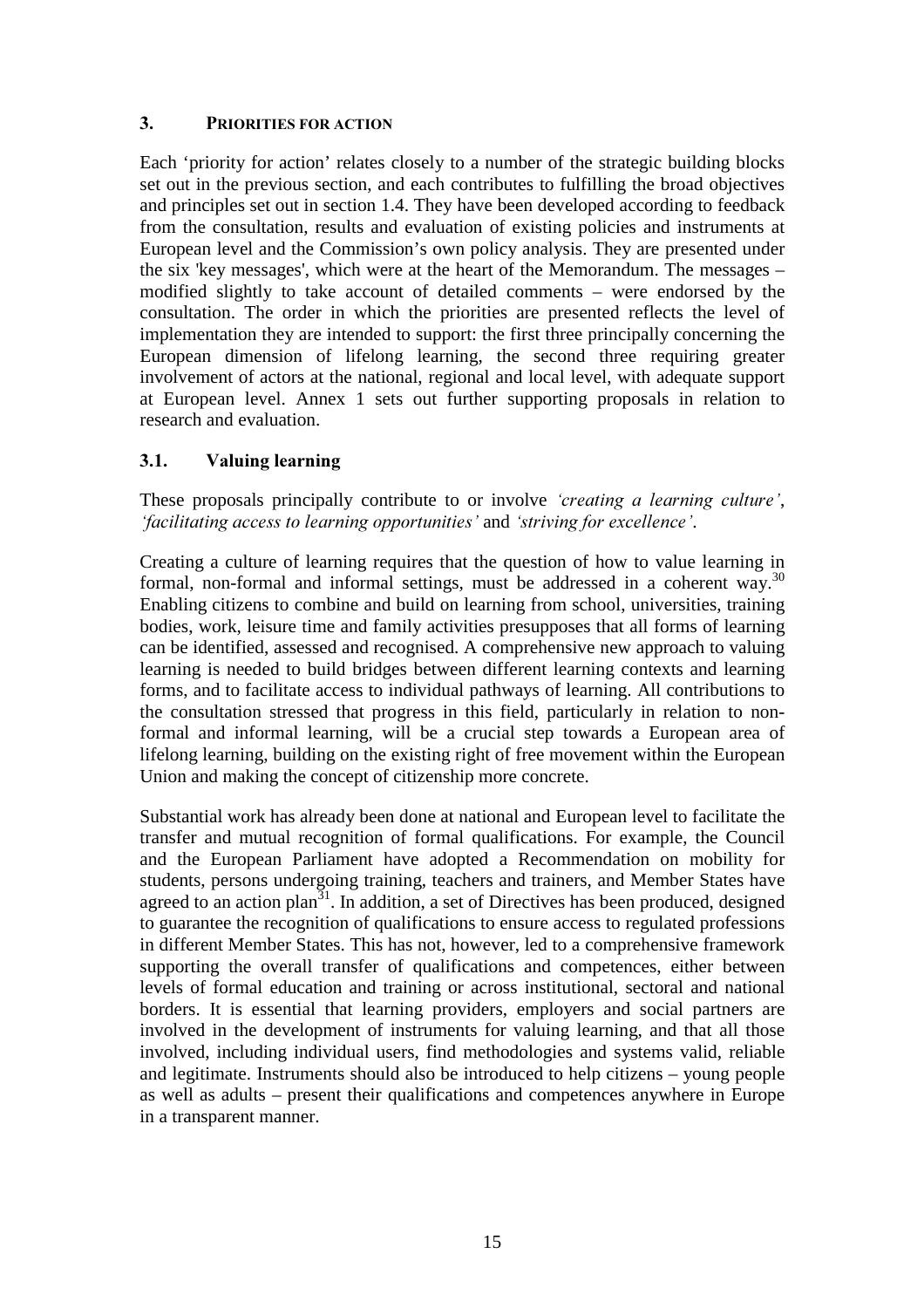## 3. PRIORITIES FOR ACTION

Each 'priority for action' relates closely to a number of the strategic building blocks set out in the previous section, and each contributes to fulfilling the broad objectives and principles set out in section 1.4. They have been developed according to feedback from the consultation, results and evaluation of existing policies and instruments at European level and the Commission's own policy analysis. They are presented under the six 'key messages', which were at the heart of the Memorandum. The messages – modified slightly to take account of detailed comments – were endorsed by the consultation. The order in which the priorities are presented reflects the level of implementation they are intended to support: the first three principally concerning the European dimension of lifelong learning, the second three requiring greater involvement of actors at the national, regional and local level, with adequate support at European level. Annex 1 sets out further supporting proposals in relation to research and evaluation.

## 3.1. Valuing learning

These proposals principally contribute to or involve *'creating a learning culture'*, *Hacilitating access to learning opportunities'* and *'striving for excellence'*.

Creating a culture of learning requires that the question of how to value learning in formal, non-formal and informal settings, must be addressed in a coherent way.<sup>30</sup> Enabling citizens to combine and build on learning from school, universities, training bodies, work, leisure time and family activities presupposes that all forms of learning can be identified, assessed and recognised. A comprehensive new approach to valuing learning is needed to build bridges between different learning contexts and learning forms, and to facilitate access to individual pathways of learning. All contributions to the consultation stressed that progress in this field, particularly in relation to nonformal and informal learning, will be a crucial step towards a European area of lifelong learning, building on the existing right of free movement within the European Union and making the concept of citizenship more concrete.

Substantial work has already been done at national and European level to facilitate the transfer and mutual recognition of formal qualifications. For example, the Council and the European Parliament have adopted a Recommendation on mobility for students, persons undergoing training, teachers and trainers, and Member States have agreed to an action plan<sup>31</sup>. In addition, a set of Directives has been produced, designed to guarantee the recognition of qualifications to ensure access to regulated professions in different Member States. This has not, however, led to a comprehensive framework supporting the overall transfer of qualifications and competences, either between levels of formal education and training or across institutional, sectoral and national borders. It is essential that learning providers, employers and social partners are involved in the development of instruments for valuing learning, and that all those involved, including individual users, find methodologies and systems valid, reliable and legitimate. Instruments should also be introduced to help citizens – young people as well as adults – present their qualifications and competences anywhere in Europe in a transparent manner.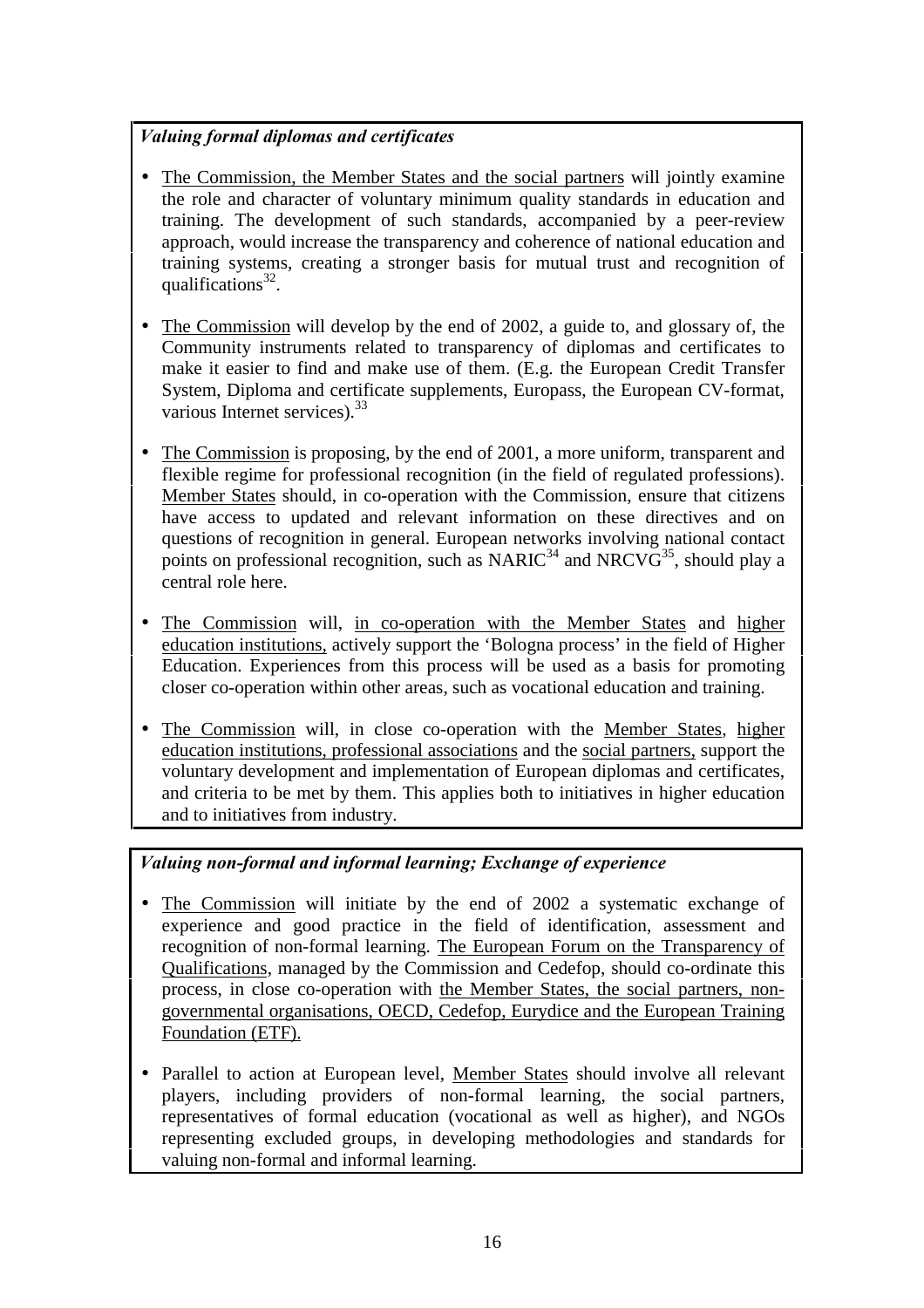## *Valuing formal diplomas and certificates*

- The Commission, the Member States and the social partners will jointly examine the role and character of voluntary minimum quality standards in education and training. The development of such standards, accompanied by a peer-review approach, would increase the transparency and coherence of national education and training systems, creating a stronger basis for mutual trust and recognition of qualifications $32$ .
- The Commission will develop by the end of 2002, a guide to, and glossary of, the Community instruments related to transparency of diplomas and certificates to make it easier to find and make use of them. (E.g. the European Credit Transfer System, Diploma and certificate supplements, Europass, the European CV-format, various Internet services).<sup>33</sup>
- The Commission is proposing, by the end of 2001, a more uniform, transparent and flexible regime for professional recognition (in the field of regulated professions). Member States should, in co-operation with the Commission, ensure that citizens have access to updated and relevant information on these directives and on questions of recognition in general. European networks involving national contact points on professional recognition, such as NARIC<sup>34</sup> and NRCV $G^{35}$ , should play a central role here.
- The Commission will, in co-operation with the Member States and higher education institutions, actively support the 'Bologna process' in the field of Higher Education. Experiences from this process will be used as a basis for promoting closer co-operation within other areas, such as vocational education and training.
- The Commission will, in close co-operation with the Member States, higher education institutions, professional associations and the social partners, support the voluntary development and implementation of European diplomas and certificates, and criteria to be met by them. This applies both to initiatives in higher education and to initiatives from industry.

## *Valuing non-formal and informal learning; Exchange of experience*

- The Commission will initiate by the end of 2002 a systematic exchange of experience and good practice in the field of identification, assessment and recognition of non-formal learning. The European Forum on the Transparency of Qualifications, managed by the Commission and Cedefop, should co-ordinate this process, in close co-operation with the Member States, the social partners, nongovernmental organisations, OECD, Cedefop, Eurydice and the European Training Foundation (ETF).
- Parallel to action at European level, Member States should involve all relevant players, including providers of non-formal learning, the social partners, representatives of formal education (vocational as well as higher), and NGOs representing excluded groups, in developing methodologies and standards for valuing non-formal and informal learning.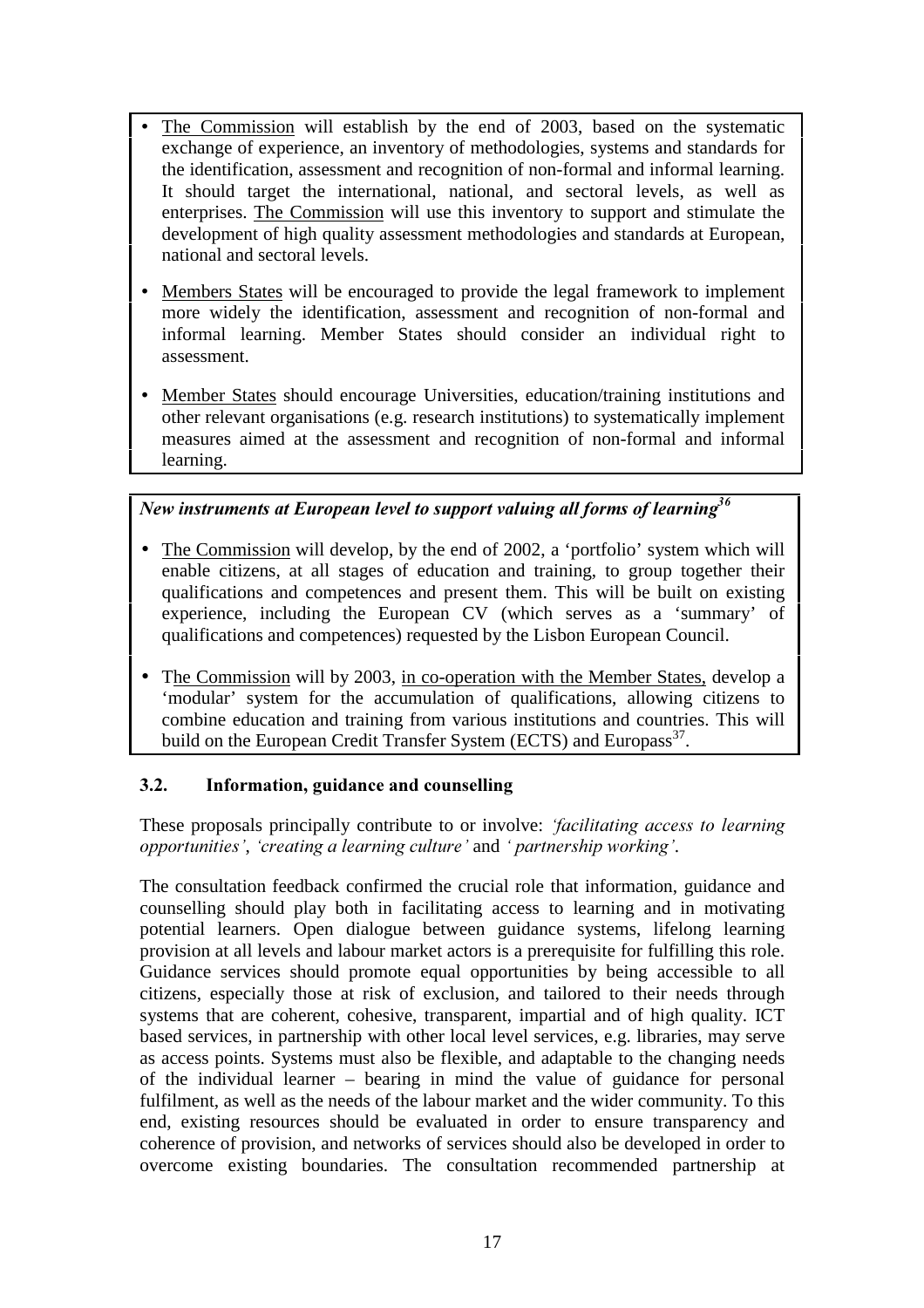- The Commission will establish by the end of 2003, based on the systematic exchange of experience, an inventory of methodologies, systems and standards for the identification, assessment and recognition of non-formal and informal learning. It should target the international, national, and sectoral levels, as well as enterprises. The Commission will use this inventory to support and stimulate the development of high quality assessment methodologies and standards at European, national and sectoral levels.
- Members States will be encouraged to provide the legal framework to implement more widely the identification, assessment and recognition of non-formal and informal learning. Member States should consider an individual right to assessment.
- Member States should encourage Universities, education/training institutions and other relevant organisations (e.g. research institutions) to systematically implement measures aimed at the assessment and recognition of non-formal and informal learning.

## *New instruments at European level to support valuing all forms of learning*<sup>36</sup>

- The Commission will develop, by the end of 2002, a 'portfolio' system which will enable citizens, at all stages of education and training, to group together their qualifications and competences and present them. This will be built on existing experience, including the European CV (which serves as a 'summary' of qualifications and competences) requested by the Lisbon European Council.
- The Commission will by 2003, in co-operation with the Member States, develop a 'modular' system for the accumulation of qualifications, allowing citizens to combine education and training from various institutions and countries. This will build on the European Credit Transfer System (ECTS) and Europass<sup>37</sup>.

## 3.2. Information, guidance and counselling

These proposals principally contribute to or involve: *'facilitating access to learning Apportunities', 'creating a learning culture'* and *' partnership working'*.

The consultation feedback confirmed the crucial role that information, guidance and counselling should play both in facilitating access to learning and in motivating potential learners. Open dialogue between guidance systems, lifelong learning provision at all levels and labour market actors is a prerequisite for fulfilling this role. Guidance services should promote equal opportunities by being accessible to all citizens, especially those at risk of exclusion, and tailored to their needs through systems that are coherent, cohesive, transparent, impartial and of high quality. ICT based services, in partnership with other local level services, e.g. libraries, may serve as access points. Systems must also be flexible, and adaptable to the changing needs of the individual learner – bearing in mind the value of guidance for personal fulfilment, as well as the needs of the labour market and the wider community. To this end, existing resources should be evaluated in order to ensure transparency and coherence of provision, and networks of services should also be developed in order to overcome existing boundaries. The consultation recommended partnership at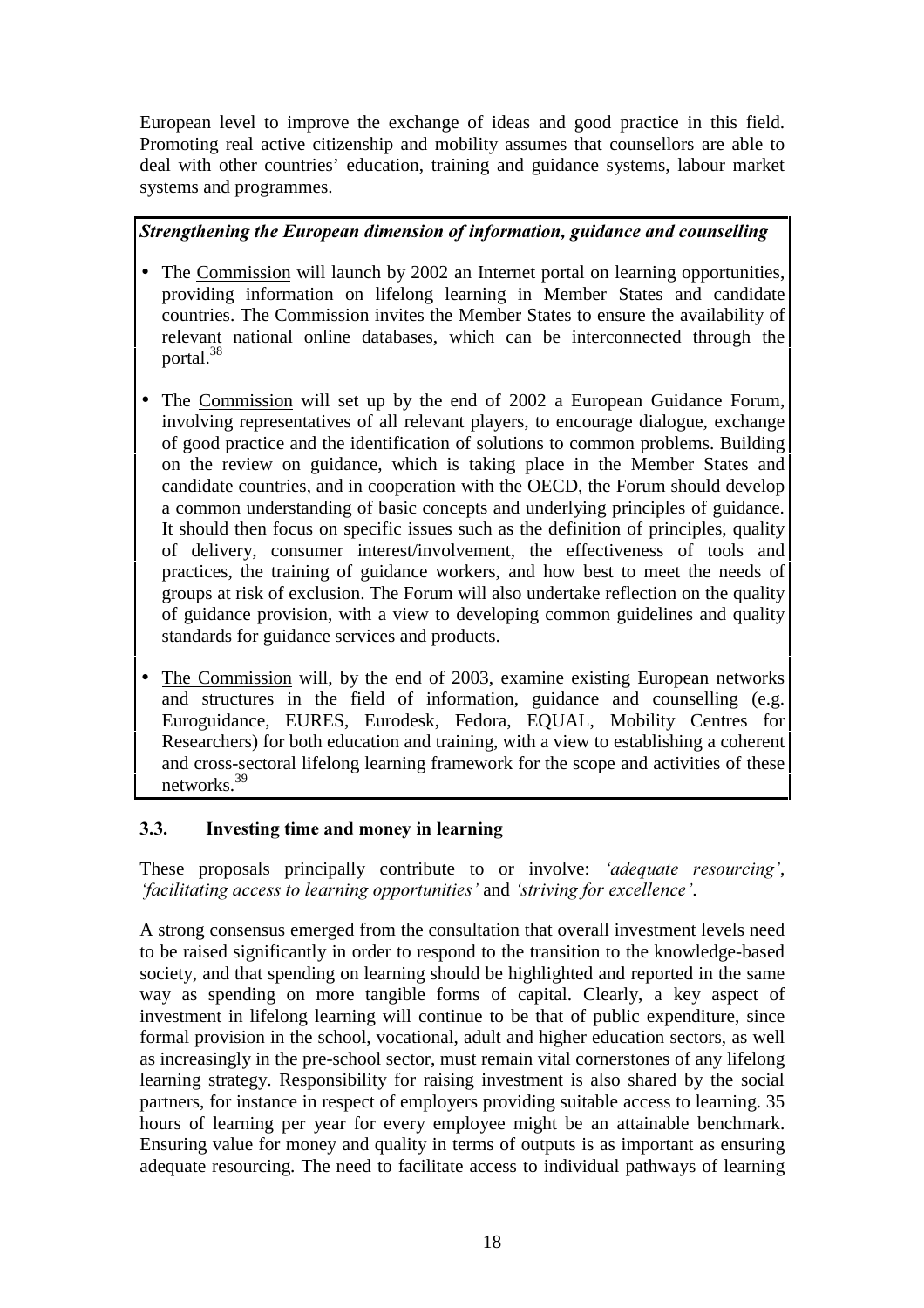European level to improve the exchange of ideas and good practice in this field. Promoting real active citizenship and mobility assumes that counsellors are able to deal with other countries' education, training and guidance systems, labour market systems and programmes.

*Strengthening the European dimension of information, guidance and counselling* 

- The Commission will launch by 2002 an Internet portal on learning opportunities, providing information on lifelong learning in Member States and candidate countries. The Commission invites the Member States to ensure the availability of relevant national online databases, which can be interconnected through the portal.38
- The Commission will set up by the end of 2002 a European Guidance Forum, involving representatives of all relevant players, to encourage dialogue, exchange of good practice and the identification of solutions to common problems. Building on the review on guidance, which is taking place in the Member States and candidate countries, and in cooperation with the OECD, the Forum should develop a common understanding of basic concepts and underlying principles of guidance. It should then focus on specific issues such as the definition of principles, quality of delivery, consumer interest/involvement, the effectiveness of tools and practices, the training of guidance workers, and how best to meet the needs of groups at risk of exclusion. The Forum will also undertake reflection on the quality of guidance provision, with a view to developing common guidelines and quality standards for guidance services and products.
- The Commission will, by the end of 2003, examine existing European networks and structures in the field of information, guidance and counselling (e.g. Euroguidance, EURES, Eurodesk, Fedora, EQUAL, Mobility Centres for Researchers) for both education and training, with a view to establishing a coherent and cross-sectoral lifelong learning framework for the scope and activities of these networks.<sup>39</sup>

## 3.3. Investing time and money in learning

These proposals principally contribute to or involve: *'adequate resourcing'*, *facilitating access to learning opportunities'* and *'striving for excellence'*.

A strong consensus emerged from the consultation that overall investment levels need to be raised significantly in order to respond to the transition to the knowledge-based society, and that spending on learning should be highlighted and reported in the same way as spending on more tangible forms of capital. Clearly, a key aspect of investment in lifelong learning will continue to be that of public expenditure, since formal provision in the school, vocational, adult and higher education sectors, as well as increasingly in the pre-school sector, must remain vital cornerstones of any lifelong learning strategy. Responsibility for raising investment is also shared by the social partners, for instance in respect of employers providing suitable access to learning. 35 hours of learning per year for every employee might be an attainable benchmark. Ensuring value for money and quality in terms of outputs is as important as ensuring adequate resourcing. The need to facilitate access to individual pathways of learning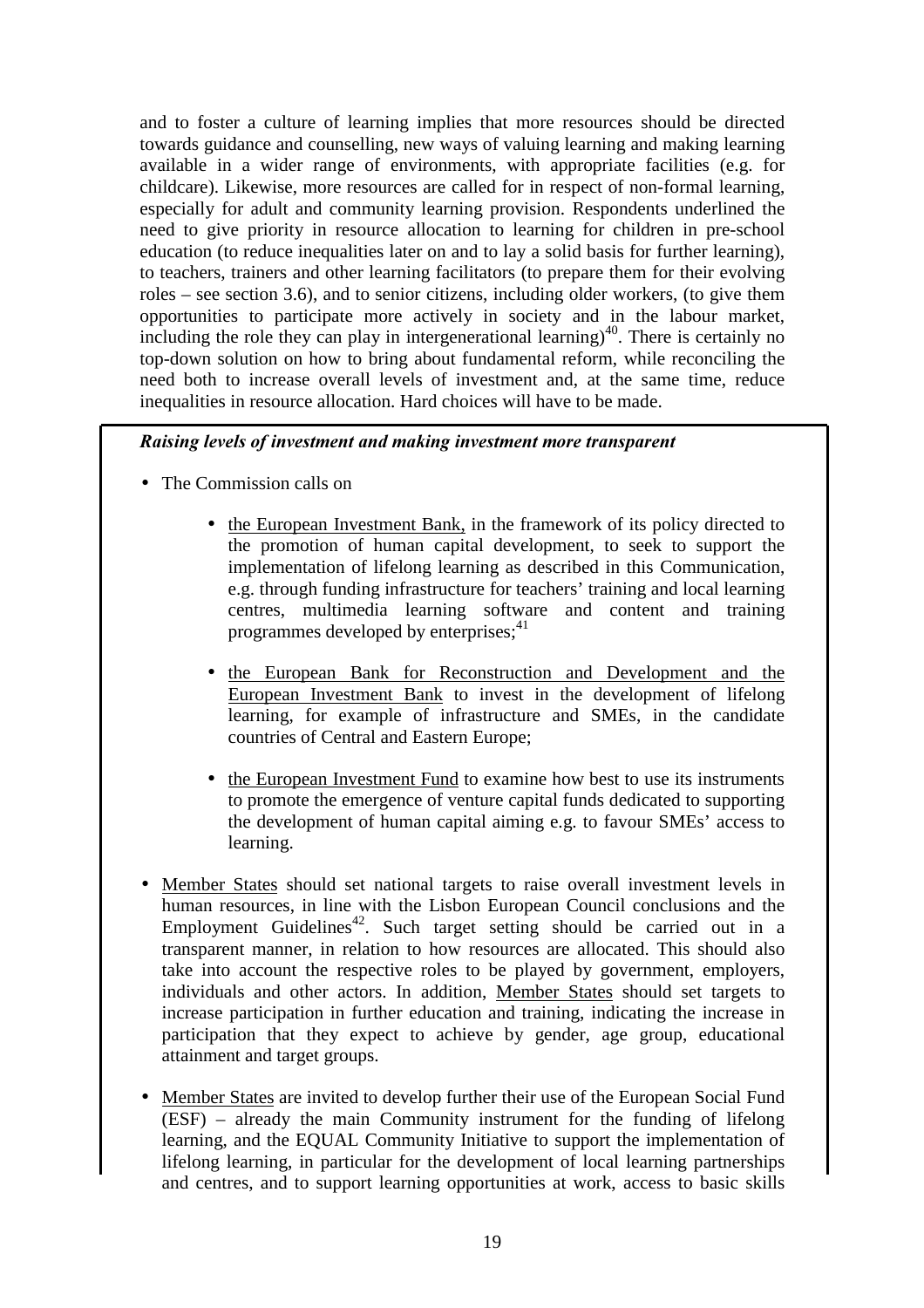and to foster a culture of learning implies that more resources should be directed towards guidance and counselling, new ways of valuing learning and making learning available in a wider range of environments, with appropriate facilities (e.g. for childcare). Likewise, more resources are called for in respect of non-formal learning, especially for adult and community learning provision. Respondents underlined the need to give priority in resource allocation to learning for children in pre-school education (to reduce inequalities later on and to lay a solid basis for further learning), to teachers, trainers and other learning facilitators (to prepare them for their evolving roles – see section 3.6), and to senior citizens, including older workers, (to give them opportunities to participate more actively in society and in the labour market, including the role they can play in intergenerational learning)<sup>40</sup>. There is certainly no top-down solution on how to bring about fundamental reform, while reconciling the need both to increase overall levels of investment and, at the same time, reduce inequalities in resource allocation. Hard choices will have to be made.

#### *Raising levels of investment and making investment more transparent*

- The Commission calls on
	- the European Investment Bank, in the framework of its policy directed to the promotion of human capital development, to seek to support the implementation of lifelong learning as described in this Communication, e.g. through funding infrastructure for teachers' training and local learning centres, multimedia learning software and content and training programmes developed by enterprises: $41$
	- the European Bank for Reconstruction and Development and the European Investment Bank to invest in the development of lifelong learning, for example of infrastructure and SMEs, in the candidate countries of Central and Eastern Europe;
	- the European Investment Fund to examine how best to use its instruments to promote the emergence of venture capital funds dedicated to supporting the development of human capital aiming e.g. to favour SMEs' access to learning.
- Member States should set national targets to raise overall investment levels in human resources, in line with the Lisbon European Council conclusions and the Employment Guidelines<sup> $42$ </sup>. Such target setting should be carried out in a transparent manner, in relation to how resources are allocated. This should also take into account the respective roles to be played by government, employers, individuals and other actors. In addition, Member States should set targets to increase participation in further education and training, indicating the increase in participation that they expect to achieve by gender, age group, educational attainment and target groups.
- Member States are invited to develop further their use of the European Social Fund (ESF) – already the main Community instrument for the funding of lifelong learning, and the EQUAL Community Initiative to support the implementation of lifelong learning, in particular for the development of local learning partnerships and centres, and to support learning opportunities at work, access to basic skills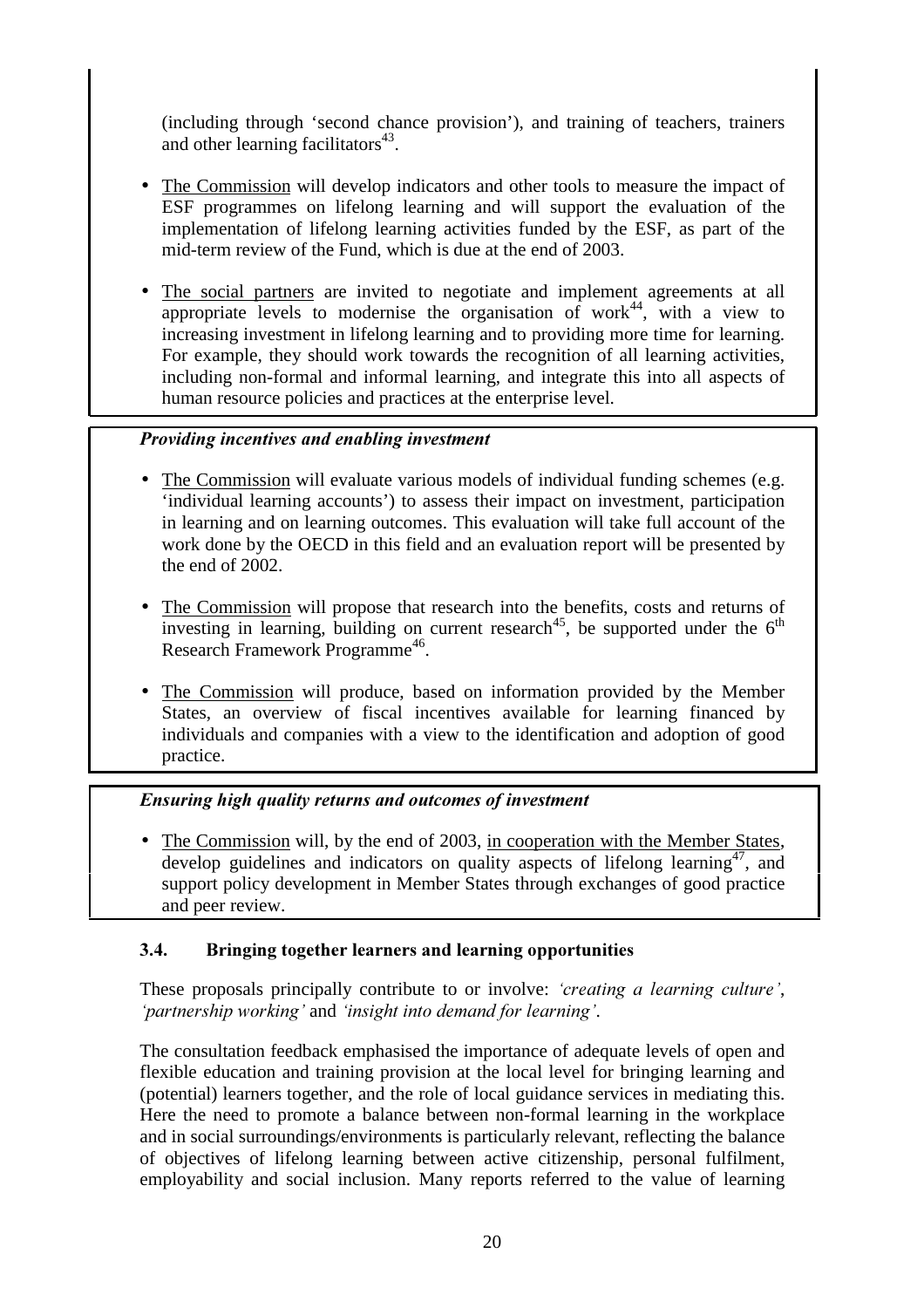(including through 'second chance provision'), and training of teachers, trainers and other learning facilitators $43$ .

- The Commission will develop indicators and other tools to measure the impact of ESF programmes on lifelong learning and will support the evaluation of the implementation of lifelong learning activities funded by the ESF, as part of the mid-term review of the Fund, which is due at the end of 2003.
- The social partners are invited to negotiate and implement agreements at all appropriate levels to modernise the organisation of work $44$ , with a view to increasing investment in lifelong learning and to providing more time for learning. For example, they should work towards the recognition of all learning activities, including non-formal and informal learning, and integrate this into all aspects of human resource policies and practices at the enterprise level.

## *Providing incentives and enabling investment*

- The Commission will evaluate various models of individual funding schemes (e.g. 'individual learning accounts') to assess their impact on investment, participation in learning and on learning outcomes. This evaluation will take full account of the work done by the OECD in this field and an evaluation report will be presented by the end of 2002.
- The Commission will propose that research into the benefits, costs and returns of investing in learning, building on current research<sup>45</sup>, be supported under the  $6<sup>th</sup>$ Research Framework Programme<sup>46</sup>.
- The Commission will produce, based on information provided by the Member States, an overview of fiscal incentives available for learning financed by individuals and companies with a view to the identification and adoption of good practice.

## *Ensuring high quality returns and outcomes of investment*

• The Commission will, by the end of 2003, in cooperation with the Member States, develop guidelines and indicators on quality aspects of lifelong learning<sup>47</sup>, and support policy development in Member States through exchanges of good practice and peer review.

## 3.4. Bringing together learners and learning opportunities

These proposals principally contribute to or involve: *'creating a learning culture'*, 'partnership working' and 'insight into demand for learning'.

The consultation feedback emphasised the importance of adequate levels of open and flexible education and training provision at the local level for bringing learning and (potential) learners together, and the role of local guidance services in mediating this. Here the need to promote a balance between non-formal learning in the workplace and in social surroundings/environments is particularly relevant, reflecting the balance of objectives of lifelong learning between active citizenship, personal fulfilment, employability and social inclusion. Many reports referred to the value of learning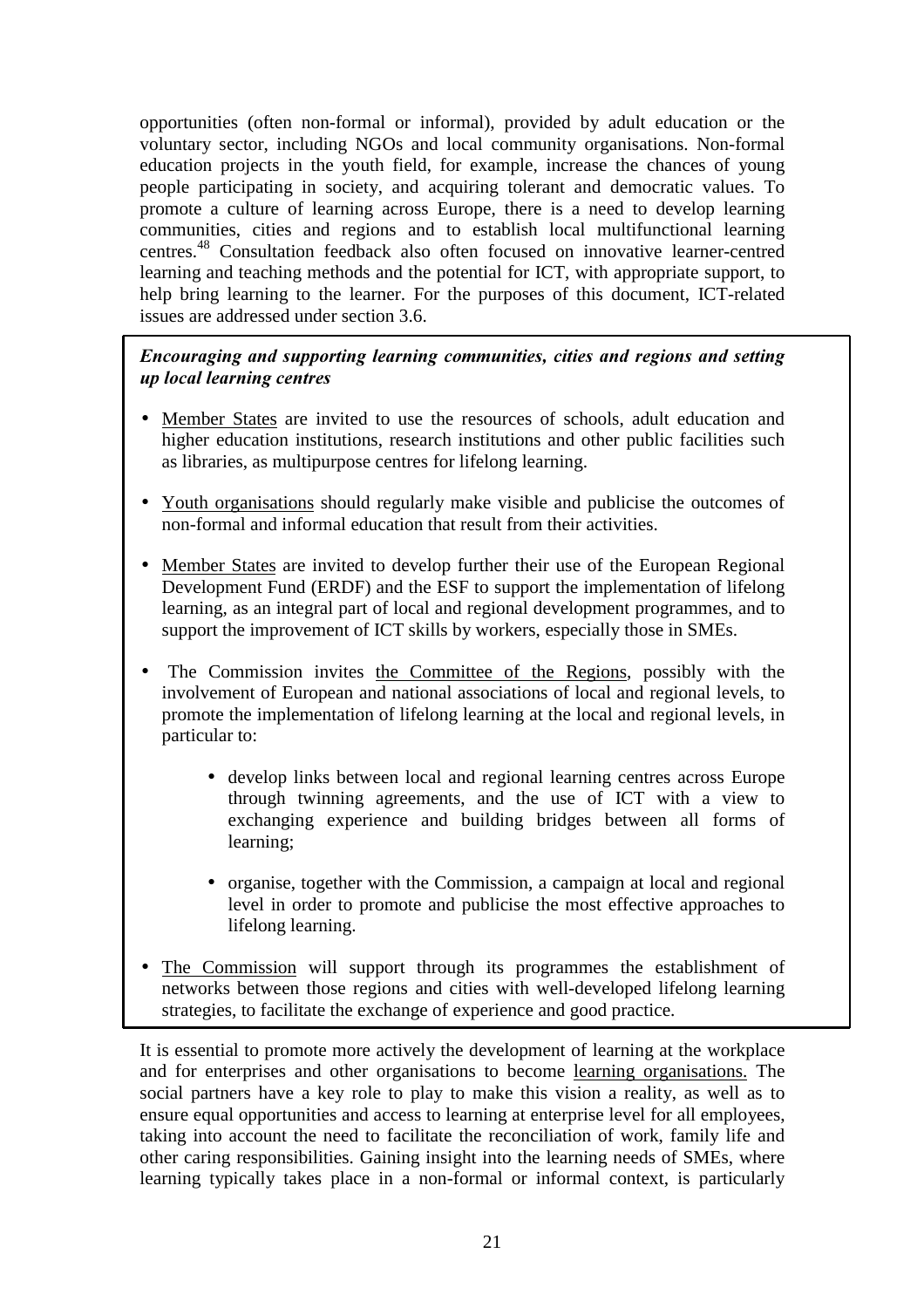opportunities (often non-formal or informal), provided by adult education or the voluntary sector, including NGOs and local community organisations. Non-formal education projects in the youth field, for example, increase the chances of young people participating in society, and acquiring tolerant and democratic values. To promote a culture of learning across Europe, there is a need to develop learning communities, cities and regions and to establish local multifunctional learning centres.48 Consultation feedback also often focused on innovative learner-centred learning and teaching methods and the potential for ICT, with appropriate support, to help bring learning to the learner. For the purposes of this document, ICT-related issues are addressed under section 3.6.

## *Encouraging and supporting learning communities, cities and regions and setting <i>xp* local learning centres

- Member States are invited to use the resources of schools, adult education and higher education institutions, research institutions and other public facilities such as libraries, as multipurpose centres for lifelong learning.
- Youth organisations should regularly make visible and publicise the outcomes of non-formal and informal education that result from their activities.
- Member States are invited to develop further their use of the European Regional Development Fund (ERDF) and the ESF to support the implementation of lifelong learning, as an integral part of local and regional development programmes, and to support the improvement of ICT skills by workers, especially those in SMEs.
- The Commission invites the Committee of the Regions, possibly with the involvement of European and national associations of local and regional levels, to promote the implementation of lifelong learning at the local and regional levels, in particular to:
	- develop links between local and regional learning centres across Europe through twinning agreements, and the use of ICT with a view to exchanging experience and building bridges between all forms of learning;
	- organise, together with the Commission, a campaign at local and regional level in order to promote and publicise the most effective approaches to lifelong learning.
- The Commission will support through its programmes the establishment of networks between those regions and cities with well-developed lifelong learning strategies, to facilitate the exchange of experience and good practice.

It is essential to promote more actively the development of learning at the workplace and for enterprises and other organisations to become learning organisations. The social partners have a key role to play to make this vision a reality, as well as to ensure equal opportunities and access to learning at enterprise level for all employees, taking into account the need to facilitate the reconciliation of work, family life and other caring responsibilities. Gaining insight into the learning needs of SMEs, where learning typically takes place in a non-formal or informal context, is particularly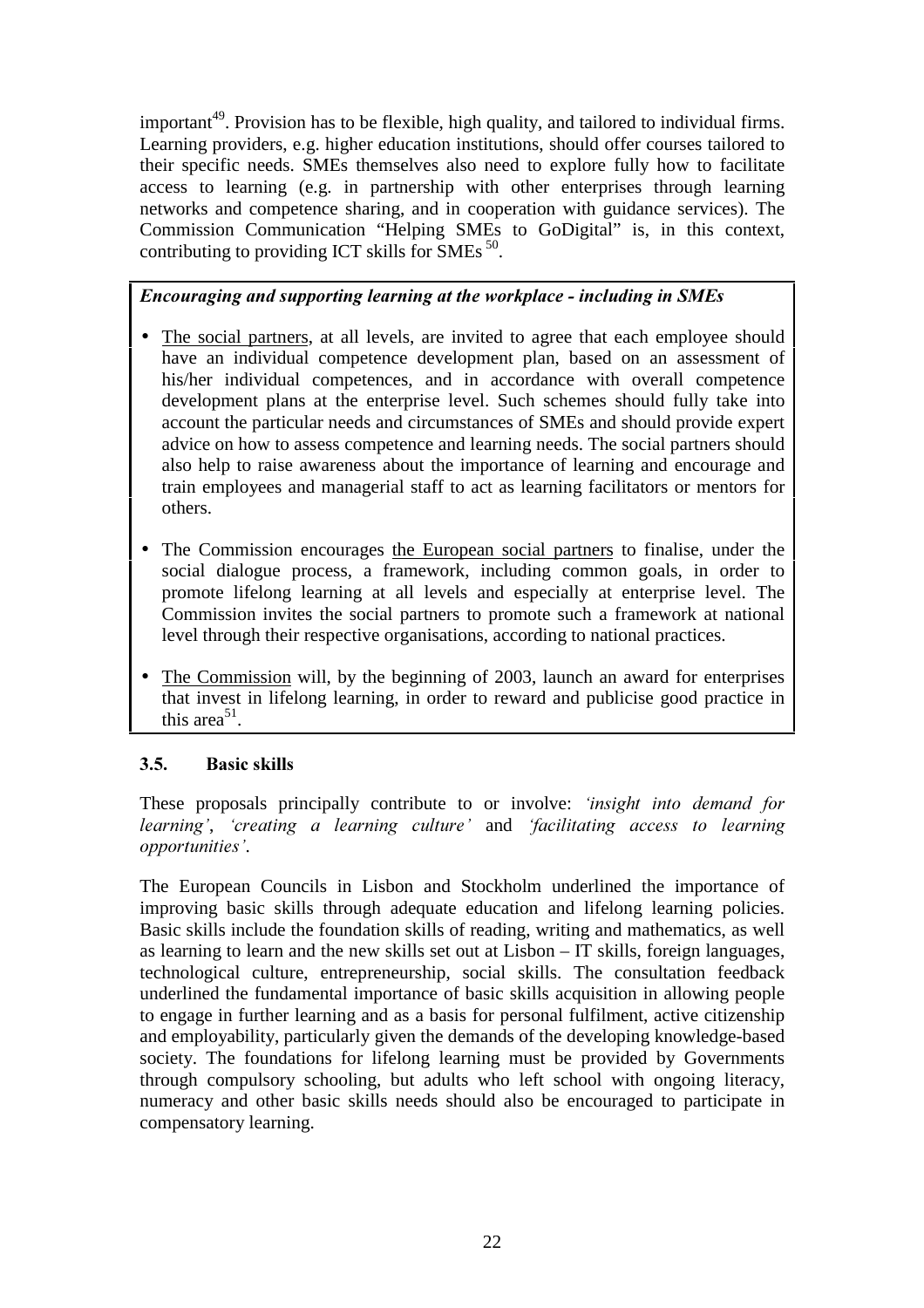important<sup>49</sup>. Provision has to be flexible, high quality, and tailored to individual firms. Learning providers, e.g. higher education institutions, should offer courses tailored to their specific needs. SMEs themselves also need to explore fully how to facilitate access to learning (e.g. in partnership with other enterprises through learning networks and competence sharing, and in cooperation with guidance services). The Commission Communication "Helping SMEs to GoDigital" is, in this context, contributing to providing ICT skills for SMEs  $^{50}$ .

## *Encouraging and supporting learning at the workplace - including in SMEs*

- The social partners, at all levels, are invited to agree that each employee should have an individual competence development plan, based on an assessment of his/her individual competences, and in accordance with overall competence development plans at the enterprise level. Such schemes should fully take into account the particular needs and circumstances of SMEs and should provide expert advice on how to assess competence and learning needs. The social partners should also help to raise awareness about the importance of learning and encourage and train employees and managerial staff to act as learning facilitators or mentors for others.
- The Commission encourages the European social partners to finalise, under the social dialogue process, a framework, including common goals, in order to promote lifelong learning at all levels and especially at enterprise level. The Commission invites the social partners to promote such a framework at national level through their respective organisations, according to national practices.
- The Commission will, by the beginning of 2003, launch an award for enterprises that invest in lifelong learning, in order to reward and publicise good practice in this area $^{51}$ .

## 3.5. Basic skills

These proposals principally contribute to or involve: *'insight into demand for Dearning'*, *'creating a learning culture'* and *'facilitating access to learning <u><i>opportunities'.</u>*</u>

The European Councils in Lisbon and Stockholm underlined the importance of improving basic skills through adequate education and lifelong learning policies. Basic skills include the foundation skills of reading, writing and mathematics, as well as learning to learn and the new skills set out at Lisbon – IT skills, foreign languages, technological culture, entrepreneurship, social skills. The consultation feedback underlined the fundamental importance of basic skills acquisition in allowing people to engage in further learning and as a basis for personal fulfilment, active citizenship and employability, particularly given the demands of the developing knowledge-based society. The foundations for lifelong learning must be provided by Governments through compulsory schooling, but adults who left school with ongoing literacy, numeracy and other basic skills needs should also be encouraged to participate in compensatory learning.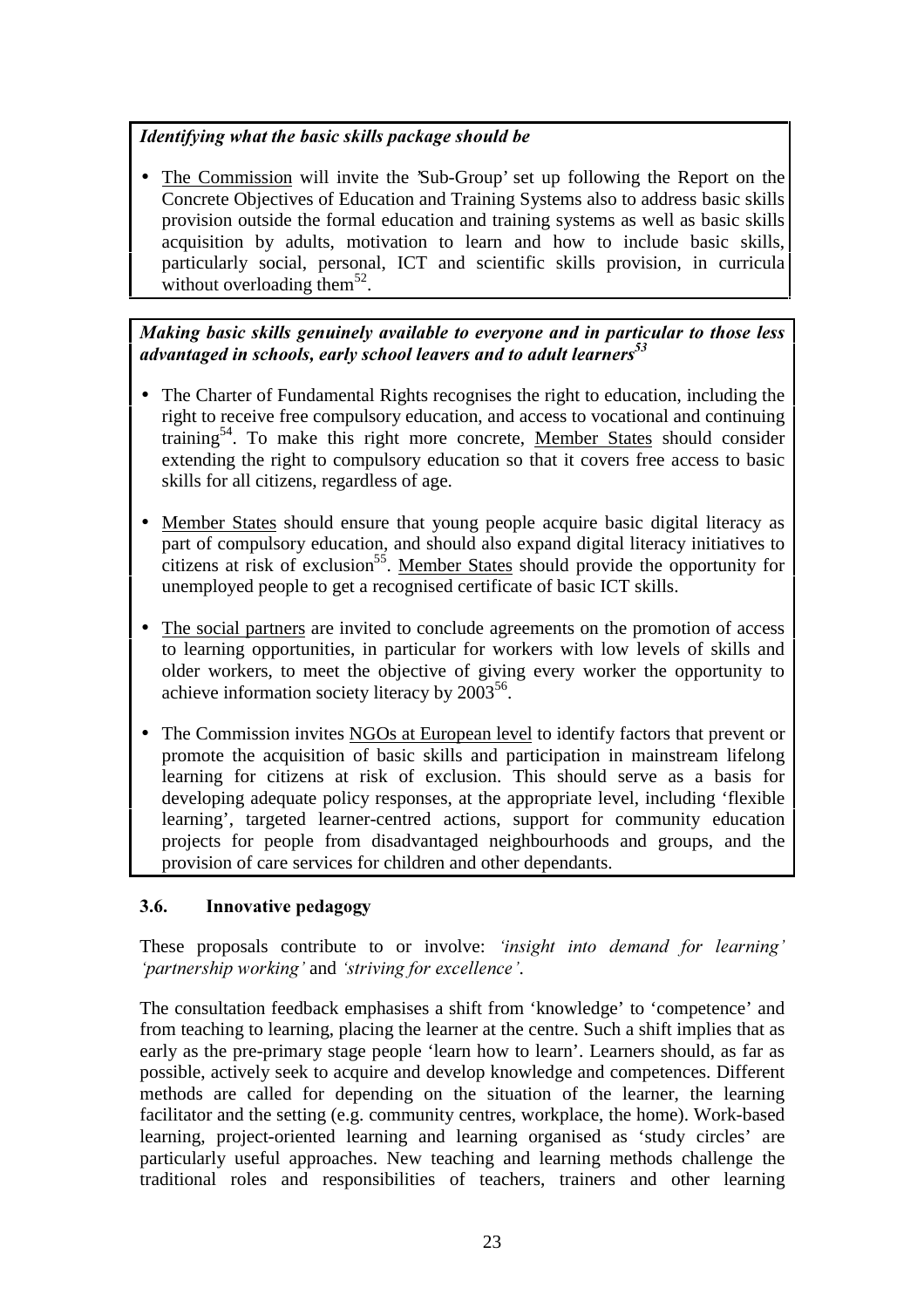## *<i><u>Identifying</u>* what the basic skills package should be

• The Commission will invite the 'Sub-Group' set up following the Report on the Concrete Objectives of Education and Training Systems also to address basic skills provision outside the formal education and training systems as well as basic skills acquisition by adults, motivation to learn and how to include basic skills, particularly social, personal, ICT and scientific skills provision, in curricula without overloading them<sup>52</sup>.

## *<i>Making basic skills genuinely available to everyone and in particular to those less* advantaged in schools, early school leavers and to adult learners<sup>53</sup>

- The Charter of Fundamental Rights recognises the right to education, including the right to receive free compulsory education, and access to vocational and continuing training<sup>54</sup>. To make this right more concrete, Member States should consider extending the right to compulsory education so that it covers free access to basic skills for all citizens, regardless of age.
- Member States should ensure that young people acquire basic digital literacy as part of compulsory education, and should also expand digital literacy initiatives to citizens at risk of exclusion<sup>55</sup>. Member States should provide the opportunity for unemployed people to get a recognised certificate of basic ICT skills.
- The social partners are invited to conclude agreements on the promotion of access to learning opportunities, in particular for workers with low levels of skills and older workers, to meet the objective of giving every worker the opportunity to achieve information society literacy by  $2003^{56}$ .
- The Commission invites NGOs at European level to identify factors that prevent or promote the acquisition of basic skills and participation in mainstream lifelong learning for citizens at risk of exclusion. This should serve as a basis for developing adequate policy responses, at the appropriate level, including 'flexible learning', targeted learner-centred actions, support for community education projects for people from disadvantaged neighbourhoods and groups, and the provision of care services for children and other dependants.

## 3.6. Innovative pedagogy

These proposals contribute to or involve: *'insight into demand for learning' 'partnership working'* and *'striving for excellence'*.

The consultation feedback emphasises a shift from 'knowledge' to 'competence' and from teaching to learning, placing the learner at the centre. Such a shift implies that as early as the pre-primary stage people 'learn how to learn'. Learners should, as far as possible, actively seek to acquire and develop knowledge and competences. Different methods are called for depending on the situation of the learner, the learning facilitator and the setting (e.g. community centres, workplace, the home). Work-based learning, project-oriented learning and learning organised as 'study circles' are particularly useful approaches. New teaching and learning methods challenge the traditional roles and responsibilities of teachers, trainers and other learning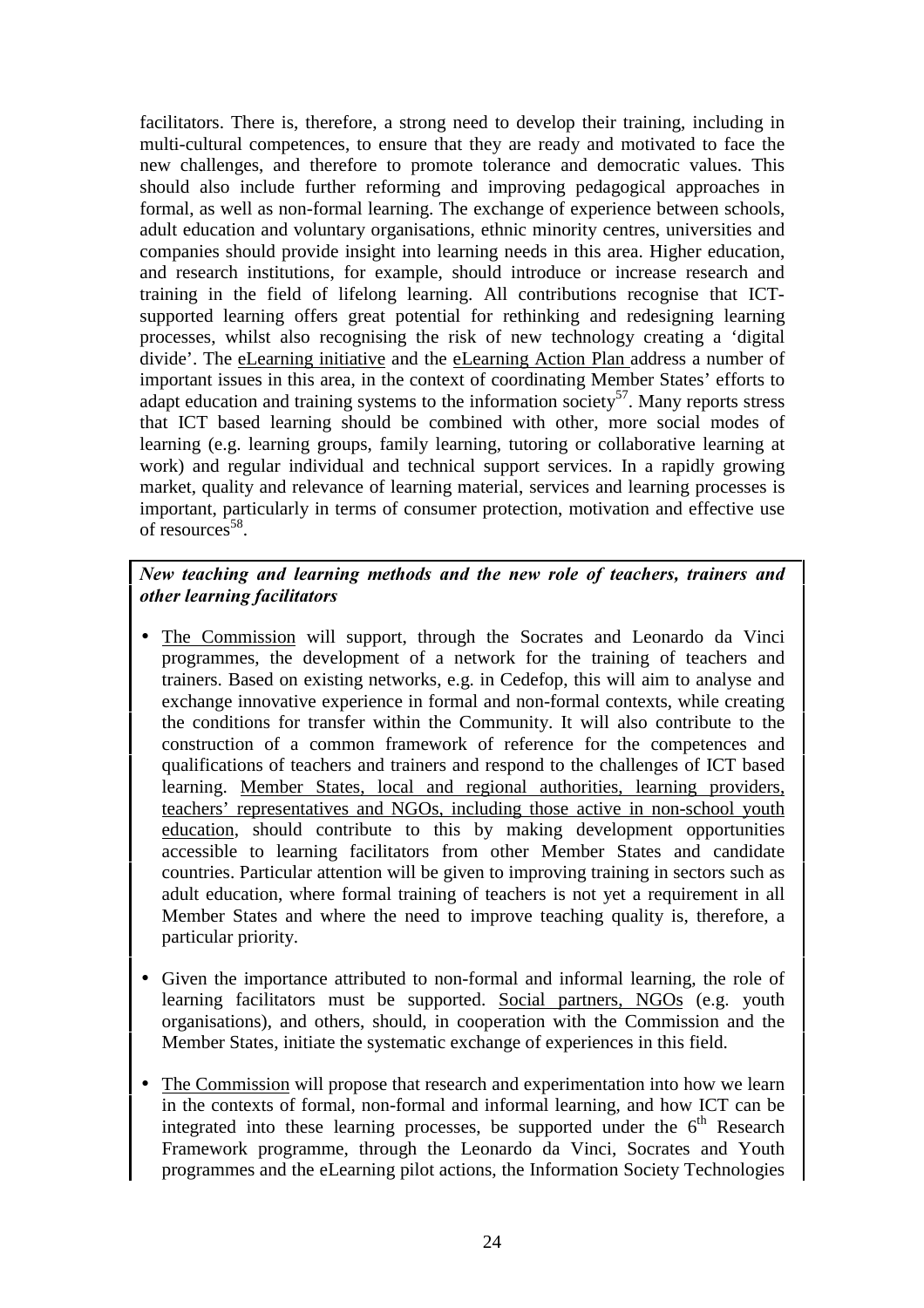facilitators. There is, therefore, a strong need to develop their training, including in multi-cultural competences, to ensure that they are ready and motivated to face the new challenges, and therefore to promote tolerance and democratic values. This should also include further reforming and improving pedagogical approaches in formal, as well as non-formal learning. The exchange of experience between schools, adult education and voluntary organisations, ethnic minority centres, universities and companies should provide insight into learning needs in this area. Higher education, and research institutions, for example, should introduce or increase research and training in the field of lifelong learning. All contributions recognise that ICTsupported learning offers great potential for rethinking and redesigning learning processes, whilst also recognising the risk of new technology creating a 'digital divide'. The eLearning initiative and the eLearning Action Plan address a number of important issues in this area, in the context of coordinating Member States' efforts to adapt education and training systems to the information society<sup>57</sup>. Many reports stress that ICT based learning should be combined with other, more social modes of learning (e.g. learning groups, family learning, tutoring or collaborative learning at work) and regular individual and technical support services. In a rapidly growing market, quality and relevance of learning material, services and learning processes is important, particularly in terms of consumer protection, motivation and effective use of resources<sup>58</sup>.

## *New teaching and learning methods and the new role of teachers, trainers and RWKHUOHDUQLQJIDFLOLWDWRUV*

- The Commission will support, through the Socrates and Leonardo da Vinci programmes, the development of a network for the training of teachers and trainers. Based on existing networks, e.g. in Cedefop, this will aim to analyse and exchange innovative experience in formal and non-formal contexts, while creating the conditions for transfer within the Community. It will also contribute to the construction of a common framework of reference for the competences and qualifications of teachers and trainers and respond to the challenges of ICT based learning. Member States, local and regional authorities, learning providers, teachers' representatives and NGOs, including those active in non-school youth education, should contribute to this by making development opportunities accessible to learning facilitators from other Member States and candidate countries. Particular attention will be given to improving training in sectors such as adult education, where formal training of teachers is not yet a requirement in all Member States and where the need to improve teaching quality is, therefore, a particular priority.
- Given the importance attributed to non-formal and informal learning, the role of learning facilitators must be supported. Social partners, NGOs (e.g. youth organisations), and others, should, in cooperation with the Commission and the Member States, initiate the systematic exchange of experiences in this field.
- The Commission will propose that research and experimentation into how we learn in the contexts of formal, non-formal and informal learning, and how ICT can be integrated into these learning processes, be supported under the  $6<sup>th</sup>$  Research Framework programme, through the Leonardo da Vinci, Socrates and Youth programmes and the eLearning pilot actions, the Information Society Technologies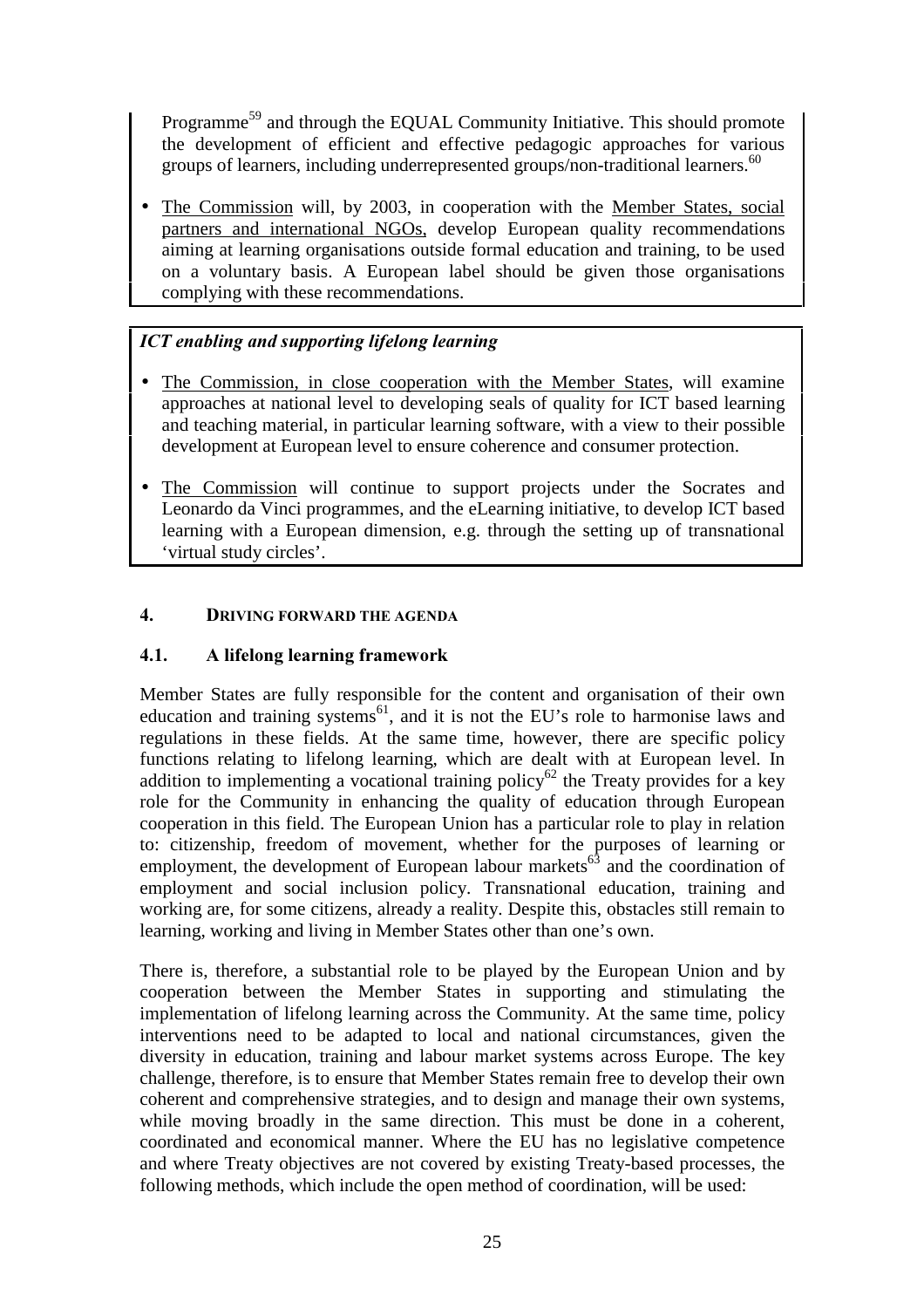Programme<sup>59</sup> and through the EQUAL Community Initiative. This should promote the development of efficient and effective pedagogic approaches for various groups of learners, including underrepresented groups/non-traditional learners.<sup>60</sup>

• The Commission will, by 2003, in cooperation with the Member States, social partners and international NGOs, develop European quality recommendations aiming at learning organisations outside formal education and training, to be used on a voluntary basis. A European label should be given those organisations complying with these recommendations.

## *<i>JCT* enabling and supporting lifelong learning

- The Commission, in close cooperation with the Member States, will examine approaches at national level to developing seals of quality for ICT based learning and teaching material, in particular learning software, with a view to their possible development at European level to ensure coherence and consumer protection.
- The Commission will continue to support projects under the Socrates and Leonardo da Vinci programmes, and the eLearning initiative, to develop ICT based learning with a European dimension, e.g. through the setting up of transnational 'virtual study circles'.

## 4. DRIVING FORWARD THE AGENDA

## 4.1. A lifelong learning framework

Member States are fully responsible for the content and organisation of their own education and training systems<sup>61</sup>, and it is not the EU's role to harmonise laws and regulations in these fields. At the same time, however, there are specific policy functions relating to lifelong learning, which are dealt with at European level. In addition to implementing a vocational training policy<sup>62</sup> the Treaty provides for a key role for the Community in enhancing the quality of education through European cooperation in this field. The European Union has a particular role to play in relation to: citizenship, freedom of movement, whether for the purposes of learning or employment, the development of European labour markets<sup> $63$ </sup> and the coordination of employment and social inclusion policy. Transnational education, training and working are, for some citizens, already a reality. Despite this, obstacles still remain to learning, working and living in Member States other than one's own.

There is, therefore, a substantial role to be played by the European Union and by cooperation between the Member States in supporting and stimulating the implementation of lifelong learning across the Community. At the same time, policy interventions need to be adapted to local and national circumstances, given the diversity in education, training and labour market systems across Europe. The key challenge, therefore, is to ensure that Member States remain free to develop their own coherent and comprehensive strategies, and to design and manage their own systems, while moving broadly in the same direction. This must be done in a coherent, coordinated and economical manner. Where the EU has no legislative competence and where Treaty objectives are not covered by existing Treaty-based processes, the following methods, which include the open method of coordination, will be used: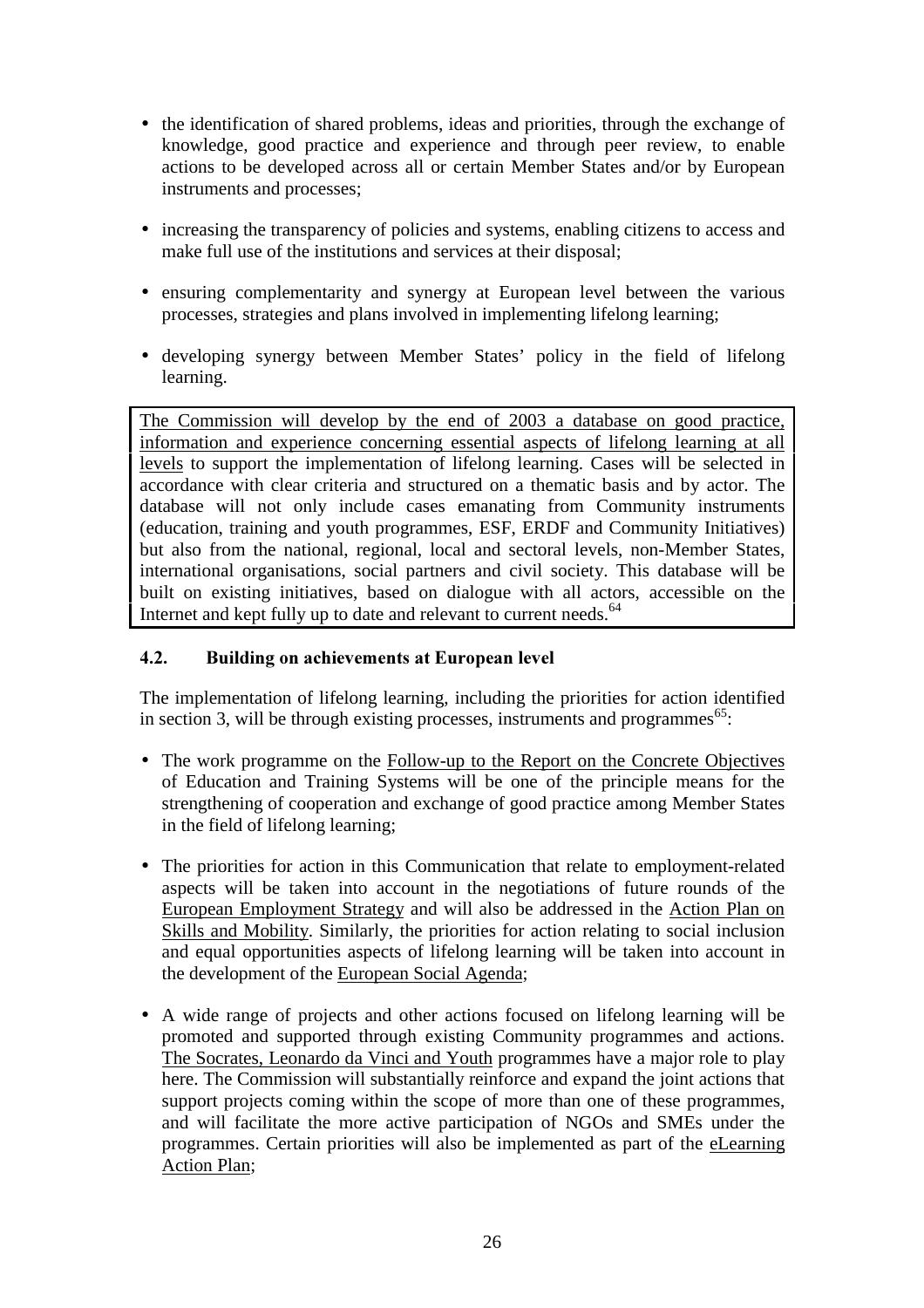- the identification of shared problems, ideas and priorities, through the exchange of knowledge, good practice and experience and through peer review, to enable actions to be developed across all or certain Member States and/or by European instruments and processes;
- increasing the transparency of policies and systems, enabling citizens to access and make full use of the institutions and services at their disposal;
- ensuring complementarity and synergy at European level between the various processes, strategies and plans involved in implementing lifelong learning;
- developing synergy between Member States' policy in the field of lifelong learning.

The Commission will develop by the end of 2003 a database on good practice, information and experience concerning essential aspects of lifelong learning at all levels to support the implementation of lifelong learning. Cases will be selected in accordance with clear criteria and structured on a thematic basis and by actor. The database will not only include cases emanating from Community instruments (education, training and youth programmes, ESF, ERDF and Community Initiatives) but also from the national, regional, local and sectoral levels, non-Member States, international organisations, social partners and civil society. This database will be built on existing initiatives, based on dialogue with all actors, accessible on the Internet and kept fully up to date and relevant to current needs.<sup>64</sup>

## 4.2. Building on achievements at European level

The implementation of lifelong learning, including the priorities for action identified in section 3, will be through existing processes, instruments and programmes<sup>65</sup>:

- The work programme on the Follow-up to the Report on the Concrete Objectives of Education and Training Systems will be one of the principle means for the strengthening of cooperation and exchange of good practice among Member States in the field of lifelong learning;
- The priorities for action in this Communication that relate to employment-related aspects will be taken into account in the negotiations of future rounds of the European Employment Strategy and will also be addressed in the Action Plan on Skills and Mobility. Similarly, the priorities for action relating to social inclusion and equal opportunities aspects of lifelong learning will be taken into account in the development of the European Social Agenda;
- A wide range of projects and other actions focused on lifelong learning will be promoted and supported through existing Community programmes and actions. The Socrates, Leonardo da Vinci and Youth programmes have a major role to play here. The Commission will substantially reinforce and expand the joint actions that support projects coming within the scope of more than one of these programmes, and will facilitate the more active participation of NGOs and SMEs under the programmes. Certain priorities will also be implemented as part of the eLearning Action Plan;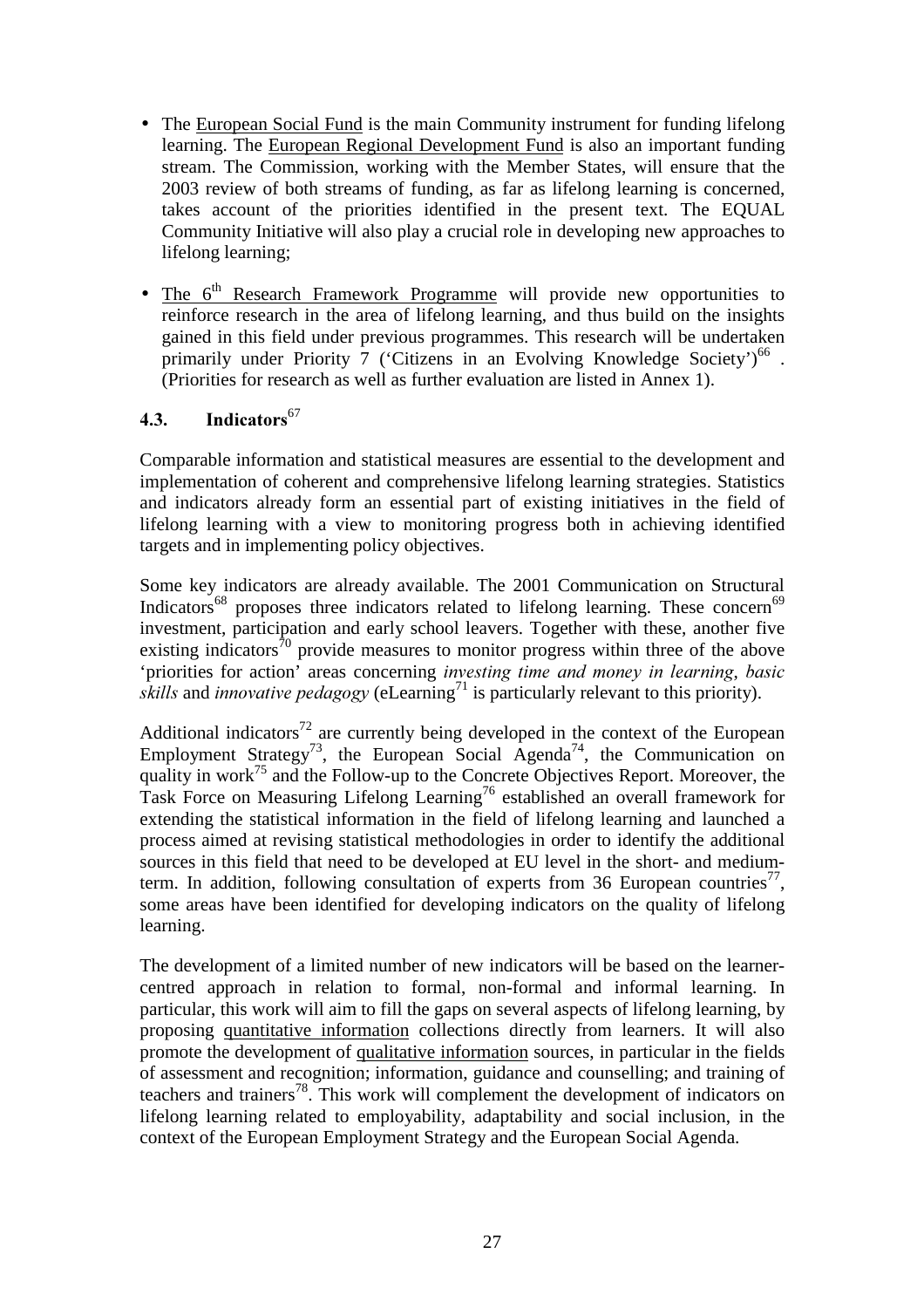- The European Social Fund is the main Community instrument for funding lifelong learning. The European Regional Development Fund is also an important funding stream. The Commission, working with the Member States, will ensure that the 2003 review of both streams of funding, as far as lifelong learning is concerned, takes account of the priorities identified in the present text. The EQUAL Community Initiative will also play a crucial role in developing new approaches to lifelong learning;
- The  $6<sup>th</sup>$  Research Framework Programme will provide new opportunities to reinforce research in the area of lifelong learning, and thus build on the insights gained in this field under previous programmes. This research will be undertaken primarily under Priority 7 ('Citizens in an Evolving Knowledge Society')<sup>66</sup>. (Priorities for research as well as further evaluation are listed in Annex 1).

## 4.3. Indicators $67$

Comparable information and statistical measures are essential to the development and implementation of coherent and comprehensive lifelong learning strategies. Statistics and indicators already form an essential part of existing initiatives in the field of lifelong learning with a view to monitoring progress both in achieving identified targets and in implementing policy objectives.

Some key indicators are already available. The 2001 Communication on Structural Indicators<sup>68</sup> proposes three indicators related to lifelong learning. These concern<sup>69</sup> investment, participation and early school leavers. Together with these, another five existing indicators<sup>70</sup> provide measures to monitor progress within three of the above 'priorities for action' areas concerning *investing time and money in learning*, *basic skills* and *innovative pedagogy* (eLearning<sup>71</sup> is particularly relevant to this priority).

Additional indicators<sup>72</sup> are currently being developed in the context of the European Employment Strategy<sup>73</sup>, the European Social Agenda<sup>74</sup>, the Communication on quality in work<sup>75</sup> and the Follow-up to the Concrete Objectives Report. Moreover, the Task Force on Measuring Lifelong Learning76 established an overall framework for extending the statistical information in the field of lifelong learning and launched a process aimed at revising statistical methodologies in order to identify the additional sources in this field that need to be developed at EU level in the short- and mediumterm. In addition, following consultation of experts from 36 European countries<sup>77</sup>, some areas have been identified for developing indicators on the quality of lifelong learning.

The development of a limited number of new indicators will be based on the learnercentred approach in relation to formal, non-formal and informal learning. In particular, this work will aim to fill the gaps on several aspects of lifelong learning, by proposing quantitative information collections directly from learners. It will also promote the development of qualitative information sources, in particular in the fields of assessment and recognition; information, guidance and counselling; and training of teachers and trainers<sup>78</sup>. This work will complement the development of indicators on lifelong learning related to employability, adaptability and social inclusion, in the context of the European Employment Strategy and the European Social Agenda.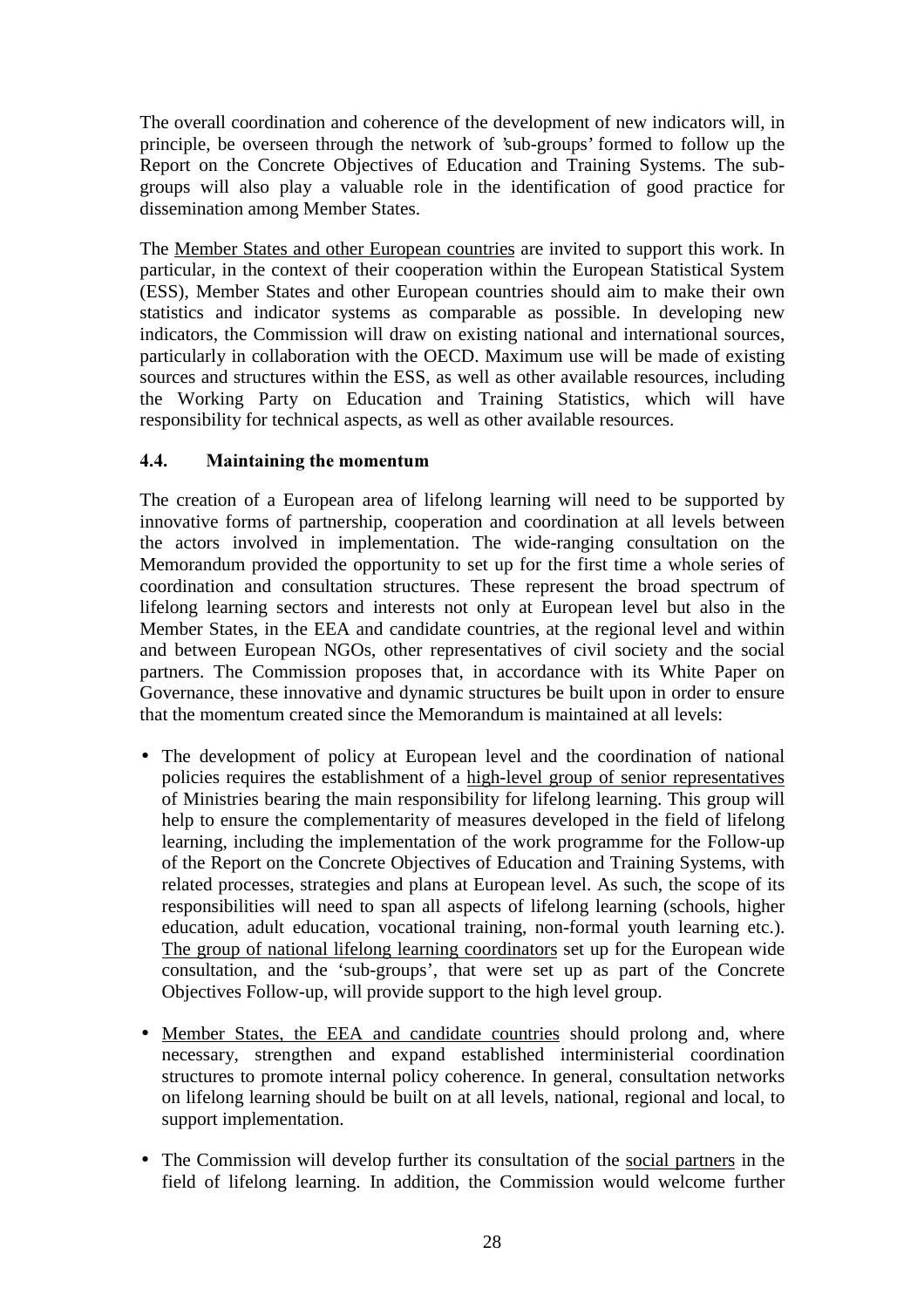The overall coordination and coherence of the development of new indicators will, in principle, be overseen through the network of 'sub-groups' formed to follow up the Report on the Concrete Objectives of Education and Training Systems. The subgroups will also play a valuable role in the identification of good practice for dissemination among Member States.

The Member States and other European countries are invited to support this work. In particular, in the context of their cooperation within the European Statistical System (ESS), Member States and other European countries should aim to make their own statistics and indicator systems as comparable as possible. In developing new indicators, the Commission will draw on existing national and international sources, particularly in collaboration with the OECD. Maximum use will be made of existing sources and structures within the ESS, as well as other available resources, including the Working Party on Education and Training Statistics, which will have responsibility for technical aspects, as well as other available resources.

## 4.4. Maintaining the momentum

The creation of a European area of lifelong learning will need to be supported by innovative forms of partnership, cooperation and coordination at all levels between the actors involved in implementation. The wide-ranging consultation on the Memorandum provided the opportunity to set up for the first time a whole series of coordination and consultation structures. These represent the broad spectrum of lifelong learning sectors and interests not only at European level but also in the Member States, in the EEA and candidate countries, at the regional level and within and between European NGOs, other representatives of civil society and the social partners. The Commission proposes that, in accordance with its White Paper on Governance, these innovative and dynamic structures be built upon in order to ensure that the momentum created since the Memorandum is maintained at all levels:

- The development of policy at European level and the coordination of national policies requires the establishment of a high-level group of senior representatives of Ministries bearing the main responsibility for lifelong learning. This group will help to ensure the complementarity of measures developed in the field of lifelong learning, including the implementation of the work programme for the Follow-up of the Report on the Concrete Objectives of Education and Training Systems, with related processes, strategies and plans at European level. As such, the scope of its responsibilities will need to span all aspects of lifelong learning (schools, higher education, adult education, vocational training, non-formal youth learning etc.). The group of national lifelong learning coordinators set up for the European wide consultation, and the 'sub-groups', that were set up as part of the Concrete Objectives Follow-up, will provide support to the high level group.
- Member States, the EEA and candidate countries should prolong and, where necessary, strengthen and expand established interministerial coordination structures to promote internal policy coherence. In general, consultation networks on lifelong learning should be built on at all levels, national, regional and local, to support implementation.
- The Commission will develop further its consultation of the social partners in the field of lifelong learning. In addition, the Commission would welcome further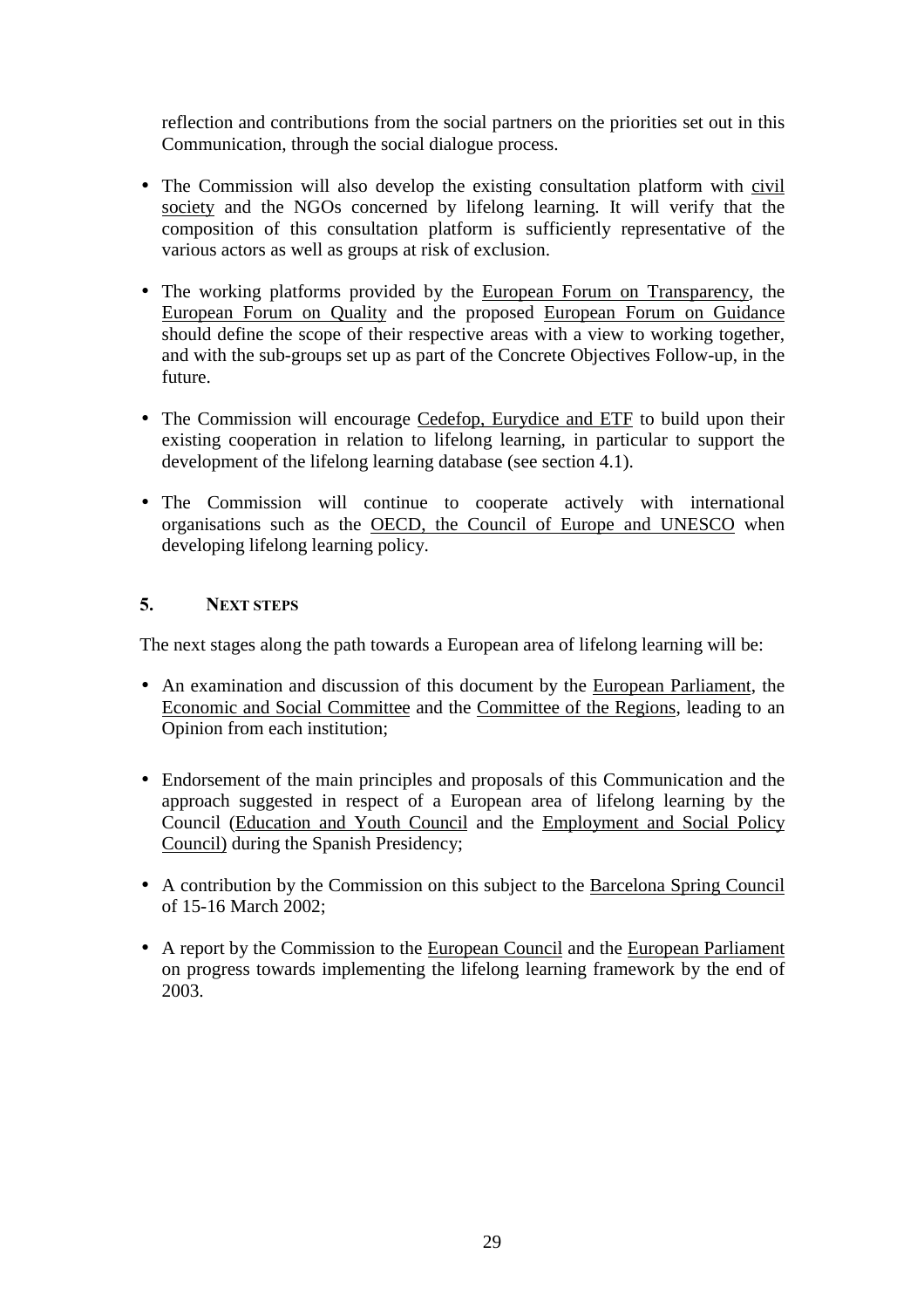reflection and contributions from the social partners on the priorities set out in this Communication, through the social dialogue process.

- The Commission will also develop the existing consultation platform with civil society and the NGOs concerned by lifelong learning. It will verify that the composition of this consultation platform is sufficiently representative of the various actors as well as groups at risk of exclusion.
- The working platforms provided by the European Forum on Transparency, the European Forum on Quality and the proposed European Forum on Guidance should define the scope of their respective areas with a view to working together, and with the sub-groups set up as part of the Concrete Objectives Follow-up, in the future.
- The Commission will encourage Cedefop, Eurydice and ETF to build upon their existing cooperation in relation to lifelong learning, in particular to support the development of the lifelong learning database (see section 4.1).
- The Commission will continue to cooperate actively with international organisations such as the OECD, the Council of Europe and UNESCO when developing lifelong learning policy.

## 5. NEXT STEPS

The next stages along the path towards a European area of lifelong learning will be:

- An examination and discussion of this document by the European Parliament, the Economic and Social Committee and the Committee of the Regions, leading to an Opinion from each institution;
- Endorsement of the main principles and proposals of this Communication and the approach suggested in respect of a European area of lifelong learning by the Council (Education and Youth Council and the Employment and Social Policy Council) during the Spanish Presidency;
- A contribution by the Commission on this subject to the Barcelona Spring Council of 15-16 March 2002;
- A report by the Commission to the European Council and the European Parliament on progress towards implementing the lifelong learning framework by the end of 2003.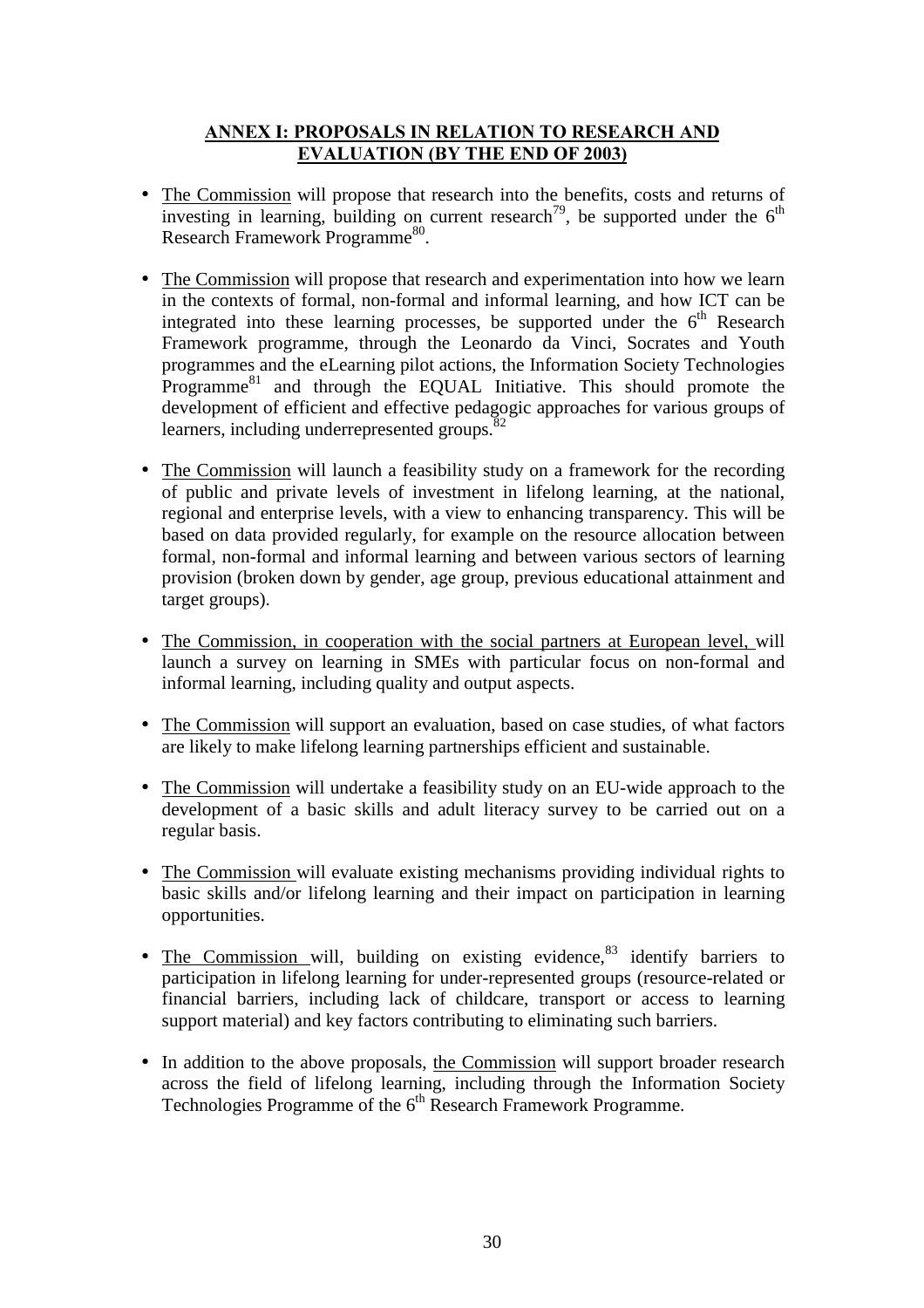## ANNEX I: PROPOSALS IN RELATION TO RESEARCH AND **EVALUATION (BY THE END OF 2003)**

- The Commission will propose that research into the benefits, costs and returns of investing in learning, building on current research<sup>79</sup>, be supported under the  $6<sup>th</sup>$ Research Framework Programme<sup>80</sup>.
- The Commission will propose that research and experimentation into how we learn in the contexts of formal, non-formal and informal learning, and how ICT can be integrated into these learning processes, be supported under the  $6<sup>th</sup>$  Research Framework programme, through the Leonardo da Vinci, Socrates and Youth programmes and the eLearning pilot actions, the Information Society Technologies Programme<sup>81</sup> and through the EQUAL Initiative. This should promote the development of efficient and effective pedagogic approaches for various groups of learners, including underrepresented groups. $82$
- The Commission will launch a feasibility study on a framework for the recording of public and private levels of investment in lifelong learning, at the national, regional and enterprise levels, with a view to enhancing transparency. This will be based on data provided regularly, for example on the resource allocation between formal, non-formal and informal learning and between various sectors of learning provision (broken down by gender, age group, previous educational attainment and target groups).
- The Commission, in cooperation with the social partners at European level, will launch a survey on learning in SMEs with particular focus on non-formal and informal learning, including quality and output aspects.
- The Commission will support an evaluation, based on case studies, of what factors are likely to make lifelong learning partnerships efficient and sustainable.
- The Commission will undertake a feasibility study on an EU-wide approach to the development of a basic skills and adult literacy survey to be carried out on a regular basis.
- The Commission will evaluate existing mechanisms providing individual rights to basic skills and/or lifelong learning and their impact on participation in learning opportunities.
- The Commission will, building on existing evidence, $83$  identify barriers to participation in lifelong learning for under-represented groups (resource-related or financial barriers, including lack of childcare, transport or access to learning support material) and key factors contributing to eliminating such barriers.
- In addition to the above proposals, the Commission will support broader research across the field of lifelong learning, including through the Information Society Technologies Programme of the 6<sup>th</sup> Research Framework Programme.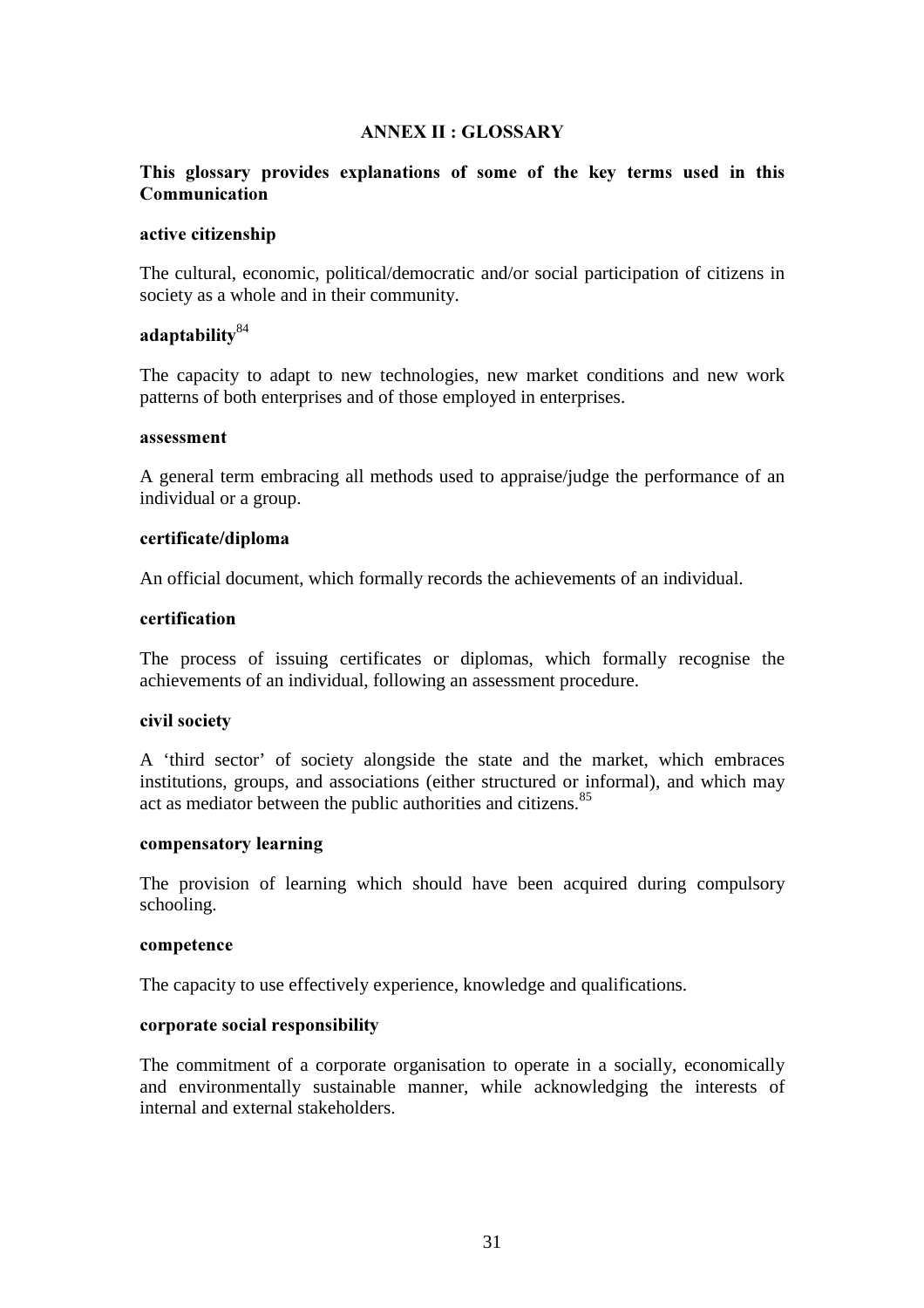### $ANNEX II : GLOSSARY$

## This glossary provides explanations of some of the key terms used in this Communication

#### active citizenship

The cultural, economic, political/democratic and/or social participation of citizens in society as a whole and in their community.

#### adaptability $84$

The capacity to adapt to new technologies, new market conditions and new work patterns of both enterprises and of those employed in enterprises.

#### assessment

A general term embracing all methods used to appraise/judge the performance of an individual or a group.

#### certificate/diploma

An official document, which formally records the achievements of an individual.

#### certification

The process of issuing certificates or diplomas, which formally recognise the achievements of an individual, following an assessment procedure.

#### civil society

A 'third sector' of society alongside the state and the market, which embraces institutions, groups, and associations (either structured or informal), and which may act as mediator between the public authorities and citizens.<sup>85</sup>

#### compensatory learning

The provision of learning which should have been acquired during compulsory schooling.

#### competence

The capacity to use effectively experience, knowledge and qualifications.

#### corporate social responsibility

The commitment of a corporate organisation to operate in a socially, economically and environmentally sustainable manner, while acknowledging the interests of internal and external stakeholders.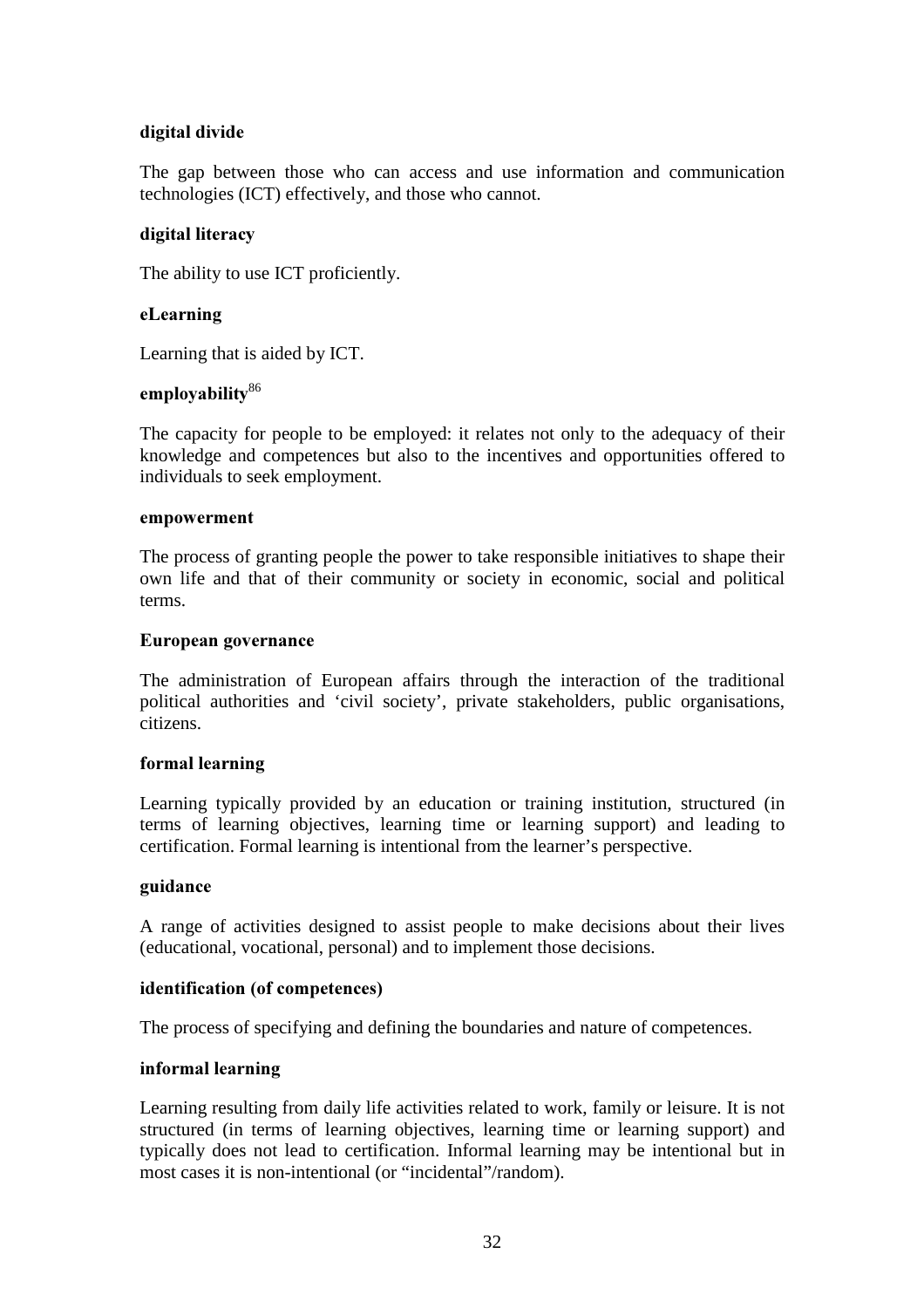## digital divide

The gap between those who can access and use information and communication technologies (ICT) effectively, and those who cannot.

#### digital literacy

The ability to use ICT proficiently.

## eLearning

Learning that is aided by ICT.

## employability $86$

The capacity for people to be employed: it relates not only to the adequacy of their knowledge and competences but also to the incentives and opportunities offered to individuals to seek employment.

#### empowerment

The process of granting people the power to take responsible initiatives to shape their own life and that of their community or society in economic, social and political terms.

#### European governance

The administration of European affairs through the interaction of the traditional political authorities and 'civil society', private stakeholders, public organisations, citizens.

#### formal learning

Learning typically provided by an education or training institution, structured (in terms of learning objectives, learning time or learning support) and leading to certification. Formal learning is intentional from the learner's perspective.

#### guidance

A range of activities designed to assist people to make decisions about their lives (educational, vocational, personal) and to implement those decisions.

#### identification (of competences)

The process of specifying and defining the boundaries and nature of competences.

#### informal learning

Learning resulting from daily life activities related to work, family or leisure. It is not structured (in terms of learning objectives, learning time or learning support) and typically does not lead to certification. Informal learning may be intentional but in most cases it is non-intentional (or "incidental"/random).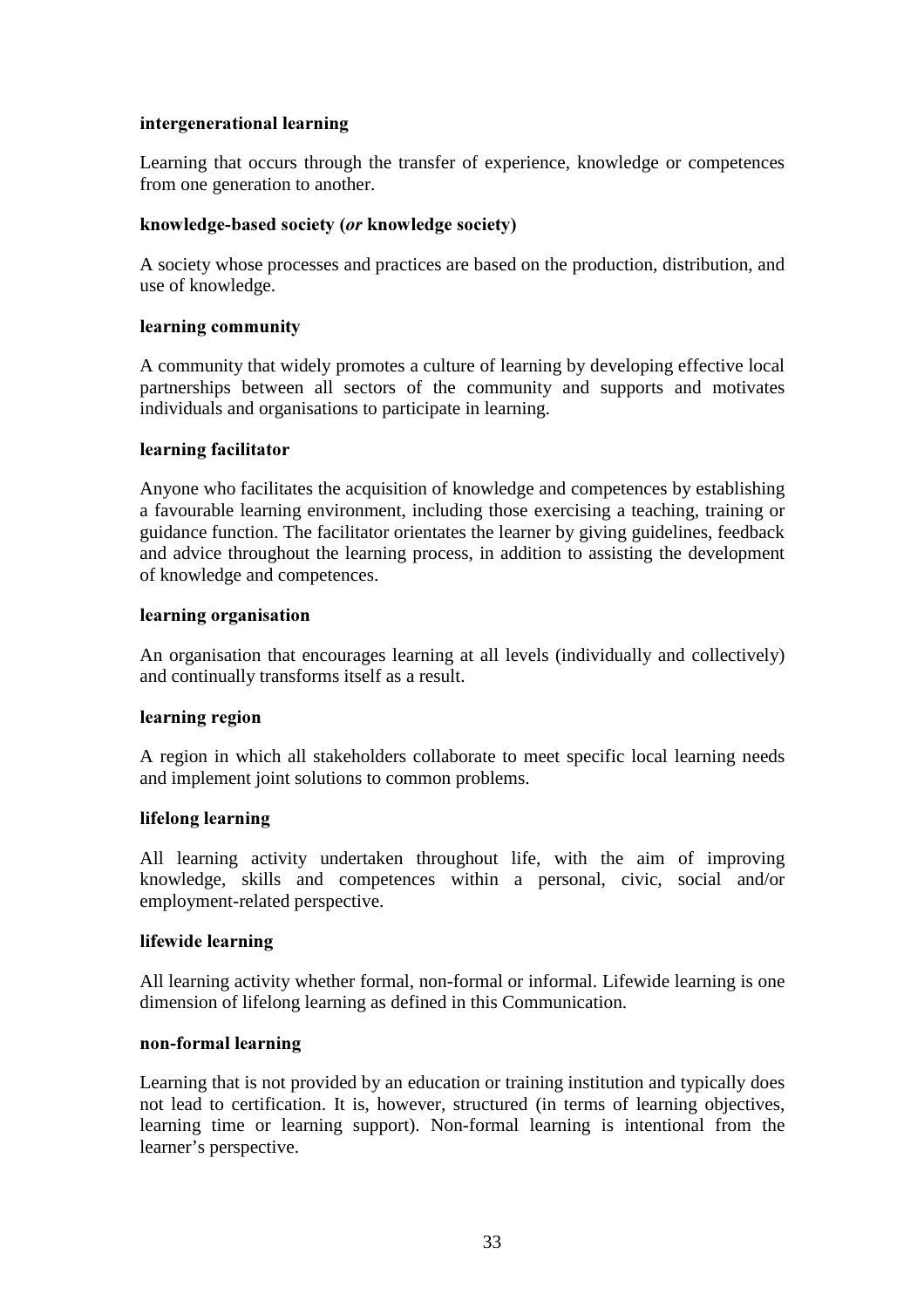## intergenerational learning

Learning that occurs through the transfer of experience, knowledge or competences from one generation to another.

## knowledge-based society (or knowledge society)

A society whose processes and practices are based on the production, distribution, and use of knowledge.

## learning community

A community that widely promotes a culture of learning by developing effective local partnerships between all sectors of the community and supports and motivates individuals and organisations to participate in learning.

#### learning facilitator

Anyone who facilitates the acquisition of knowledge and competences by establishing a favourable learning environment, including those exercising a teaching, training or guidance function. The facilitator orientates the learner by giving guidelines, feedback and advice throughout the learning process, in addition to assisting the development of knowledge and competences.

#### learning organisation

An organisation that encourages learning at all levels (individually and collectively) and continually transforms itself as a result.

#### learning region

A region in which all stakeholders collaborate to meet specific local learning needs and implement joint solutions to common problems.

#### lifelong learning

All learning activity undertaken throughout life, with the aim of improving knowledge, skills and competences within a personal, civic, social and/or employment-related perspective.

#### lifewide learning

All learning activity whether formal, non-formal or informal. Lifewide learning is one dimension of lifelong learning as defined in this Communication.

#### non-formal learning

Learning that is not provided by an education or training institution and typically does not lead to certification. It is, however, structured (in terms of learning objectives, learning time or learning support). Non-formal learning is intentional from the learner's perspective.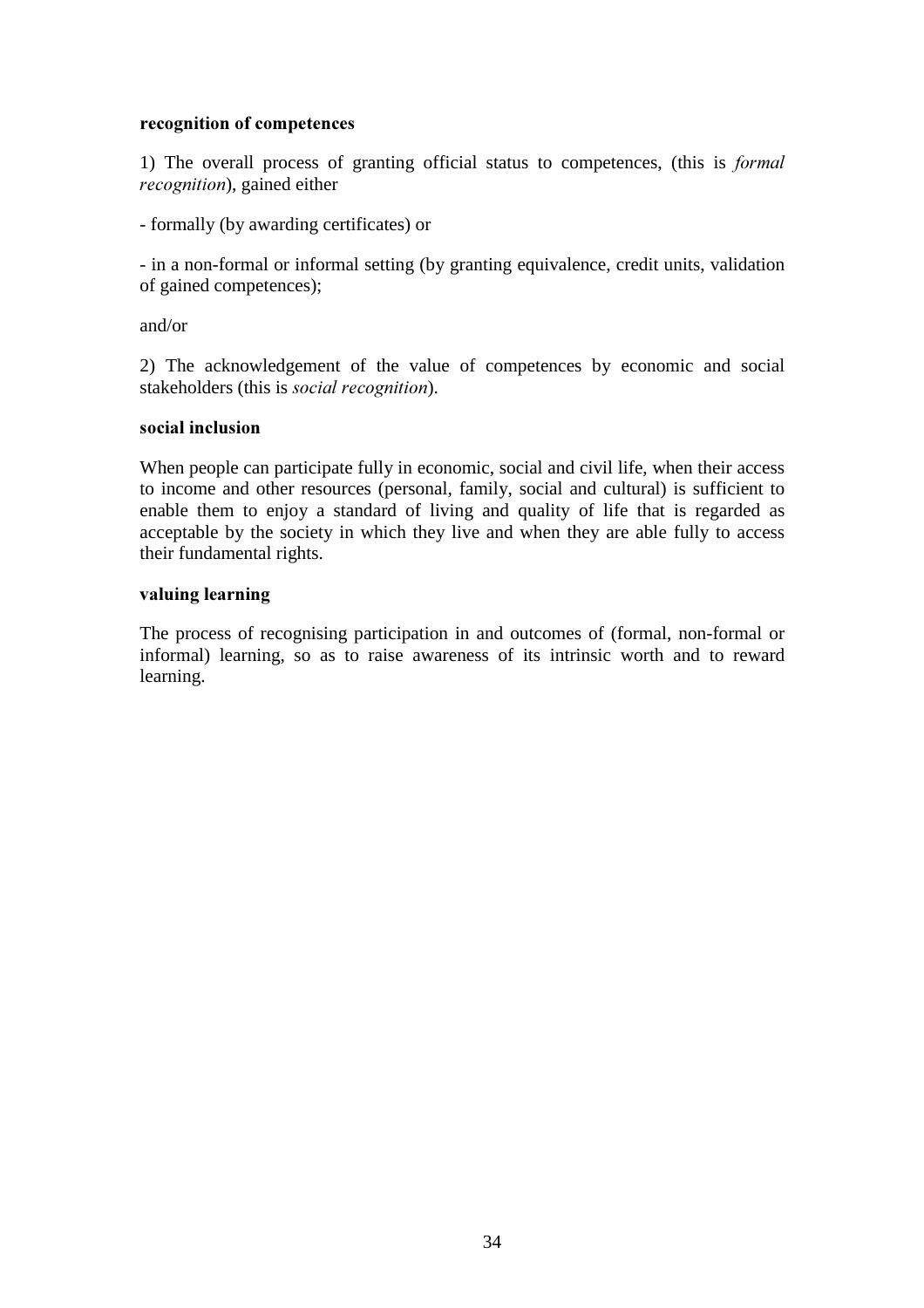#### recognition of competences

1) The overall process of granting official status to competences, (this is *formal recognition*), gained either

- formally (by awarding certificates) or

- in a non-formal or informal setting (by granting equivalence, credit units, validation of gained competences);

and/or

2) The acknowledgement of the value of competences by economic and social stakeholders (this is *social recognition*).

#### social inclusion

When people can participate fully in economic, social and civil life, when their access to income and other resources (personal, family, social and cultural) is sufficient to enable them to enjoy a standard of living and quality of life that is regarded as acceptable by the society in which they live and when they are able fully to access their fundamental rights.

#### valuing learning

The process of recognising participation in and outcomes of (formal, non-formal or informal) learning, so as to raise awareness of its intrinsic worth and to reward learning.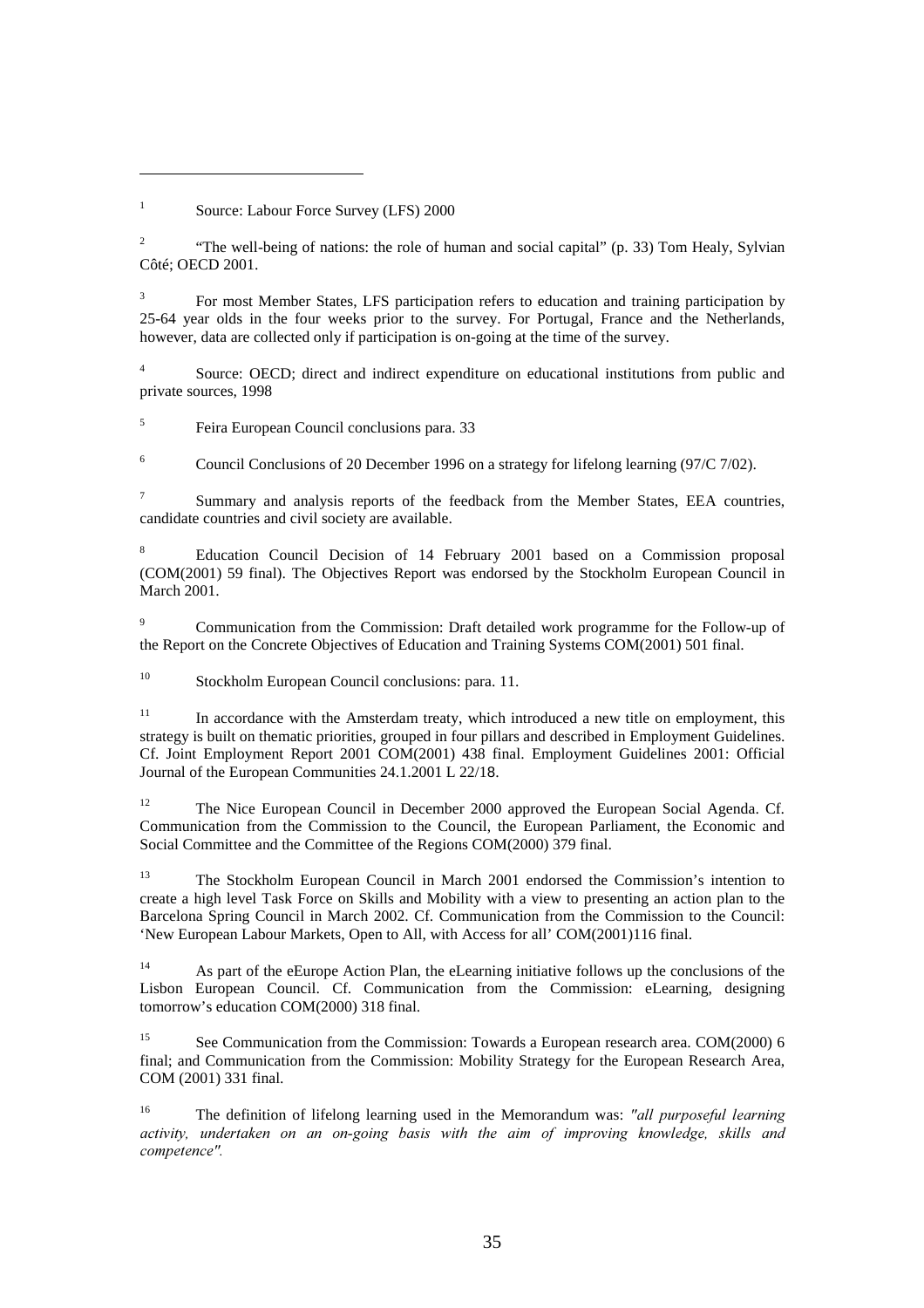<sup>1</sup> Source: Labour Force Survey (LFS) 2000

 $\overline{a}$ 

<sup>2</sup> "The well-being of nations: the role of human and social capital" (p. 33) Tom Healy, Sylvian Côté; OECD 2001.

<sup>3</sup> For most Member States, LFS participation refers to education and training participation by 25-64 year olds in the four weeks prior to the survey. For Portugal, France and the Netherlands, however, data are collected only if participation is on-going at the time of the survey.

<sup>4</sup> Source: OECD; direct and indirect expenditure on educational institutions from public and private sources, 1998

<sup>5</sup> Feira European Council conclusions para. 33

6 Council Conclusions of 20 December 1996 on a strategy for lifelong learning (97/C 7/02).

<sup>7</sup> Summary and analysis reports of the feedback from the Member States, EEA countries, candidate countries and civil society are available.

<sup>8</sup> Education Council Decision of 14 February 2001 based on a Commission proposal (COM(2001) 59 final). The Objectives Report was endorsed by the Stockholm European Council in March 2001.

<sup>9</sup> Communication from the Commission: Draft detailed work programme for the Follow-up of the Report on the Concrete Objectives of Education and Training Systems COM(2001) 501 final.

10 Stockholm European Council conclusions: para. 11.

<sup>11</sup> In accordance with the Amsterdam treaty, which introduced a new title on employment, this strategy is built on thematic priorities, grouped in four pillars and described in Employment Guidelines. Cf. Joint Employment Report 2001 COM(2001) 438 final. Employment Guidelines 2001: Official Journal of the European Communities 24.1.2001 L 22/18.

<sup>12</sup> The Nice European Council in December 2000 approved the European Social Agenda. Cf. Communication from the Commission to the Council, the European Parliament, the Economic and Social Committee and the Committee of the Regions COM(2000) 379 final.

<sup>13</sup> The Stockholm European Council in March 2001 endorsed the Commission's intention to create a high level Task Force on Skills and Mobility with a view to presenting an action plan to the Barcelona Spring Council in March 2002. Cf. Communication from the Commission to the Council: 'New European Labour Markets, Open to All, with Access for all' COM(2001)116 final.

<sup>14</sup> As part of the eEurope Action Plan, the eLearning initiative follows up the conclusions of the Lisbon European Council. Cf. Communication from the Commission: eLearning, designing tomorrow's education COM(2000) 318 final.

<sup>15</sup> See Communication from the Commission: Towards a European research area. COM(2000) 6 final; and Communication from the Commission: Mobility Strategy for the European Research Area, COM (2001) 331 final.

<sup>16</sup> The definition of lifelong learning used in the Memorandum was: *"all purposeful learning* activity, undertaken on an on-going basis with the aim of improving knowledge, skills and competence".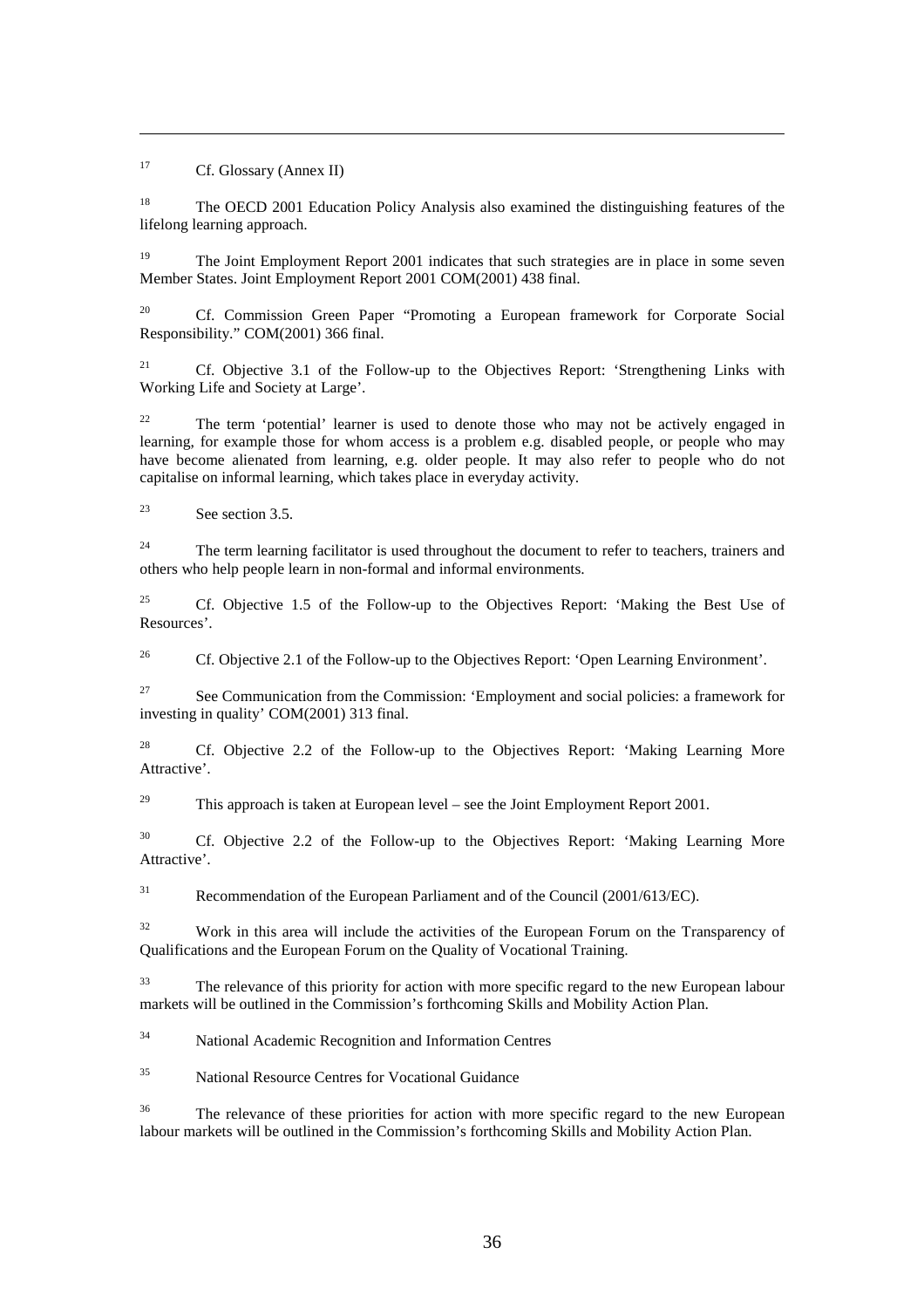<sup>17</sup> Cf. Glossary (Annex II)

 $\overline{a}$ 

<sup>18</sup> The OECD 2001 Education Policy Analysis also examined the distinguishing features of the lifelong learning approach.

<sup>19</sup> The Joint Employment Report 2001 indicates that such strategies are in place in some seven Member States. Joint Employment Report 2001 COM(2001) 438 final.

<sup>20</sup> Cf. Commission Green Paper "Promoting a European framework for Corporate Social Responsibility." COM(2001) 366 final.

<sup>21</sup> Cf. Objective 3.1 of the Follow-up to the Objectives Report: 'Strengthening Links with Working Life and Society at Large'.

<sup>22</sup> The term 'potential' learner is used to denote those who may not be actively engaged in learning, for example those for whom access is a problem e.g. disabled people, or people who may have become alienated from learning, e.g. older people. It may also refer to people who do not capitalise on informal learning, which takes place in everyday activity.

<sup>23</sup> See section 3.5.

<sup>24</sup> The term learning facilitator is used throughout the document to refer to teachers, trainers and others who help people learn in non-formal and informal environments.

<sup>25</sup> Cf. Objective 1.5 of the Follow-up to the Objectives Report: 'Making the Best Use of Resources'.

<sup>26</sup> Cf. Objective 2.1 of the Follow-up to the Objectives Report: 'Open Learning Environment'.

<sup>27</sup> See Communication from the Commission: 'Employment and social policies: a framework for investing in quality' COM(2001) 313 final.

<sup>28</sup> Cf. Objective 2.2 of the Follow-up to the Objectives Report: 'Making Learning More Attractive'.

<sup>29</sup> This approach is taken at European level – see the Joint Employment Report 2001.

<sup>30</sup> Cf. Objective 2.2 of the Follow-up to the Objectives Report: 'Making Learning More Attractive'.

 $31$  Recommendation of the European Parliament and of the Council (2001/613/EC).

 $32$  Work in this area will include the activities of the European Forum on the Transparency of Qualifications and the European Forum on the Quality of Vocational Training.

<sup>33</sup> The relevance of this priority for action with more specific regard to the new European labour markets will be outlined in the Commission's forthcoming Skills and Mobility Action Plan.

<sup>34</sup> National Academic Recognition and Information Centres

<sup>35</sup> National Resource Centres for Vocational Guidance

<sup>36</sup> The relevance of these priorities for action with more specific regard to the new European labour markets will be outlined in the Commission's forthcoming Skills and Mobility Action Plan.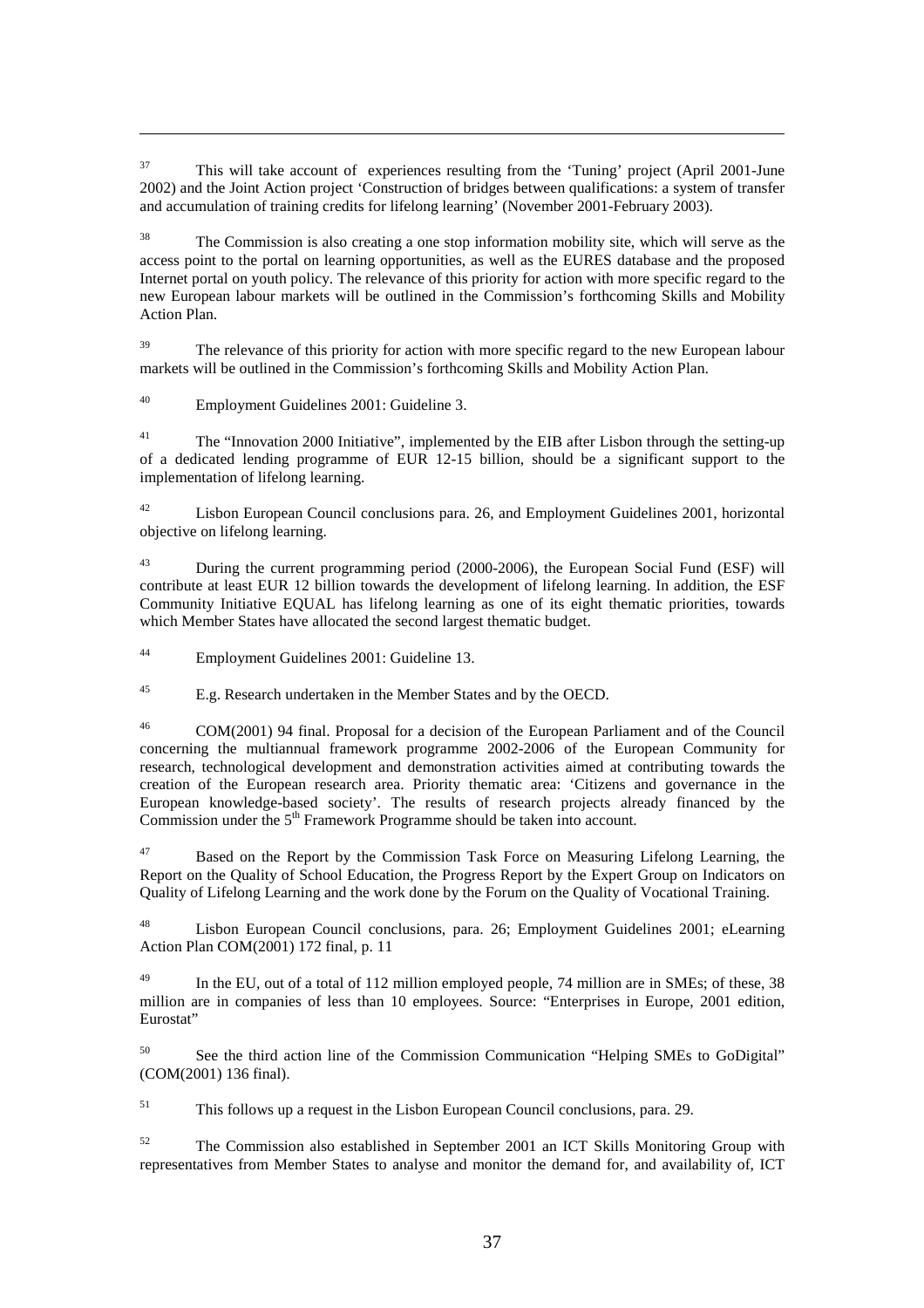<sup>37</sup> This will take account of experiences resulting from the 'Tuning' project (April 2001-June 2002) and the Joint Action project 'Construction of bridges between qualifications: a system of transfer and accumulation of training credits for lifelong learning' (November 2001-February 2003).

<sup>38</sup> The Commission is also creating a one stop information mobility site, which will serve as the access point to the portal on learning opportunities, as well as the EURES database and the proposed Internet portal on youth policy. The relevance of this priority for action with more specific regard to the new European labour markets will be outlined in the Commission's forthcoming Skills and Mobility Action Plan.

 $39$  The relevance of this priority for action with more specific regard to the new European labour markets will be outlined in the Commission's forthcoming Skills and Mobility Action Plan.

<sup>40</sup> Employment Guidelines 2001: Guideline 3.

 $\overline{a}$ 

 $41$  The "Innovation 2000 Initiative", implemented by the EIB after Lisbon through the setting-up of a dedicated lending programme of EUR 12-15 billion, should be a significant support to the implementation of lifelong learning.

<sup>42</sup> Lisbon European Council conclusions para. 26, and Employment Guidelines 2001, horizontal objective on lifelong learning.

<sup>43</sup> During the current programming period (2000-2006), the European Social Fund (ESF) will contribute at least EUR 12 billion towards the development of lifelong learning. In addition, the ESF Community Initiative EQUAL has lifelong learning as one of its eight thematic priorities, towards which Member States have allocated the second largest thematic budget.

<sup>44</sup> Employment Guidelines 2001: Guideline 13.

<sup>45</sup> E.g. Research undertaken in the Member States and by the OECD.

<sup>46</sup> COM(2001) 94 final. Proposal for a decision of the European Parliament and of the Council concerning the multiannual framework programme 2002-2006 of the European Community for research, technological development and demonstration activities aimed at contributing towards the creation of the European research area. Priority thematic area: 'Citizens and governance in the European knowledge-based society'. The results of research projects already financed by the Commission under the  $5<sup>th</sup>$  Framework Programme should be taken into account.

<sup>47</sup> Based on the Report by the Commission Task Force on Measuring Lifelong Learning, the Report on the Quality of School Education, the Progress Report by the Expert Group on Indicators on Quality of Lifelong Learning and the work done by the Forum on the Quality of Vocational Training.

<sup>48</sup> Lisbon European Council conclusions, para. 26; Employment Guidelines 2001; eLearning Action Plan COM(2001) 172 final, p. 11

<sup>49</sup> In the EU, out of a total of 112 million employed people, 74 million are in SMEs; of these, 38 million are in companies of less than 10 employees. Source: "Enterprises in Europe, 2001 edition, Eurostat"

<sup>50</sup> See the third action line of the Commission Communication "Helping SMEs to GoDigital" (COM(2001) 136 final).

<sup>51</sup> This follows up a request in the Lisbon European Council conclusions, para. 29.

<sup>52</sup> The Commission also established in September 2001 an ICT Skills Monitoring Group with representatives from Member States to analyse and monitor the demand for, and availability of, ICT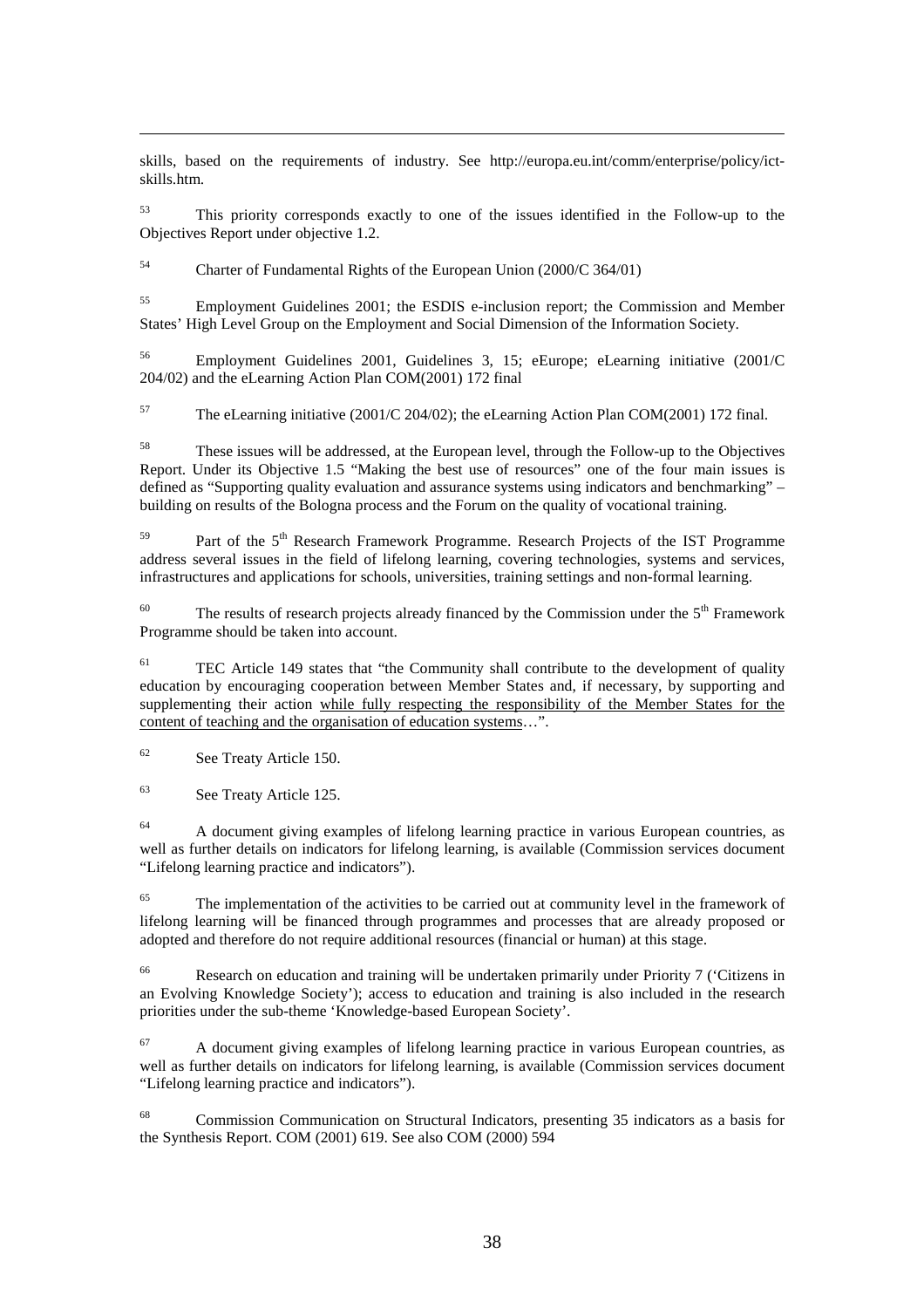skills, based on the requirements of industry. See http://europa.eu.int/comm/enterprise/policy/ictskills.htm.

<sup>53</sup> This priority corresponds exactly to one of the issues identified in the Follow-up to the Objectives Report under objective 1.2.

<sup>54</sup> Charter of Fundamental Rights of the European Union (2000/C 364/01)

<sup>55</sup> Employment Guidelines 2001; the ESDIS e-inclusion report; the Commission and Member States' High Level Group on the Employment and Social Dimension of the Information Society.

<sup>56</sup> Employment Guidelines 2001, Guidelines 3, 15; eEurope; eLearning initiative (2001/C 204/02) and the eLearning Action Plan COM(2001) 172 final

<sup>57</sup> The eLearning initiative (2001/C 204/02); the eLearning Action Plan COM(2001) 172 final.

<sup>58</sup> These issues will be addressed, at the European level, through the Follow-up to the Objectives Report. Under its Objective 1.5 "Making the best use of resources" one of the four main issues is defined as "Supporting quality evaluation and assurance systems using indicators and benchmarking" – building on results of the Bologna process and the Forum on the quality of vocational training.

 $59$  Part of the  $5<sup>th</sup>$  Research Framework Programme. Research Projects of the IST Programme address several issues in the field of lifelong learning, covering technologies, systems and services, infrastructures and applications for schools, universities, training settings and non-formal learning.

<sup>60</sup> The results of research projects already financed by the Commission under the  $5<sup>th</sup>$  Framework Programme should be taken into account.

<sup>61</sup> TEC Article 149 states that "the Community shall contribute to the development of quality education by encouraging cooperation between Member States and, if necessary, by supporting and supplementing their action while fully respecting the responsibility of the Member States for the content of teaching and the organisation of education systems...".

<sup>62</sup> See Treaty Article 150.

 $\overline{a}$ 

<sup>63</sup> See Treaty Article 125.

<sup>64</sup> A document giving examples of lifelong learning practice in various European countries, as well as further details on indicators for lifelong learning, is available (Commission services document "Lifelong learning practice and indicators").

<sup>65</sup> The implementation of the activities to be carried out at community level in the framework of lifelong learning will be financed through programmes and processes that are already proposed or adopted and therefore do not require additional resources (financial or human) at this stage.

<sup>66</sup> Research on education and training will be undertaken primarily under Priority 7 ('Citizens in an Evolving Knowledge Society'); access to education and training is also included in the research priorities under the sub-theme 'Knowledge-based European Society'.

<sup>67</sup> A document giving examples of lifelong learning practice in various European countries, as well as further details on indicators for lifelong learning, is available (Commission services document "Lifelong learning practice and indicators").

<sup>68</sup> Commission Communication on Structural Indicators, presenting 35 indicators as a basis for the Synthesis Report. COM (2001) 619. See also COM (2000) 594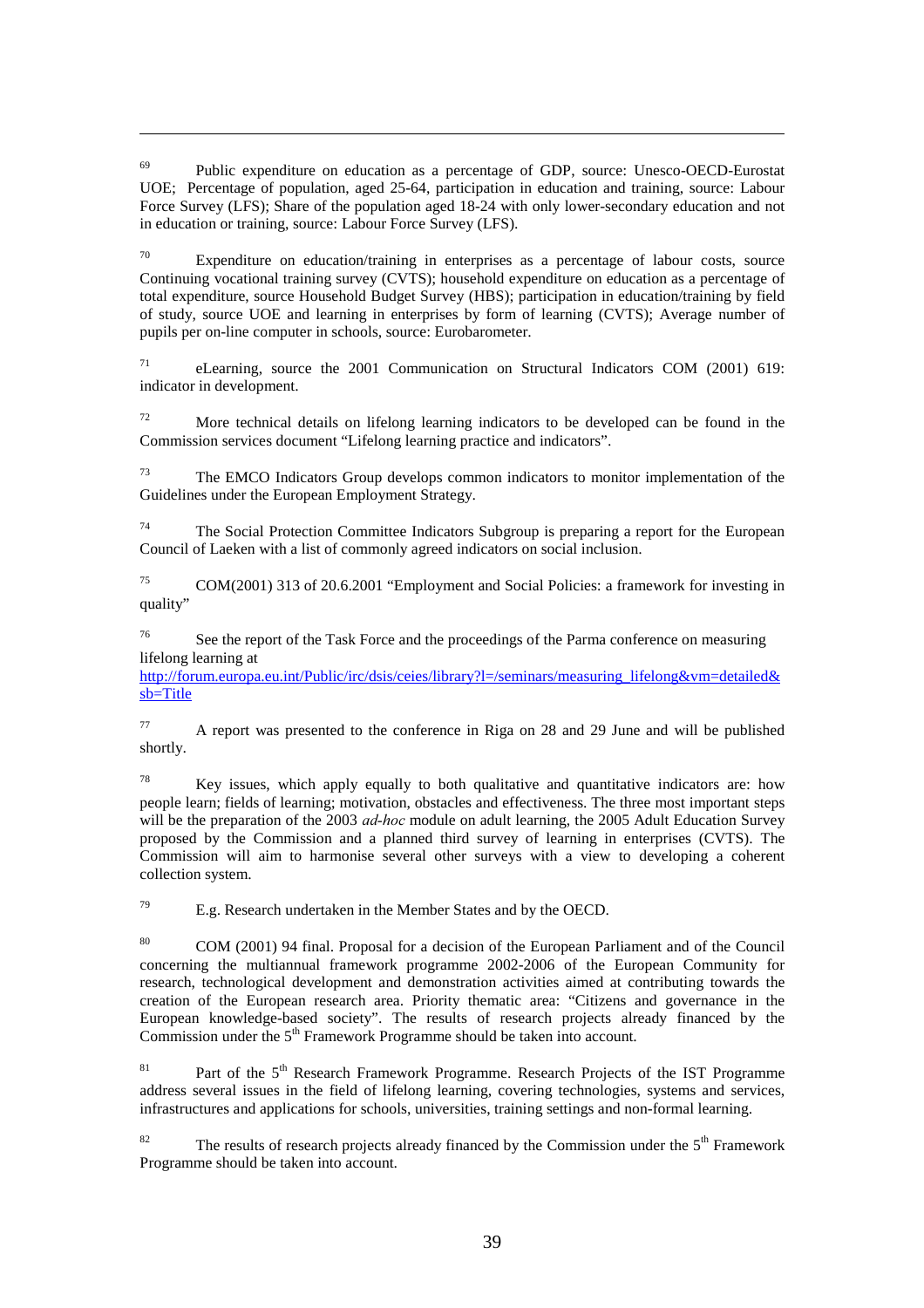<sup>69</sup> Public expenditure on education as a percentage of GDP, source: Unesco-OECD-Eurostat UOE; Percentage of population, aged 25-64, participation in education and training, source: Labour Force Survey (LFS); Share of the population aged 18-24 with only lower-secondary education and not in education or training, source: Labour Force Survey (LFS).

 $\overline{a}$ 

<sup>70</sup> Expenditure on education/training in enterprises as a percentage of labour costs, source Continuing vocational training survey (CVTS); household expenditure on education as a percentage of total expenditure, source Household Budget Survey (HBS); participation in education/training by field of study, source UOE and learning in enterprises by form of learning (CVTS); Average number of pupils per on-line computer in schools, source: Eurobarometer.

<sup>71</sup> eLearning, source the 2001 Communication on Structural Indicators COM (2001) 619: indicator in development.

 $72$  More technical details on lifelong learning indicators to be developed can be found in the Commission services document "Lifelong learning practice and indicators".

<sup>73</sup> The EMCO Indicators Group develops common indicators to monitor implementation of the Guidelines under the European Employment Strategy.

 $74$  The Social Protection Committee Indicators Subgroup is preparing a report for the European Council of Laeken with a list of commonly agreed indicators on social inclusion.

<sup>75</sup> COM(2001) 313 of 20.6.2001 "Employment and Social Policies: a framework for investing in quality"

<sup>76</sup> See the report of the Task Force and the proceedings of the Parma conference on measuring lifelong learning at

http://forum.europa.eu.int/Public/irc/dsis/ceies/library?l=/seminars/measuring\_lifelong&vm=detailed& sb=Title

<sup>77</sup> A report was presented to the conference in Riga on 28 and 29 June and will be published shortly.

 $78$  Key issues, which apply equally to both qualitative and quantitative indicators are: how people learn; fields of learning; motivation, obstacles and effectiveness. The three most important steps will be the preparation of the 2003 *ad-hoc* module on adult learning, the 2005 Adult Education Survey proposed by the Commission and a planned third survey of learning in enterprises (CVTS). The Commission will aim to harmonise several other surveys with a view to developing a coherent collection system.

<sup>79</sup> E.g. Research undertaken in the Member States and by the OECD.

<sup>80</sup> COM (2001) 94 final. Proposal for a decision of the European Parliament and of the Council concerning the multiannual framework programme 2002-2006 of the European Community for research, technological development and demonstration activities aimed at contributing towards the creation of the European research area. Priority thematic area: "Citizens and governance in the European knowledge-based society". The results of research projects already financed by the Commission under the  $5<sup>th</sup>$  Framework Programme should be taken into account.

<sup>81</sup> Part of the  $5<sup>th</sup>$  Research Framework Programme. Research Projects of the IST Programme address several issues in the field of lifelong learning, covering technologies, systems and services, infrastructures and applications for schools, universities, training settings and non-formal learning.

<sup>82</sup> The results of research projects already financed by the Commission under the  $5<sup>th</sup>$  Framework Programme should be taken into account.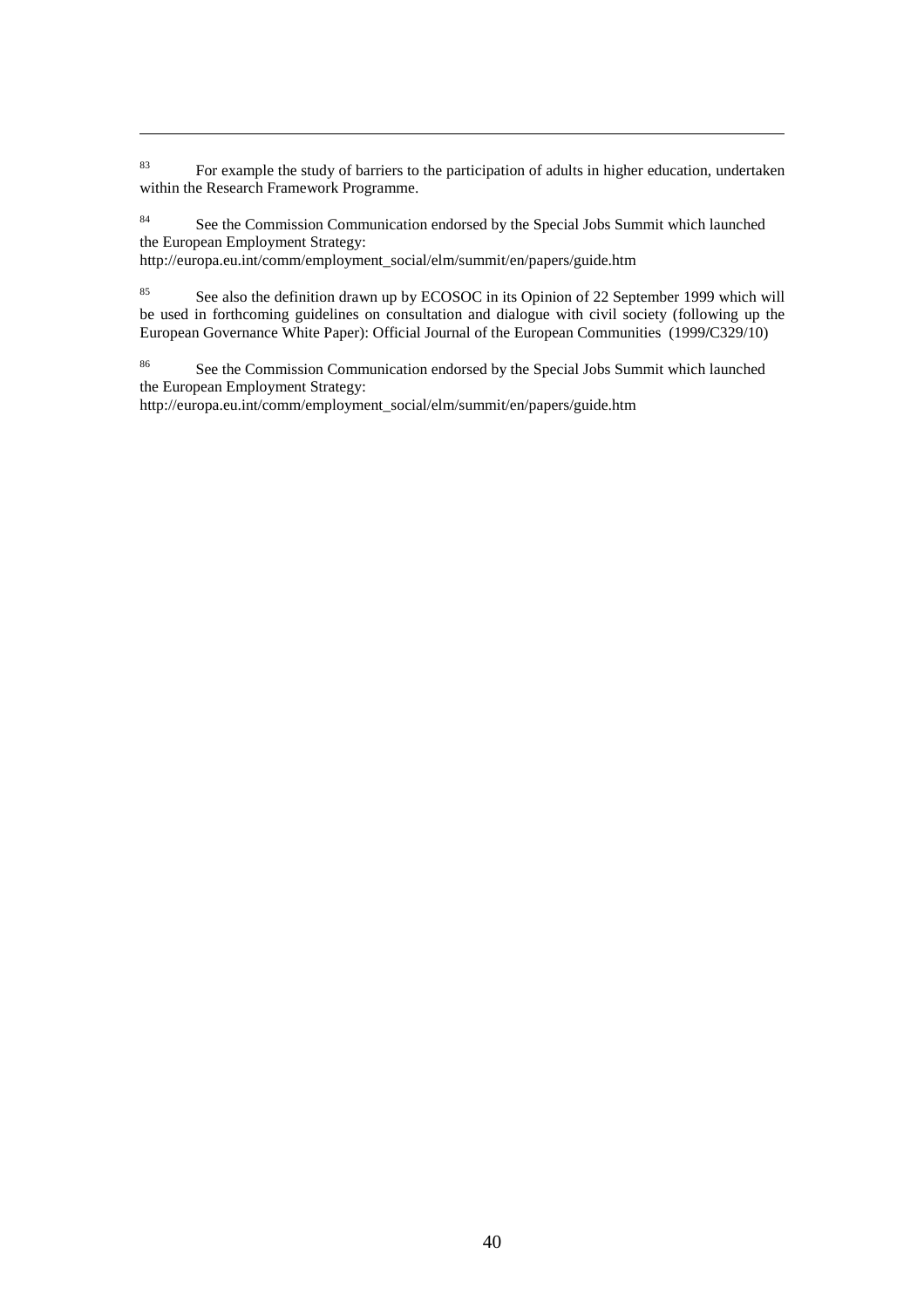<sup>83</sup> For example the study of barriers to the participation of adults in higher education, undertaken within the Research Framework Programme.

<sup>84</sup> See the Commission Communication endorsed by the Special Jobs Summit which launched the European Employment Strategy:

http://europa.eu.int/comm/employment\_social/elm/summit/en/papers/guide.htm

 $\overline{a}$ 

<sup>85</sup> See also the definition drawn up by ECOSOC in its Opinion of 22 September 1999 which will be used in forthcoming guidelines on consultation and dialogue with civil society (following up the European Governance White Paper): Official Journal of the European Communities (1999/C329/10)

<sup>86</sup> See the Commission Communication endorsed by the Special Jobs Summit which launched the European Employment Strategy:

http://europa.eu.int/comm/employment\_social/elm/summit/en/papers/guide.htm